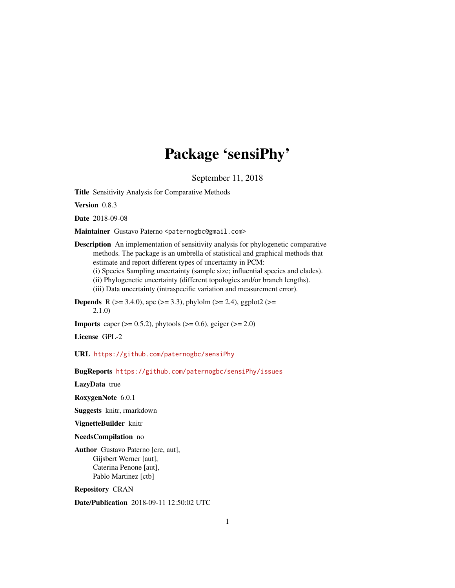# Package 'sensiPhy'

September 11, 2018

<span id="page-0-0"></span>Title Sensitivity Analysis for Comparative Methods

Version 0.8.3

Date 2018-09-08

Maintainer Gustavo Paterno <paternogbc@gmail.com>

Description An implementation of sensitivity analysis for phylogenetic comparative methods. The package is an umbrella of statistical and graphical methods that estimate and report different types of uncertainty in PCM:

(i) Species Sampling uncertainty (sample size; influential species and clades).

(ii) Phylogenetic uncertainty (different topologies and/or branch lengths).

(iii) Data uncertainty (intraspecific variation and measurement error).

**Depends** R ( $>= 3.4.0$ ), ape ( $>= 3.3$ ), phylolm ( $>= 2.4$ ), ggplot2 ( $>=$ 2.1.0)

**Imports** caper ( $> = 0.5.2$ ), phytools ( $> = 0.6$ ), geiger ( $> = 2.0$ )

License GPL-2

URL <https://github.com/paternogbc/sensiPhy>

BugReports <https://github.com/paternogbc/sensiPhy/issues>

LazyData true

RoxygenNote 6.0.1

Suggests knitr, rmarkdown

VignetteBuilder knitr

NeedsCompilation no

Author Gustavo Paterno [cre, aut], Gijsbert Werner [aut], Caterina Penone [aut], Pablo Martinez [ctb]

Repository CRAN

Date/Publication 2018-09-11 12:50:02 UTC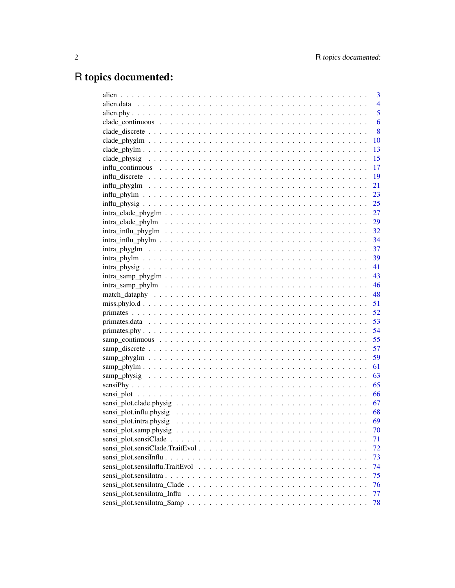# R topics documented:

| 3              |
|----------------|
| $\overline{4}$ |
| $\overline{5}$ |
| 6              |
| 8              |
| 10             |
| 13             |
| 15             |
| 17             |
| <sup>19</sup>  |
| 21             |
| 23             |
| 25             |
|                |
| 29             |
|                |
|                |
|                |
|                |
|                |
|                |
|                |
|                |
|                |
|                |
|                |
|                |
|                |
|                |
|                |
|                |
|                |
|                |
|                |
|                |
|                |
|                |
| 70             |
| 71             |
| 72             |
| 73             |
| 74             |
| 75             |
| 76             |
| 77             |
| 78             |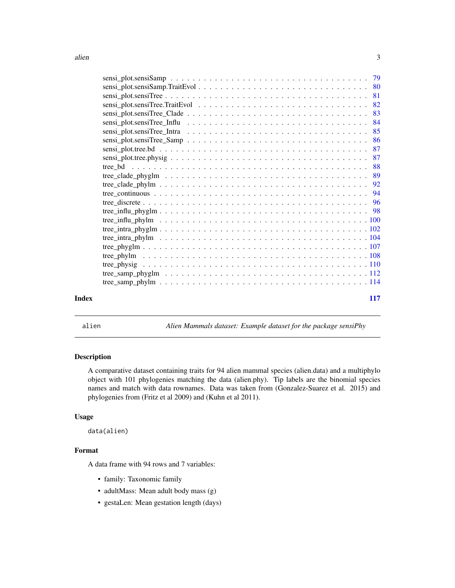<span id="page-2-0"></span>

| Index | 117 |
|-------|-----|
|       |     |

alien *Alien Mammals dataset: Example dataset for the package sensiPhy*

# Description

A comparative dataset containing traits for 94 alien mammal species (alien.data) and a multiphylo object with 101 phylogenies matching the data (alien.phy). Tip labels are the binomial species names and match with data rownames. Data was taken from (Gonzalez-Suarez et al. 2015) and phylogenies from (Fritz et al 2009) and (Kuhn et al 2011).

# Usage

data(alien)

# Format

A data frame with 94 rows and 7 variables:

- family: Taxonomic family
- adultMass: Mean adult body mass (g)
- gestaLen: Mean gestation length (days)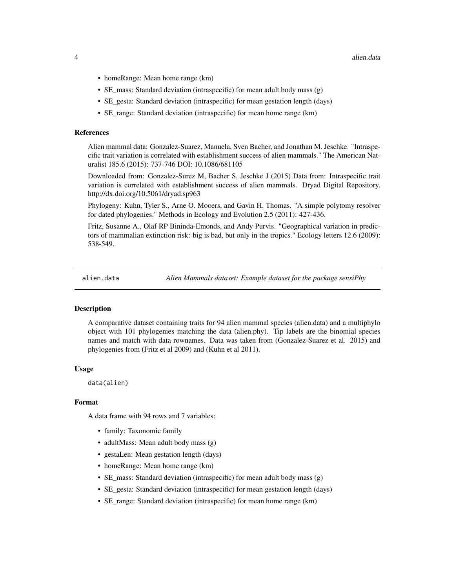- <span id="page-3-0"></span>• homeRange: Mean home range (km)
- SE\_mass: Standard deviation (intraspecific) for mean adult body mass (g)
- SE\_gesta: Standard deviation (intraspecific) for mean gestation length (days)
- SE\_range: Standard deviation (intraspecific) for mean home range (km)

#### References

Alien mammal data: Gonzalez-Suarez, Manuela, Sven Bacher, and Jonathan M. Jeschke. "Intraspecific trait variation is correlated with establishment success of alien mammals." The American Naturalist 185.6 (2015): 737-746 DOI: 10.1086/681105

Downloaded from: Gonzalez-Surez M, Bacher S, Jeschke J (2015) Data from: Intraspecific trait variation is correlated with establishment success of alien mammals. Dryad Digital Repository. http://dx.doi.org/10.5061/dryad.sp963

Phylogeny: Kuhn, Tyler S., Arne O. Mooers, and Gavin H. Thomas. "A simple polytomy resolver for dated phylogenies." Methods in Ecology and Evolution 2.5 (2011): 427-436.

Fritz, Susanne A., Olaf RP Bininda-Emonds, and Andy Purvis. "Geographical variation in predictors of mammalian extinction risk: big is bad, but only in the tropics." Ecology letters 12.6 (2009): 538-549.

alien.data *Alien Mammals dataset: Example dataset for the package sensiPhy*

# Description

A comparative dataset containing traits for 94 alien mammal species (alien.data) and a multiphylo object with 101 phylogenies matching the data (alien.phy). Tip labels are the binomial species names and match with data rownames. Data was taken from (Gonzalez-Suarez et al. 2015) and phylogenies from (Fritz et al 2009) and (Kuhn et al 2011).

#### Usage

data(alien)

#### Format

A data frame with 94 rows and 7 variables:

- family: Taxonomic family
- adultMass: Mean adult body mass (g)
- gestaLen: Mean gestation length (days)
- homeRange: Mean home range (km)
- SE\_mass: Standard deviation (intraspecific) for mean adult body mass (g)
- SE\_gesta: Standard deviation (intraspecific) for mean gestation length (days)
- SE\_range: Standard deviation (intraspecific) for mean home range (km)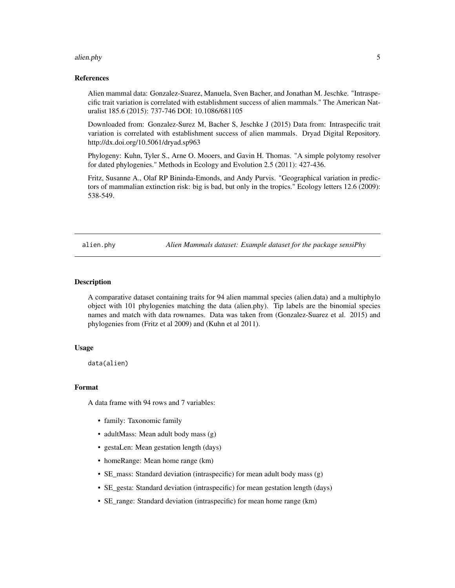#### <span id="page-4-0"></span>alien.phy 5

#### References

Alien mammal data: Gonzalez-Suarez, Manuela, Sven Bacher, and Jonathan M. Jeschke. "Intraspecific trait variation is correlated with establishment success of alien mammals." The American Naturalist 185.6 (2015): 737-746 DOI: 10.1086/681105

Downloaded from: Gonzalez-Surez M, Bacher S, Jeschke J (2015) Data from: Intraspecific trait variation is correlated with establishment success of alien mammals. Dryad Digital Repository. http://dx.doi.org/10.5061/dryad.sp963

Phylogeny: Kuhn, Tyler S., Arne O. Mooers, and Gavin H. Thomas. "A simple polytomy resolver for dated phylogenies." Methods in Ecology and Evolution 2.5 (2011): 427-436.

Fritz, Susanne A., Olaf RP Bininda-Emonds, and Andy Purvis. "Geographical variation in predictors of mammalian extinction risk: big is bad, but only in the tropics." Ecology letters 12.6 (2009): 538-549.

alien.phy *Alien Mammals dataset: Example dataset for the package sensiPhy*

# **Description**

A comparative dataset containing traits for 94 alien mammal species (alien.data) and a multiphylo object with 101 phylogenies matching the data (alien.phy). Tip labels are the binomial species names and match with data rownames. Data was taken from (Gonzalez-Suarez et al. 2015) and phylogenies from (Fritz et al 2009) and (Kuhn et al 2011).

#### Usage

data(alien)

# Format

A data frame with 94 rows and 7 variables:

- family: Taxonomic family
- adultMass: Mean adult body mass (g)
- gestaLen: Mean gestation length (days)
- homeRange: Mean home range (km)
- SE\_mass: Standard deviation (intraspecific) for mean adult body mass (g)
- SE\_gesta: Standard deviation (intraspecific) for mean gestation length (days)
- SE\_range: Standard deviation (intraspecific) for mean home range (km)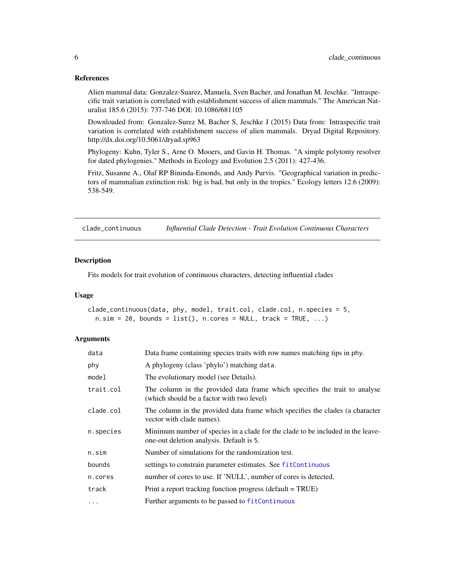#### <span id="page-5-0"></span>References

Alien mammal data: Gonzalez-Suarez, Manuela, Sven Bacher, and Jonathan M. Jeschke. "Intraspecific trait variation is correlated with establishment success of alien mammals." The American Naturalist 185.6 (2015): 737-746 DOI: 10.1086/681105

Downloaded from: Gonzalez-Surez M, Bacher S, Jeschke J (2015) Data from: Intraspecific trait variation is correlated with establishment success of alien mammals. Dryad Digital Repository. http://dx.doi.org/10.5061/dryad.sp963

Phylogeny: Kuhn, Tyler S., Arne O. Mooers, and Gavin H. Thomas. "A simple polytomy resolver for dated phylogenies." Methods in Ecology and Evolution 2.5 (2011): 427-436.

Fritz, Susanne A., Olaf RP Bininda-Emonds, and Andy Purvis. "Geographical variation in predictors of mammalian extinction risk: big is bad, but only in the tropics." Ecology letters 12.6 (2009): 538-549.

clade\_continuous *Influential Clade Detection - Trait Evolution Continuous Characters*

#### **Description**

Fits models for trait evolution of continuous characters, detecting influential clades

#### Usage

```
clade_continuous(data, phy, model, trait.col, clade.col, n.species = 5,
  n.sim = 20, bounds = list(), n.coreS = NULL, track = TRUE, ...)
```
#### Arguments

| data      | Data frame containing species traits with row names matching tips in phy.                                                   |
|-----------|-----------------------------------------------------------------------------------------------------------------------------|
| phy       | A phylogeny (class 'phylo') matching data.                                                                                  |
| model     | The evolutionary model (see Details).                                                                                       |
| trait.col | The column in the provided data frame which specifies the trait to analyse<br>(which should be a factor with two level)     |
| clade.col | The column in the provided data frame which specifies the clades (a character<br>vector with clade names).                  |
| n.species | Minimum number of species in a clade for the clade to be included in the leave-<br>one-out deletion analysis. Default is 5. |
| n.sim     | Number of simulations for the randomization test.                                                                           |
| bounds    | settings to constrain parameter estimates. See fitContinuous                                                                |
| n.cores   | number of cores to use. If 'NULL', number of cores is detected.                                                             |
| track     | Print a report tracking function progress (default = TRUE)                                                                  |
| $\ddotsc$ | Further arguments to be passed to fitContinuous                                                                             |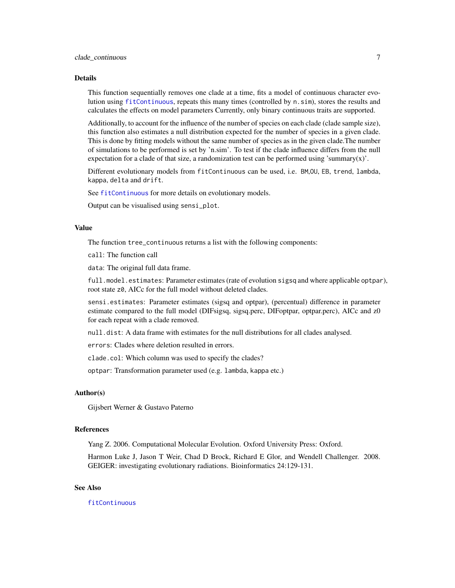#### Details

This function sequentially removes one clade at a time, fits a model of continuous character evolution using [fitContinuous](#page-0-0), repeats this many times (controlled by n.sim), stores the results and calculates the effects on model parameters Currently, only binary continuous traits are supported.

Additionally, to account for the influence of the number of species on each clade (clade sample size), this function also estimates a null distribution expected for the number of species in a given clade. This is done by fitting models without the same number of species as in the given clade.The number of simulations to be performed is set by 'n.sim'. To test if the clade influence differs from the null expectation for a clade of that size, a randomization test can be performed using 'summary(x)'.

Different evolutionary models from fitContinuous can be used, i.e. BM,OU, EB, trend, lambda, kappa, delta and drift.

See [fitContinuous](#page-0-0) for more details on evolutionary models.

Output can be visualised using sensi\_plot.

#### Value

The function tree\_continuous returns a list with the following components:

call: The function call

data: The original full data frame.

full.model.estimates: Parameter estimates (rate of evolution sigsq and where applicable optpar), root state z0, AICc for the full model without deleted clades.

sensi.estimates: Parameter estimates (sigsq and optpar), (percentual) difference in parameter estimate compared to the full model (DIFsigsq, sigsq.perc, DIFoptpar, optpar.perc), AICc and z0 for each repeat with a clade removed.

null.dist: A data frame with estimates for the null distributions for all clades analysed.

errors: Clades where deletion resulted in errors.

clade.col: Which column was used to specify the clades?

optpar: Transformation parameter used (e.g. lambda, kappa etc.)

#### Author(s)

Gijsbert Werner & Gustavo Paterno

# References

Yang Z. 2006. Computational Molecular Evolution. Oxford University Press: Oxford.

Harmon Luke J, Jason T Weir, Chad D Brock, Richard E Glor, and Wendell Challenger. 2008. GEIGER: investigating evolutionary radiations. Bioinformatics 24:129-131.

# See Also

[fitContinuous](#page-0-0)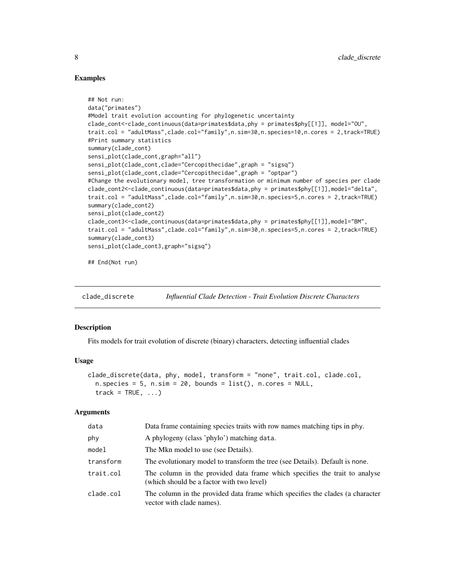#### Examples

```
## Not run:
data("primates")
#Model trait evolution accounting for phylogenetic uncertainty
clade_cont<-clade_continuous(data=primates$data,phy = primates$phy[[1]], model="OU",
trait.col = "adultMass",clade.col="family",n.sim=30,n.species=10,n.cores = 2,track=TRUE)
#Print summary statistics
summary(clade_cont)
sensi_plot(clade_cont,graph="all")
sensi_plot(clade_cont,clade="Cercopithecidae",graph = "sigsq")
sensi_plot(clade_cont,clade="Cercopithecidae",graph = "optpar")
#Change the evolutionary model, tree transformation or minimum number of species per clade
clade_cont2<-clade_continuous(data=primates$data,phy = primates$phy[[1]],model="delta",
trait.col = "adultMass",clade.col="family",n.sim=30,n.species=5,n.cores = 2,track=TRUE)
summary(clade_cont2)
sensi_plot(clade_cont2)
clade_cont3<-clade_continuous(data=primates$data,phy = primates$phy[[1]],model="BM",
trait.col = "adultMass",clade.col="family",n.sim=30,n.species=5,n.cores = 2,track=TRUE)
summary(clade_cont3)
sensi_plot(clade_cont3,graph="sigsq")
```
## End(Not run)

clade\_discrete *Influential Clade Detection - Trait Evolution Discrete Characters*

### Description

Fits models for trait evolution of discrete (binary) characters, detecting influential clades

#### Usage

```
clade_discrete(data, phy, model, transform = "none", trait.col, clade.col,
  n.\text{species} = 5, n.\text{sim} = 20, \text{bounds} = \text{list}(), n.\text{cores} = \text{NULL}track = TRUE, ...)
```
#### Arguments

| data      | Data frame containing species traits with row names matching tips in phy.                                               |
|-----------|-------------------------------------------------------------------------------------------------------------------------|
| phy       | A phylogeny (class 'phylo') matching data.                                                                              |
| model     | The Mkn model to use (see Details).                                                                                     |
| transform | The evolutionary model to transform the tree (see Details). Default is none.                                            |
| trait.col | The column in the provided data frame which specifies the trait to analyse<br>(which should be a factor with two level) |
| clade.col | The column in the provided data frame which specifies the clades (a character<br>vector with clade names).              |

<span id="page-7-0"></span>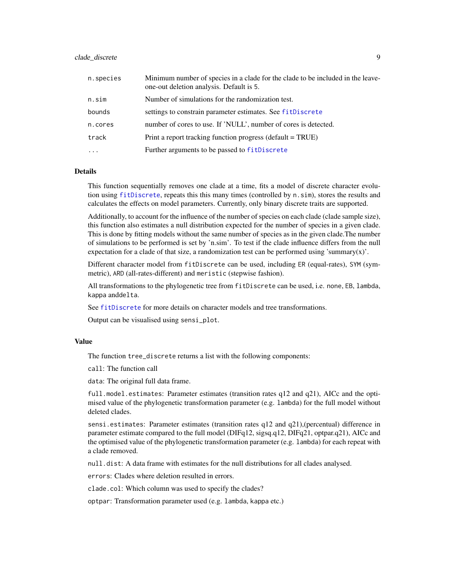# clade\_discrete 9

| n.species | Minimum number of species in a clade for the clade to be included in the leave-<br>one-out deletion analysis. Default is 5. |
|-----------|-----------------------------------------------------------------------------------------------------------------------------|
| n.sim     | Number of simulations for the randomization test.                                                                           |
| bounds    | settings to constrain parameter estimates. See fitDiscrete                                                                  |
| n.cores   | number of cores to use. If 'NULL', number of cores is detected.                                                             |
| track     | Print a report tracking function progress (default = TRUE)                                                                  |
| $\ddotsc$ | Further arguments to be passed to fitDiscrete                                                                               |

# Details

This function sequentially removes one clade at a time, fits a model of discrete character evolution using [fitDiscrete](#page-0-0), repeats this this many times (controlled by n.sim), stores the results and calculates the effects on model parameters. Currently, only binary discrete traits are supported.

Additionally, to account for the influence of the number of species on each clade (clade sample size), this function also estimates a null distribution expected for the number of species in a given clade. This is done by fitting models without the same number of species as in the given clade.The number of simulations to be performed is set by 'n.sim'. To test if the clade influence differs from the null expectation for a clade of that size, a randomization test can be performed using 'summary(x)'.

Different character model from fitDiscrete can be used, including ER (equal-rates), SYM (symmetric), ARD (all-rates-different) and meristic (stepwise fashion).

All transformations to the phylogenetic tree from fitDiscrete can be used, i.e. none, EB, lambda, kappa anddelta.

See [fitDiscrete](#page-0-0) for more details on character models and tree transformations.

Output can be visualised using sensi\_plot.

#### Value

The function tree\_discrete returns a list with the following components:

call: The function call

data: The original full data frame.

full.model.estimates: Parameter estimates (transition rates q12 and q21), AICc and the optimised value of the phylogenetic transformation parameter (e.g. lambda) for the full model without deleted clades.

sensi.estimates: Parameter estimates (transition rates q12 and q21),(percentual) difference in parameter estimate compared to the full model (DIFq12, sigsq.q12, DIFq21, optpar.q21), AICc and the optimised value of the phylogenetic transformation parameter (e.g. lambda) for each repeat with a clade removed.

null.dist: A data frame with estimates for the null distributions for all clades analysed.

errors: Clades where deletion resulted in errors.

clade.col: Which column was used to specify the clades?

optpar: Transformation parameter used (e.g. lambda, kappa etc.)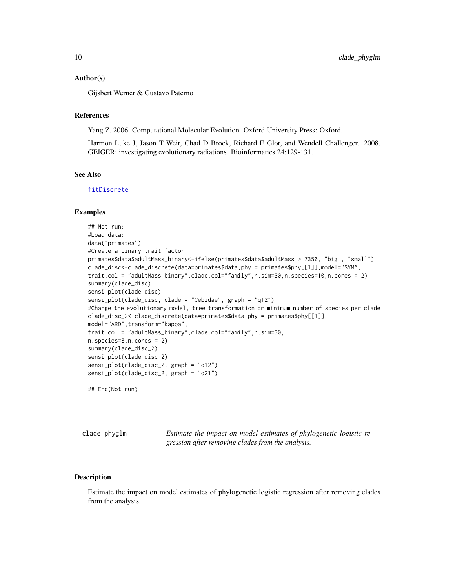#### <span id="page-9-0"></span>Author(s)

Gijsbert Werner & Gustavo Paterno

#### References

Yang Z. 2006. Computational Molecular Evolution. Oxford University Press: Oxford.

Harmon Luke J, Jason T Weir, Chad D Brock, Richard E Glor, and Wendell Challenger. 2008. GEIGER: investigating evolutionary radiations. Bioinformatics 24:129-131.

#### See Also

[fitDiscrete](#page-0-0)

# Examples

```
## Not run:
#Load data:
data("primates")
#Create a binary trait factor
primates$data$adultMass_binary<-ifelse(primates$data$adultMass > 7350, "big", "small")
clade_disc<-clade_discrete(data=primates$data,phy = primates$phy[[1]],model="SYM",
trait.col = "adultMass_binary",clade.col="family",n.sim=30,n.species=10,n.cores = 2)
summary(clade_disc)
sensi_plot(clade_disc)
sensi_plot(clade_disc, clade = "Cebidae", graph = "q12")
#Change the evolutionary model, tree transformation or minimum number of species per clade
clade_disc_2<-clade_discrete(data=primates$data,phy = primates$phy[[1]],
model="ARD", transform="kappa",
trait.col = "adultMass_binary",clade.col="family",n.sim=30,
n.species=8,n.cores = 2)
summary(clade_disc_2)
sensi_plot(clade_disc_2)
sensi_plot(clade_disc_2, graph = "q12")
sensi_plot(clade_disc_2, graph = "q21")
## End(Not run)
```
<span id="page-9-1"></span>clade\_phyglm *Estimate the impact on model estimates of phylogenetic logistic regression after removing clades from the analysis.*

# Description

Estimate the impact on model estimates of phylogenetic logistic regression after removing clades from the analysis.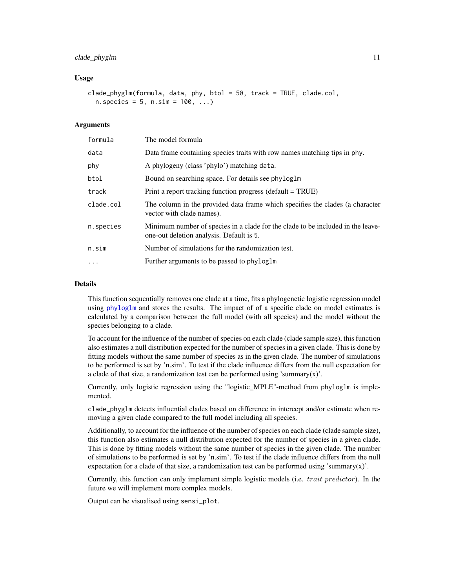### clade\_phyglm 11

#### Usage

```
clade_phyglm(formula, data, phy, btol = 50, track = TRUE, clade.col,
  n.\,species = 5, n.\,sim = 100, ...
```
# Arguments

| formula   | The model formula                                                                                                           |
|-----------|-----------------------------------------------------------------------------------------------------------------------------|
| data      | Data frame containing species traits with row names matching tips in phy.                                                   |
| phy       | A phylogeny (class 'phylo') matching data.                                                                                  |
| btol      | Bound on searching space. For details see phyloglm                                                                          |
| track     | Print a report tracking function progress (default $=$ TRUE)                                                                |
| clade.col | The column in the provided data frame which specifies the clades (a character<br>vector with clade names).                  |
| n.species | Minimum number of species in a clade for the clade to be included in the leave-<br>one-out deletion analysis. Default is 5. |
| n.sim     | Number of simulations for the randomization test.                                                                           |
| $\cdot$   | Further arguments to be passed to phyloglm                                                                                  |

#### Details

This function sequentially removes one clade at a time, fits a phylogenetic logistic regression model using [phyloglm](#page-0-0) and stores the results. The impact of of a specific clade on model estimates is calculated by a comparison between the full model (with all species) and the model without the species belonging to a clade.

To account for the influence of the number of species on each clade (clade sample size), this function also estimates a null distribution expected for the number of species in a given clade. This is done by fitting models without the same number of species as in the given clade. The number of simulations to be performed is set by 'n.sim'. To test if the clade influence differs from the null expectation for a clade of that size, a randomization test can be performed using 'summary(x)'.

Currently, only logistic regression using the "logistic\_MPLE"-method from phyloglm is implemented.

clade\_phyglm detects influential clades based on difference in intercept and/or estimate when removing a given clade compared to the full model including all species.

Additionally, to account for the influence of the number of species on each clade (clade sample size), this function also estimates a null distribution expected for the number of species in a given clade. This is done by fitting models without the same number of species in the given clade. The number of simulations to be performed is set by 'n.sim'. To test if the clade influence differs from the null expectation for a clade of that size, a randomization test can be performed using 'summary(x)'.

Currently, this function can only implement simple logistic models (i.e. *trait predictor*). In the future we will implement more complex models.

Output can be visualised using sensi\_plot.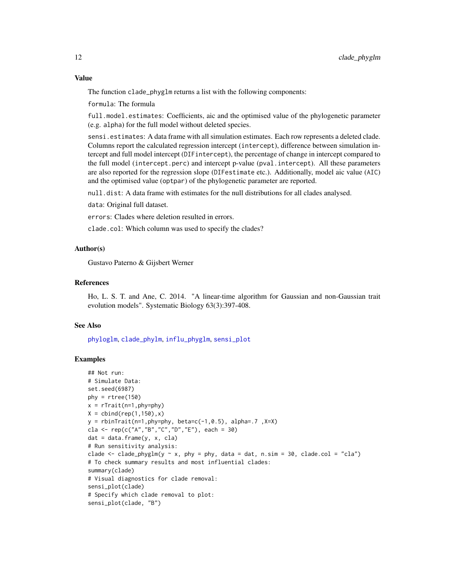#### Value

The function clade\_phyglm returns a list with the following components:

formula: The formula

full.model.estimates: Coefficients, aic and the optimised value of the phylogenetic parameter (e.g. alpha) for the full model without deleted species.

sensi.estimates: A data frame with all simulation estimates. Each row represents a deleted clade. Columns report the calculated regression intercept (intercept), difference between simulation intercept and full model intercept (DIFintercept), the percentage of change in intercept compared to the full model (intercept.perc) and intercept p-value (pval.intercept). All these parameters are also reported for the regression slope (DIFestimate etc.). Additionally, model aic value (AIC) and the optimised value (optpar) of the phylogenetic parameter are reported.

null.dist: A data frame with estimates for the null distributions for all clades analysed.

data: Original full dataset.

errors: Clades where deletion resulted in errors.

clade.col: Which column was used to specify the clades?

# Author(s)

Gustavo Paterno & Gijsbert Werner

# References

Ho, L. S. T. and Ane, C. 2014. "A linear-time algorithm for Gaussian and non-Gaussian trait evolution models". Systematic Biology 63(3):397-408.

#### See Also

[phyloglm](#page-0-0), [clade\\_phylm](#page-12-1), [influ\\_phyglm](#page-20-1), [sensi\\_plot](#page-65-1)

```
## Not run:
# Simulate Data:
set.seed(6987)
phy = rtree(150)x = rTrain(n=1, phy=phy)X = \text{cbind}(\text{rep}(1, 150), x)y = rbinTrait(n=1, phy=phy, beta=c(-1,0.5), alpha=.7, X=X)
cla <- rep(c("A","B","C","D","E"), each = 30)
dat = data-frame(y, x, cla)# Run sensitivity analysis:
clade \le - clade_phyglm(y \sim x, phy = phy, data = dat, n.sim = 30, clade.col = "cla")
# To check summary results and most influential clades:
summary(clade)
# Visual diagnostics for clade removal:
sensi_plot(clade)
# Specify which clade removal to plot:
sensi_plot(clade, "B")
```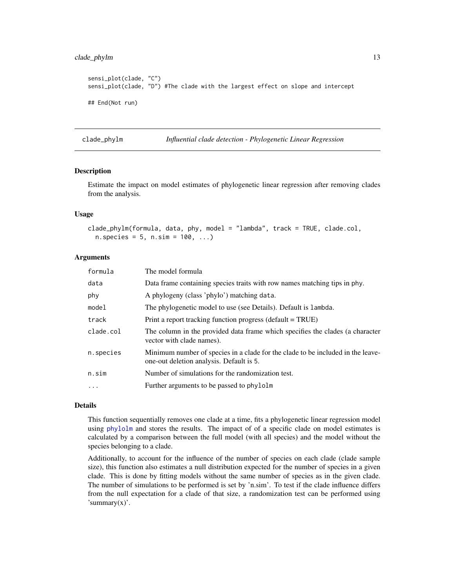# <span id="page-12-0"></span>clade\_phylm 13

```
sensi_plot(clade, "C")
sensi_plot(clade, "D") #The clade with the largest effect on slope and intercept
## End(Not run)
```
<span id="page-12-1"></span>clade\_phylm *Influential clade detection - Phylogenetic Linear Regression*

# **Description**

Estimate the impact on model estimates of phylogenetic linear regression after removing clades from the analysis.

#### Usage

```
clade_phylm(formula, data, phy, model = "lambda", track = TRUE, clade.col,
  n.\,species = 5, n.\,sim = 100, ...
```
# Arguments

| formula   | The model formula                                                                                                           |
|-----------|-----------------------------------------------------------------------------------------------------------------------------|
| data      | Data frame containing species traits with row names matching tips in phy.                                                   |
| phy       | A phylogeny (class 'phylo') matching data.                                                                                  |
| model     | The phylogenetic model to use (see Details). Default is lambda.                                                             |
| track     | Print a report tracking function progress (default = TRUE)                                                                  |
| clade.col | The column in the provided data frame which specifies the clades (a character<br>vector with clade names).                  |
| n.species | Minimum number of species in a clade for the clade to be included in the leave-<br>one-out deletion analysis. Default is 5. |
| n.sim     | Number of simulations for the randomization test.                                                                           |
| $\cdots$  | Further arguments to be passed to phylolm                                                                                   |

#### Details

This function sequentially removes one clade at a time, fits a phylogenetic linear regression model using [phylolm](#page-0-0) and stores the results. The impact of of a specific clade on model estimates is calculated by a comparison between the full model (with all species) and the model without the species belonging to a clade.

Additionally, to account for the influence of the number of species on each clade (clade sample size), this function also estimates a null distribution expected for the number of species in a given clade. This is done by fitting models without the same number of species as in the given clade. The number of simulations to be performed is set by 'n.sim'. To test if the clade influence differs from the null expectation for a clade of that size, a randomization test can be performed using 'summary $(x)$ '.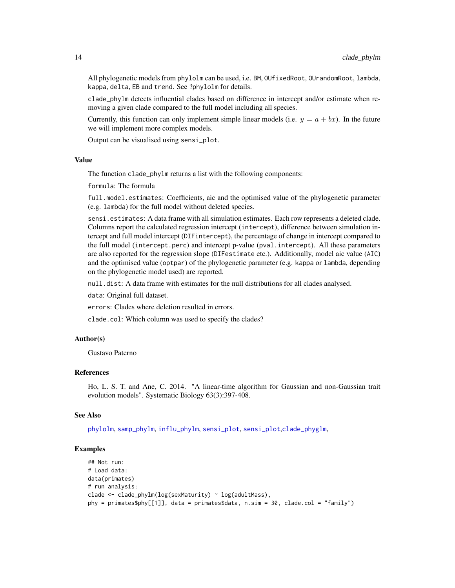All phylogenetic models from phylolm can be used, i.e. BM, OUfixedRoot, OUrandomRoot, lambda, kappa, delta, EB and trend. See ?phylolm for details.

clade\_phylm detects influential clades based on difference in intercept and/or estimate when removing a given clade compared to the full model including all species.

Currently, this function can only implement simple linear models (i.e.  $y = a + bx$ ). In the future we will implement more complex models.

Output can be visualised using sensi\_plot.

#### Value

The function clade\_phylm returns a list with the following components:

formula: The formula

full.model.estimates: Coefficients, aic and the optimised value of the phylogenetic parameter (e.g. lambda) for the full model without deleted species.

sensi.estimates: A data frame with all simulation estimates. Each row represents a deleted clade. Columns report the calculated regression intercept (intercept), difference between simulation intercept and full model intercept (DIFintercept), the percentage of change in intercept compared to the full model (intercept.perc) and intercept p-value (pval.intercept). All these parameters are also reported for the regression slope (DIFestimate etc.). Additionally, model aic value (AIC) and the optimised value (optpar) of the phylogenetic parameter (e.g. kappa or lambda, depending on the phylogenetic model used) are reported.

null.dist: A data frame with estimates for the null distributions for all clades analysed.

data: Original full dataset.

errors: Clades where deletion resulted in errors.

clade.col: Which column was used to specify the clades?

# Author(s)

Gustavo Paterno

#### References

Ho, L. S. T. and Ane, C. 2014. "A linear-time algorithm for Gaussian and non-Gaussian trait evolution models". Systematic Biology 63(3):397-408.

#### See Also

[phylolm](#page-0-0), [samp\\_phylm](#page-60-1), [influ\\_phylm](#page-22-1), [sensi\\_plot](#page-65-1), [sensi\\_plot](#page-65-1),[clade\\_phyglm](#page-9-1),

```
## Not run:
# Load data:
data(primates)
# run analysis:
clade <- clade_phylm(log(sexMaturity) ~ log(adultMass),
phy = primates$phy[[1]], data = primates$data, n.sim = 30, clade.col = "family")
```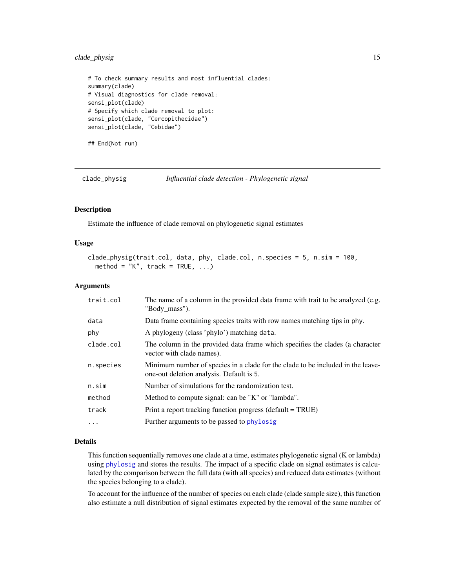# <span id="page-14-0"></span>clade\_physig 15

```
# To check summary results and most influential clades:
summary(clade)
# Visual diagnostics for clade removal:
sensi_plot(clade)
# Specify which clade removal to plot:
sensi_plot(clade, "Cercopithecidae")
sensi_plot(clade, "Cebidae")
```
## End(Not run)

clade\_physig *Influential clade detection - Phylogenetic signal*

#### Description

Estimate the influence of clade removal on phylogenetic signal estimates

#### Usage

```
clade_physig(trait.col, data, phy, clade.col, n.species = 5, n.sim = 100,
 method = "K", track = TRUE, ...)
```
#### Arguments

| trait.col | The name of a column in the provided data frame with trait to be analyzed (e.g.<br>"Body_mass").                            |
|-----------|-----------------------------------------------------------------------------------------------------------------------------|
| data      | Data frame containing species traits with row names matching tips in phy.                                                   |
| phy       | A phylogeny (class 'phylo') matching data.                                                                                  |
| clade.col | The column in the provided data frame which specifies the clades (a character<br>vector with clade names).                  |
| n.species | Minimum number of species in a clade for the clade to be included in the leave-<br>one-out deletion analysis. Default is 5. |
| n.sim     | Number of simulations for the randomization test.                                                                           |
| method    | Method to compute signal: can be "K" or "lambda".                                                                           |
| track     | Print a report tracking function progress (default = TRUE)                                                                  |
| $\cdots$  | Further arguments to be passed to phylosig                                                                                  |

# Details

This function sequentially removes one clade at a time, estimates phylogenetic signal (K or lambda) using [phylosig](#page-0-0) and stores the results. The impact of a specific clade on signal estimates is calculated by the comparison between the full data (with all species) and reduced data estimates (without the species belonging to a clade).

To account for the influence of the number of species on each clade (clade sample size), this function also estimate a null distribution of signal estimates expected by the removal of the same number of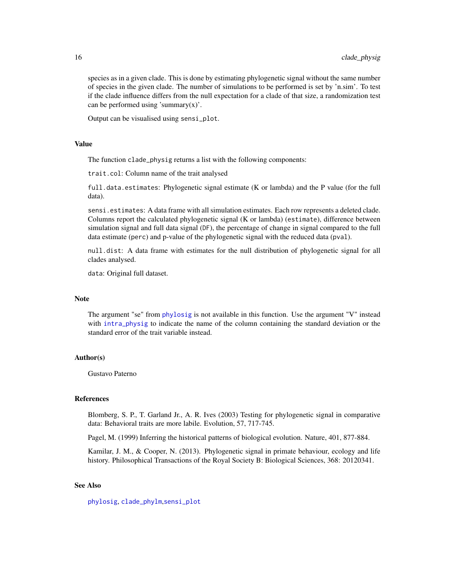species as in a given clade. This is done by estimating phylogenetic signal without the same number of species in the given clade. The number of simulations to be performed is set by 'n.sim'. To test if the clade influence differs from the null expectation for a clade of that size, a randomization test can be performed using 'summary(x)'.

Output can be visualised using sensi\_plot.

# Value

The function clade\_physig returns a list with the following components:

trait.col: Column name of the trait analysed

full.data.estimates: Phylogenetic signal estimate (K or lambda) and the P value (for the full data).

sensi.estimates: A data frame with all simulation estimates. Each row represents a deleted clade. Columns report the calculated phylogenetic signal (K or lambda) (estimate), difference between simulation signal and full data signal (DF), the percentage of change in signal compared to the full data estimate (perc) and p-value of the phylogenetic signal with the reduced data (pval).

null.dist: A data frame with estimates for the null distribution of phylogenetic signal for all clades analysed.

data: Original full dataset.

#### **Note**

The argument "se" from [phylosig](#page-0-0) is not available in this function. Use the argument "V" instead with [intra\\_physig](#page-40-1) to indicate the name of the column containing the standard deviation or the standard error of the trait variable instead.

# Author(s)

Gustavo Paterno

#### References

Blomberg, S. P., T. Garland Jr., A. R. Ives (2003) Testing for phylogenetic signal in comparative data: Behavioral traits are more labile. Evolution, 57, 717-745.

Pagel, M. (1999) Inferring the historical patterns of biological evolution. Nature, 401, 877-884.

Kamilar, J. M., & Cooper, N. (2013). Phylogenetic signal in primate behaviour, ecology and life history. Philosophical Transactions of the Royal Society B: Biological Sciences, 368: 20120341.

# See Also

[phylosig](#page-0-0), [clade\\_phylm](#page-12-1),[sensi\\_plot](#page-65-1)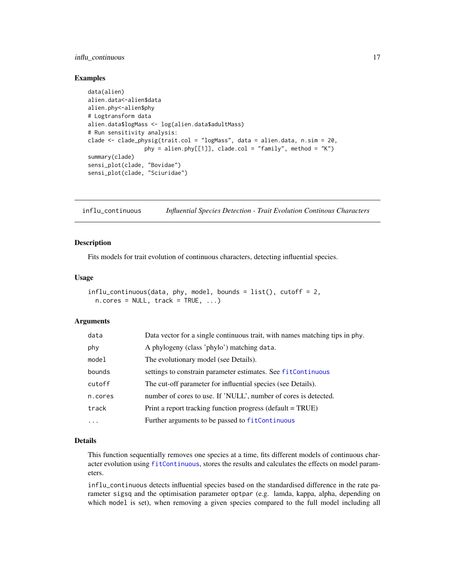# <span id="page-16-0"></span>influ\_continuous 17

#### Examples

```
data(alien)
alien.data<-alien$data
alien.phy<-alien$phy
# Logtransform data
alien.data$logMass <- log(alien.data$adultMass)
# Run sensitivity analysis:
clade <- clade_physig(trait.col = "logMass", data = alien.data, n.sim = 20,
                 phy = alien.php[[1]], clade,col = "family", method = "K")summary(clade)
sensi_plot(clade, "Bovidae")
sensi_plot(clade, "Sciuridae")
```
influ\_continuous *Influential Species Detection - Trait Evolution Continous Characters*

#### Description

Fits models for trait evolution of continuous characters, detecting influential species.

#### Usage

```
influ_{continuous}(data, phy, model, bounds = list(), cutoff = 2,n.core = NULL, track = TRUE, \dots)
```
# Arguments

| data       | Data vector for a single continuous trait, with names matching tips in phy. |
|------------|-----------------------------------------------------------------------------|
| phy        | A phylogeny (class 'phylo') matching data.                                  |
| model      | The evolutionary model (see Details).                                       |
| bounds     | settings to constrain parameter estimates. See fitContinuous                |
| cutoff     | The cut-off parameter for influential species (see Details).                |
| n.cores    | number of cores to use. If 'NULL', number of cores is detected.             |
| track      | Print a report tracking function progress (default = TRUE)                  |
| $\ddots$ . | Further arguments to be passed to fitContinuous                             |

#### Details

This function sequentially removes one species at a time, fits different models of continuous character evolution using [fitContinuous](#page-0-0), stores the results and calculates the effects on model parameters.

influ\_continuous detects influential species based on the standardised difference in the rate parameter sigsq and the optimisation parameter optpar (e.g. lamda, kappa, alpha, depending on which model is set), when removing a given species compared to the full model including all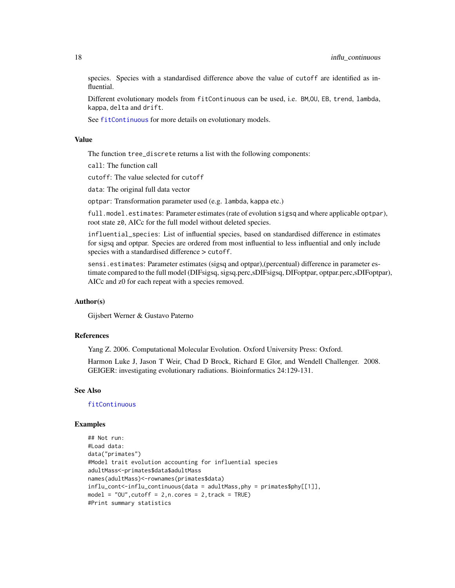species. Species with a standardised difference above the value of cutoff are identified as influential.

Different evolutionary models from fitContinuous can be used, i.e. BM,OU, EB, trend, lambda, kappa, delta and drift.

See [fitContinuous](#page-0-0) for more details on evolutionary models.

#### Value

The function tree\_discrete returns a list with the following components:

call: The function call

cutoff: The value selected for cutoff

data: The original full data vector

optpar: Transformation parameter used (e.g. lambda, kappa etc.)

full.model.estimates: Parameter estimates (rate of evolution sigsq and where applicable optpar), root state z0, AICc for the full model without deleted species.

influential\_species: List of influential species, based on standardised difference in estimates for sigsq and optpar. Species are ordered from most influential to less influential and only include species with a standardised difference > cutoff.

sensi.estimates: Parameter estimates (sigsq and optpar),(percentual) difference in parameter estimate compared to the full model (DIFsigsq, sigsq.perc,sDIFsigsq, DIFoptpar, optpar.perc,sDIFoptpar), AICc and z0 for each repeat with a species removed.

# Author(s)

Gijsbert Werner & Gustavo Paterno

# References

Yang Z. 2006. Computational Molecular Evolution. Oxford University Press: Oxford.

Harmon Luke J, Jason T Weir, Chad D Brock, Richard E Glor, and Wendell Challenger. 2008. GEIGER: investigating evolutionary radiations. Bioinformatics 24:129-131.

# See Also

# [fitContinuous](#page-0-0)

```
## Not run:
#Load data:
data("primates")
#Model trait evolution accounting for influential species
adultMass<-primates$data$adultMass
names(adultMass)<-rownames(primates$data)
influ_cont<-influ_continuous(data = adultMass,phy = primates$phy[[1]],
model = "OU", cutoff = 2, n.core = 2, track = TRUE)#Print summary statistics
```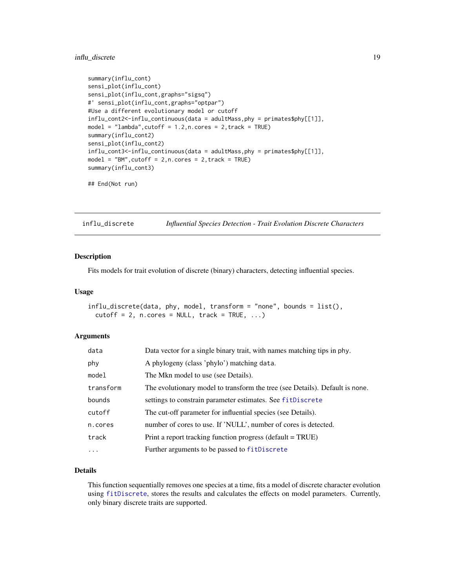# <span id="page-18-0"></span>influ\_discrete 19

```
summary(influ_cont)
sensi_plot(influ_cont)
sensi_plot(influ_cont,graphs="sigsq")
#' sensi_plot(influ_cont,graphs="optpar")
#Use a different evolutionary model or cutoff
influ_cont2<-influ_continuous(data = adultMass,phy = primates$phy[[1]],
model = "lambda", cutoff = 1.2, n.core = 2, track = TRUE)summary(influ_cont2)
sensi_plot(influ_cont2)
influ_cont3<-influ_continuous(data = adultMass,phy = primates$phy[[1]],
model = "BM", cutoff = 2,n.core = 2,track = TRUE)summary(influ_cont3)
```
## End(Not run)

influ\_discrete *Influential Species Detection - Trait Evolution Discrete Characters*

# Description

Fits models for trait evolution of discrete (binary) characters, detecting influential species.

#### Usage

```
influ_discrete(data, phy, model, transform = "none", bounds = list(),
 cutoff = 2, n.core = NULL, track = TRUE, ...)
```
### Arguments

| data      | Data vector for a single binary trait, with names matching tips in phy.      |
|-----------|------------------------------------------------------------------------------|
| phy       | A phylogeny (class 'phylo') matching data.                                   |
| model     | The Mkn model to use (see Details).                                          |
| transform | The evolutionary model to transform the tree (see Details). Default is none. |
| bounds    | settings to constrain parameter estimates. See fitDiscrete                   |
| cutoff    | The cut-off parameter for influential species (see Details).                 |
| n.cores   | number of cores to use. If 'NULL', number of cores is detected.              |
| track     | Print a report tracking function progress (default = TRUE)                   |
| $\cdots$  | Further arguments to be passed to fitDiscrete                                |

#### Details

This function sequentially removes one species at a time, fits a model of discrete character evolution using [fitDiscrete](#page-0-0), stores the results and calculates the effects on model parameters. Currently, only binary discrete traits are supported.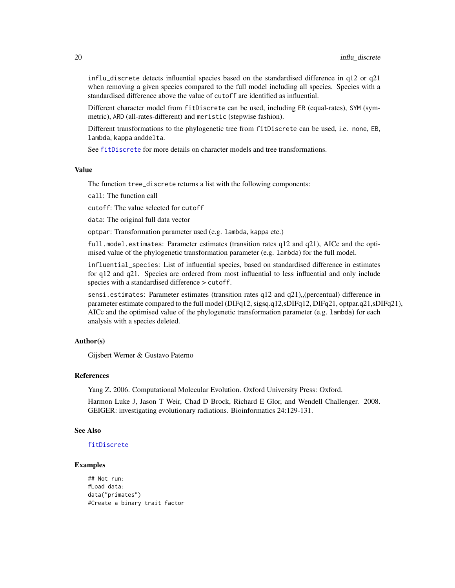influ\_discrete detects influential species based on the standardised difference in q12 or q21 when removing a given species compared to the full model including all species. Species with a standardised difference above the value of cutoff are identified as influential.

Different character model from fitDiscrete can be used, including ER (equal-rates), SYM (symmetric), ARD (all-rates-different) and meristic (stepwise fashion).

Different transformations to the phylogenetic tree from fitDiscrete can be used, i.e. none, EB, lambda, kappa anddelta.

See [fitDiscrete](#page-0-0) for more details on character models and tree transformations.

#### Value

The function tree\_discrete returns a list with the following components:

call: The function call

cutoff: The value selected for cutoff

data: The original full data vector

optpar: Transformation parameter used (e.g. lambda, kappa etc.)

full.model.estimates: Parameter estimates (transition rates q12 and q21), AICc and the optimised value of the phylogenetic transformation parameter (e.g. lambda) for the full model.

influential\_species: List of influential species, based on standardised difference in estimates for q12 and q21. Species are ordered from most influential to less influential and only include species with a standardised difference > cutoff.

sensi.estimates: Parameter estimates (transition rates  $q12$  and  $q21$ ), (percentual) difference in parameter estimate compared to the full model (DIFq12, sigsq.q12,sDIFq12, DIFq21, optpar.q21,sDIFq21), AICc and the optimised value of the phylogenetic transformation parameter (e.g. lambda) for each analysis with a species deleted.

# Author(s)

Gijsbert Werner & Gustavo Paterno

#### References

Yang Z. 2006. Computational Molecular Evolution. Oxford University Press: Oxford.

Harmon Luke J, Jason T Weir, Chad D Brock, Richard E Glor, and Wendell Challenger. 2008. GEIGER: investigating evolutionary radiations. Bioinformatics 24:129-131.

#### See Also

#### [fitDiscrete](#page-0-0)

```
## Not run:
#Load data:
data("primates")
#Create a binary trait factor
```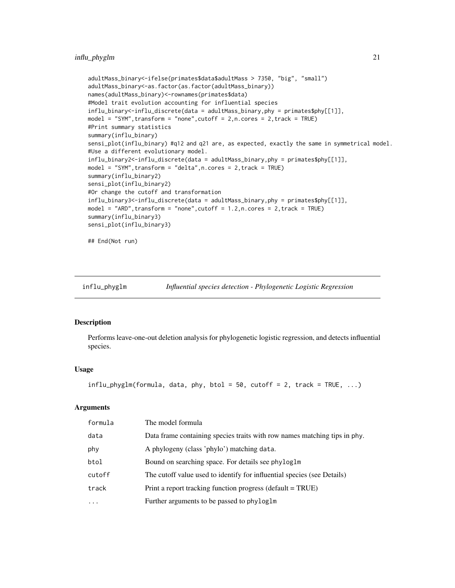```
adultMass_binary<-ifelse(primates$data$adultMass > 7350, "big", "small")
adultMass_binary<-as.factor(as.factor(adultMass_binary))
names(adultMass_binary)<-rownames(primates$data)
#Model trait evolution accounting for influential species
influ_binary<-influ_discrete(data = adultMass_binary,phy = primates$phy[[1]],
model = "SYM", transform = "none", cutoff = 2,n.core = 2,track = TRUE)#Print summary statistics
summary(influ_binary)
sensi_plot(influ_binary) #q12 and q21 are, as expected, exactly the same in symmetrical model.
#Use a different evolutionary model.
influ_binary2<-influ_discrete(data = adultMass_binary,phy = primates$phy[[1]],
model = "SYM",transform = "delta",n.cores = 2,track = TRUE)
summary(influ_binary2)
sensi_plot(influ_binary2)
#Or change the cutoff and transformation
influ_binary3<-influ_discrete(data = adultMass_binary,phy = primates$phy[[1]],
model = "ARD", transform = "none", cutoff = 1.2, n.core = 2, track = TRUE)summary(influ_binary3)
sensi_plot(influ_binary3)
```
## End(Not run)

<span id="page-20-1"></span>influ\_phyglm *Influential species detection - Phylogenetic Logistic Regression*

# Description

Performs leave-one-out deletion analysis for phylogenetic logistic regression, and detects influential species.

#### Usage

 $influ\_phyglm(formula, data, phy, btol = 50, cutoff = 2, track = TRUE, ...)$ 

#### Arguments

| formula   | The model formula                                                         |
|-----------|---------------------------------------------------------------------------|
| data      | Data frame containing species traits with row names matching tips in phy. |
| phy       | A phylogeny (class 'phylo') matching data.                                |
| btol      | Bound on searching space. For details see phyloglm                        |
| cutoff    | The cutoff value used to identify for influential species (see Details)   |
| track     | Print a report tracking function progress (default = TRUE)                |
| $\ddotsc$ | Further arguments to be passed to phyloglm                                |
|           |                                                                           |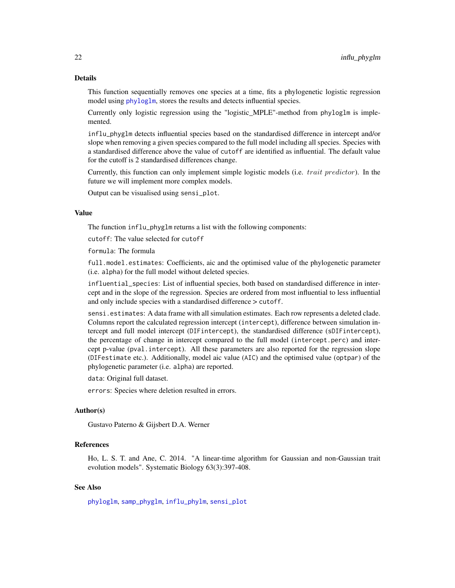# Details

This function sequentially removes one species at a time, fits a phylogenetic logistic regression model using [phyloglm](#page-0-0), stores the results and detects influential species.

Currently only logistic regression using the "logistic\_MPLE"-method from phyloglm is implemented.

influ\_phyglm detects influential species based on the standardised difference in intercept and/or slope when removing a given species compared to the full model including all species. Species with a standardised difference above the value of cutoff are identified as influential. The default value for the cutoff is 2 standardised differences change.

Currently, this function can only implement simple logistic models (i.e. trait predictor). In the future we will implement more complex models.

Output can be visualised using sensi\_plot.

# Value

The function influ\_phyglm returns a list with the following components:

cutoff: The value selected for cutoff

formula: The formula

full.model.estimates: Coefficients, aic and the optimised value of the phylogenetic parameter (i.e. alpha) for the full model without deleted species.

influential\_species: List of influential species, both based on standardised difference in intercept and in the slope of the regression. Species are ordered from most influential to less influential and only include species with a standardised difference > cutoff.

sensi.estimates: A data frame with all simulation estimates. Each row represents a deleted clade. Columns report the calculated regression intercept (intercept), difference between simulation intercept and full model intercept (DIFintercept), the standardised difference (sDIFintercept), the percentage of change in intercept compared to the full model (intercept.perc) and intercept p-value (pval.intercept). All these parameters are also reported for the regression slope (DIFestimate etc.). Additionally, model aic value (AIC) and the optimised value (optpar) of the phylogenetic parameter (i.e. alpha) are reported.

data: Original full dataset.

errors: Species where deletion resulted in errors.

#### Author(s)

Gustavo Paterno & Gijsbert D.A. Werner

#### References

Ho, L. S. T. and Ane, C. 2014. "A linear-time algorithm for Gaussian and non-Gaussian trait evolution models". Systematic Biology 63(3):397-408.

#### See Also

[phyloglm](#page-0-0), [samp\\_phyglm](#page-58-1), [influ\\_phylm](#page-22-1), [sensi\\_plot](#page-65-1)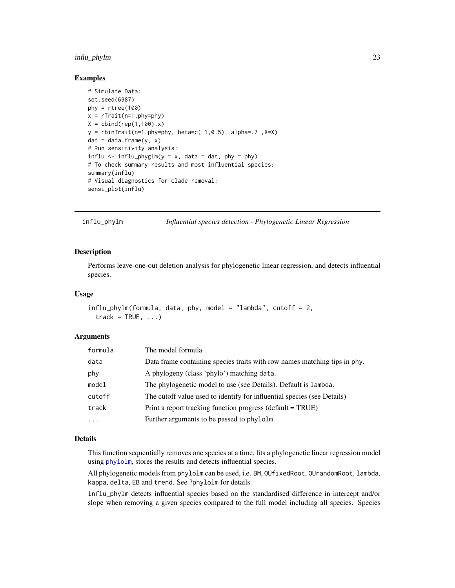# <span id="page-22-0"></span>influ\_phylm 23

# Examples

```
# Simulate Data:
set.seed(6987)
phy = rtree(100)x = rTrain(n=1, phy=phy)X = \text{cbind}(\text{rep}(1, 100), x)y = \text{rbinTrait(n=1, phy=phy, beta=c(-1, 0.5), alpha=.7 , X=X)}dat = data-frame(y, x)# Run sensitivity analysis:
influ \le influ_phyglm(y \sim x, data = dat, phy = phy)
# To check summary results and most influential species:
summary(influ)
# Visual diagnostics for clade removal:
sensi_plot(influ)
```
#### <span id="page-22-1"></span>influ\_phylm *Influential species detection - Phylogenetic Linear Regression*

#### Description

Performs leave-one-out deletion analysis for phylogenetic linear regression, and detects influential species.

# Usage

```
influ\_phylm(formula, data, phy, model = "lambda", cutoff = 2,track = TRUE, ...)
```
### Arguments

| formula   | The model formula                                                         |
|-----------|---------------------------------------------------------------------------|
| data      | Data frame containing species traits with row names matching tips in phy. |
| phy       | A phylogeny (class 'phylo') matching data.                                |
| model     | The phylogenetic model to use (see Details). Default is lambda.           |
| cutoff    | The cutoff value used to identify for influential species (see Details)   |
| track     | Print a report tracking function progress (default = TRUE)                |
| $\ddotsc$ | Further arguments to be passed to phylolm                                 |

#### Details

This function sequentially removes one species at a time, fits a phylogenetic linear regression model using [phylolm](#page-0-0), stores the results and detects influential species.

All phylogenetic models from phylolm can be used, i.e. BM, OUfixedRoot, OUrandomRoot, lambda, kappa, delta, EB and trend. See ?phylolm for details.

influ\_phylm detects influential species based on the standardised difference in intercept and/or slope when removing a given species compared to the full model including all species. Species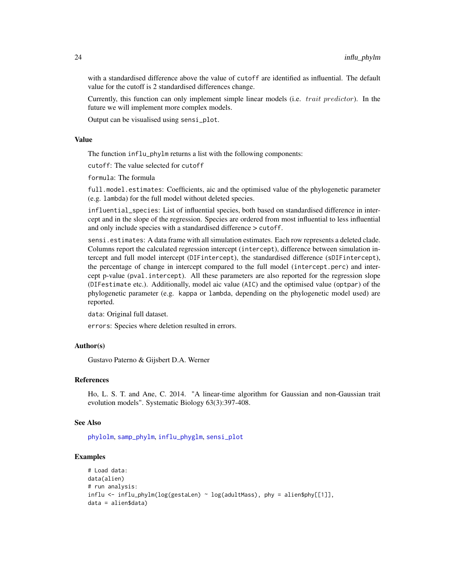with a standardised difference above the value of cutoff are identified as influential. The default value for the cutoff is 2 standardised differences change.

Currently, this function can only implement simple linear models (i.e. trait predictor). In the future we will implement more complex models.

Output can be visualised using sensi\_plot.

# Value

The function influ\_phylm returns a list with the following components:

cutoff: The value selected for cutoff

formula: The formula

full.model.estimates: Coefficients, aic and the optimised value of the phylogenetic parameter (e.g. lambda) for the full model without deleted species.

influential\_species: List of influential species, both based on standardised difference in intercept and in the slope of the regression. Species are ordered from most influential to less influential and only include species with a standardised difference > cutoff.

sensi.estimates: A data frame with all simulation estimates. Each row represents a deleted clade. Columns report the calculated regression intercept (intercept), difference between simulation intercept and full model intercept (DIFintercept), the standardised difference (sDIFintercept), the percentage of change in intercept compared to the full model (intercept.perc) and intercept p-value (pval.intercept). All these parameters are also reported for the regression slope (DIFestimate etc.). Additionally, model aic value (AIC) and the optimised value (optpar) of the phylogenetic parameter (e.g. kappa or lambda, depending on the phylogenetic model used) are reported.

data: Original full dataset.

errors: Species where deletion resulted in errors.

# Author(s)

Gustavo Paterno & Gijsbert D.A. Werner

#### References

Ho, L. S. T. and Ane, C. 2014. "A linear-time algorithm for Gaussian and non-Gaussian trait evolution models". Systematic Biology 63(3):397-408.

#### See Also

[phylolm](#page-0-0), [samp\\_phylm](#page-60-1), [influ\\_phyglm](#page-20-1), [sensi\\_plot](#page-65-1)

```
# Load data:
data(alien)
# run analysis:
influ <- influ_phylm(log(gestaLen) ~ log(adultMass), phy = alien$phy[[1]],
data = alien$data)
```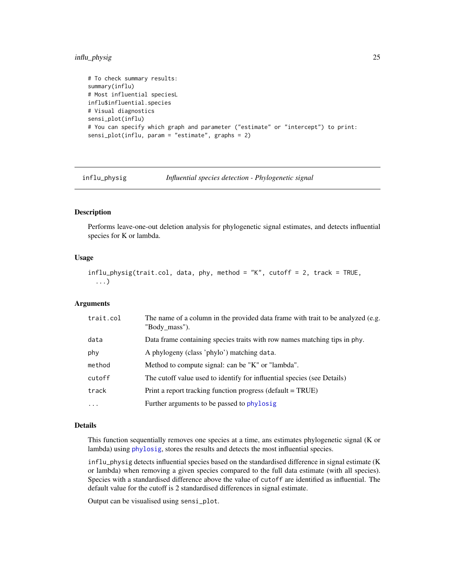# <span id="page-24-0"></span>influ\_physig 25

```
# To check summary results:
summary(influ)
# Most influential speciesL
influ$influential.species
# Visual diagnostics
sensi_plot(influ)
# You can specify which graph and parameter ("estimate" or "intercept") to print:
sensi_plot(influ, param = "estimate", graphs = 2)
```
influ\_physig *Influential species detection - Phylogenetic signal*

# Description

Performs leave-one-out deletion analysis for phylogenetic signal estimates, and detects influential species for K or lambda.

# Usage

```
influ_physig(trait.col, data, phy, method = "K", cutoff = 2, track = TRUE,
  ...)
```
# Arguments

| trait.col | The name of a column in the provided data frame with trait to be analyzed (e.g.<br>"Body_mass"). |
|-----------|--------------------------------------------------------------------------------------------------|
| data      | Data frame containing species traits with row names matching tips in phy.                        |
| phy       | A phylogeny (class 'phylo') matching data.                                                       |
| method    | Method to compute signal: can be "K" or "lambda".                                                |
| cutoff    | The cutoff value used to identify for influential species (see Details)                          |
| track     | Print a report tracking function progress (default = TRUE)                                       |
| .         | Further arguments to be passed to phylosig                                                       |
|           |                                                                                                  |

#### Details

This function sequentially removes one species at a time, ans estimates phylogenetic signal (K or lambda) using [phylosig](#page-0-0), stores the results and detects the most influential species.

influ\_physig detects influential species based on the standardised difference in signal estimate (K or lambda) when removing a given species compared to the full data estimate (with all species). Species with a standardised difference above the value of cutoff are identified as influential. The default value for the cutoff is 2 standardised differences in signal estimate.

Output can be visualised using sensi\_plot.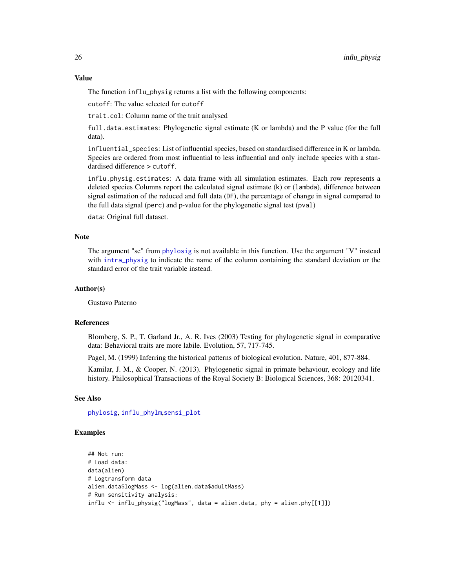#### Value

The function influ\_physig returns a list with the following components:

cutoff: The value selected for cutoff

trait.col: Column name of the trait analysed

full.data.estimates: Phylogenetic signal estimate (K or lambda) and the P value (for the full data).

influential\_species: List of influential species, based on standardised difference in K or lambda. Species are ordered from most influential to less influential and only include species with a standardised difference > cutoff.

influ.physig.estimates: A data frame with all simulation estimates. Each row represents a deleted species Columns report the calculated signal estimate (k) or (lambda), difference between signal estimation of the reduced and full data (DF), the percentage of change in signal compared to the full data signal (perc) and p-value for the phylogenetic signal test (pval)

data: Original full dataset.

#### Note

The argument "se" from [phylosig](#page-0-0) is not available in this function. Use the argument "V" instead with [intra\\_physig](#page-40-1) to indicate the name of the column containing the standard deviation or the standard error of the trait variable instead.

# Author(s)

Gustavo Paterno

# References

Blomberg, S. P., T. Garland Jr., A. R. Ives (2003) Testing for phylogenetic signal in comparative data: Behavioral traits are more labile. Evolution, 57, 717-745.

Pagel, M. (1999) Inferring the historical patterns of biological evolution. Nature, 401, 877-884.

Kamilar, J. M., & Cooper, N. (2013). Phylogenetic signal in primate behaviour, ecology and life history. Philosophical Transactions of the Royal Society B: Biological Sciences, 368: 20120341.

#### See Also

[phylosig](#page-0-0), [influ\\_phylm](#page-22-1),[sensi\\_plot](#page-65-1)

```
## Not run:
# Load data:
data(alien)
# Logtransform data
alien.data$logMass <- log(alien.data$adultMass)
# Run sensitivity analysis:
influ <- influ_physig("logMass", data = alien.data, phy = alien.phy[[1]])
```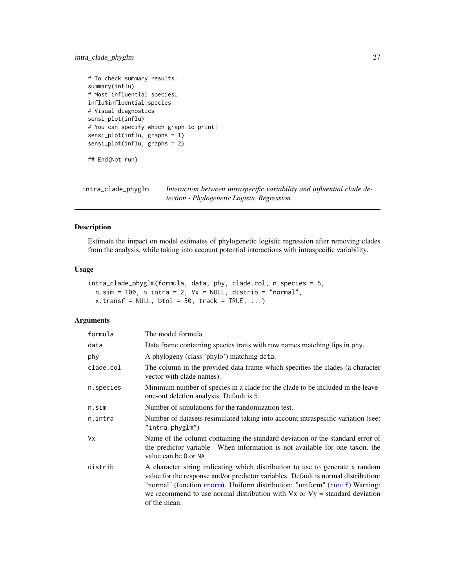# <span id="page-26-0"></span>intra\_clade\_phyglm 27

```
# To check summary results:
summary(influ)
# Most influential speciesL
influ$influential.species
# Visual diagnostics
sensi_plot(influ)
# You can specify which graph to print:
sensi_plot(influ, graphs = 1)
sensi_plot(influ, graphs = 2)
## End(Not run)
```
<span id="page-26-1"></span>intra\_clade\_phyglm *Interaction between intraspecific variability and influential clade detection - Phylogenetic Logistic Regression*

# Description

Estimate the impact on model estimates of phylogenetic logistic regression after removing clades from the analysis, while taking into account potential interactions with intraspecific variability.

# Usage

```
intra_clade_phyglm(formula, data, phy, clade.col, n.species = 5,
 n.sim = 100, n.intra = 2, Vx = NULL, distrib = "normal",
 x.transf = NULL, btol = 50, track = TRUE, ...)
```
# Arguments

| formula   | The model formula                                                                                                                                                                                                                                                                                                                                   |
|-----------|-----------------------------------------------------------------------------------------------------------------------------------------------------------------------------------------------------------------------------------------------------------------------------------------------------------------------------------------------------|
| data      | Data frame containing species traits with row names matching tips in phy.                                                                                                                                                                                                                                                                           |
| phy       | A phylogeny (class 'phylo') matching data.                                                                                                                                                                                                                                                                                                          |
| clade.col | The column in the provided data frame which specifies the clades (a character<br>vector with clade names).                                                                                                                                                                                                                                          |
| n.species | Minimum number of species in a clade for the clade to be included in the leave-<br>one-out deletion analysis. Default is 5.                                                                                                                                                                                                                         |
| n.sim     | Number of simulations for the randomization test.                                                                                                                                                                                                                                                                                                   |
| n.intra   | Number of datasets resimulated taking into account intraspecific variation (see:<br>"intra_phyglm")                                                                                                                                                                                                                                                 |
| <b>Vx</b> | Name of the column containing the standard deviation or the standard error of<br>the predictor variable. When information is not available for one taxon, the<br>value can be 0 or NA                                                                                                                                                               |
| distrib   | A character string indicating which distribution to use to generate a random<br>value for the response and/or predictor variables. Default is normal distribution:<br>"normal" (function rnorm). Uniform distribution: "uniform" (runif) Warning:<br>we recommend to use normal distribution with $Vx$ or $Vy =$ standard deviation<br>of the mean. |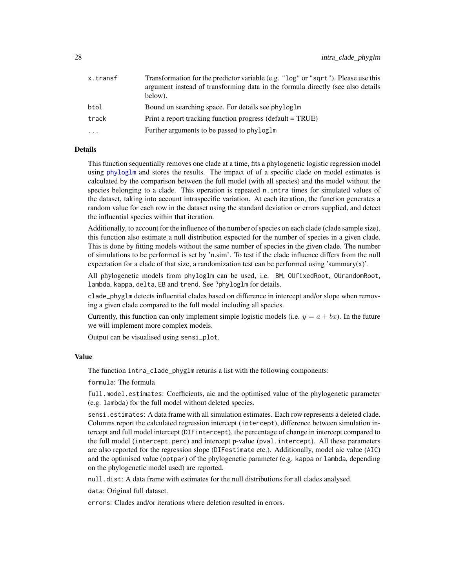| x.transf | Transformation for the predictor variable (e.g. "log" or "sqrt"). Please use this<br>argument instead of transforming data in the formula directly (see also details<br>below). |
|----------|---------------------------------------------------------------------------------------------------------------------------------------------------------------------------------|
| btol     | Bound on searching space. For details see phyloglm                                                                                                                              |
| track    | Print a report tracking function progress (default $= TRUE$ )                                                                                                                   |
| $\cdot$  | Further arguments to be passed to phyloglm                                                                                                                                      |

# Details

This function sequentially removes one clade at a time, fits a phylogenetic logistic regression model using [phyloglm](#page-0-0) and stores the results. The impact of of a specific clade on model estimates is calculated by the comparison between the full model (with all species) and the model without the species belonging to a clade. This operation is repeated n.intra times for simulated values of the dataset, taking into account intraspecific variation. At each iteration, the function generates a random value for each row in the dataset using the standard deviation or errors supplied, and detect the influential species within that iteration.

Additionally, to account for the influence of the number of species on each clade (clade sample size), this function also estimate a null distribution expected for the number of species in a given clade. This is done by fitting models without the same number of species in the given clade. The number of simulations to be performed is set by 'n.sim'. To test if the clade influence differs from the null expectation for a clade of that size, a randomization test can be performed using 'summary(x)'.

All phylogenetic models from phyloglm can be used, i.e. BM, OUfixedRoot, OUrandomRoot, lambda, kappa, delta, EB and trend. See ?phyloglm for details.

clade\_phyglm detects influential clades based on difference in intercept and/or slope when removing a given clade compared to the full model including all species.

Currently, this function can only implement simple logistic models (i.e.  $y = a + bx$ ). In the future we will implement more complex models.

Output can be visualised using sensi\_plot.

# Value

The function intra\_clade\_phyglm returns a list with the following components:

formula: The formula

full.model.estimates: Coefficients, aic and the optimised value of the phylogenetic parameter (e.g. lambda) for the full model without deleted species.

sensi.estimates: A data frame with all simulation estimates. Each row represents a deleted clade. Columns report the calculated regression intercept (intercept), difference between simulation intercept and full model intercept (DIFintercept), the percentage of change in intercept compared to the full model (intercept.perc) and intercept p-value (pval.intercept). All these parameters are also reported for the regression slope (DIFestimate etc.). Additionally, model aic value (AIC) and the optimised value (optpar) of the phylogenetic parameter (e.g. kappa or lambda, depending on the phylogenetic model used) are reported.

null.dist: A data frame with estimates for the null distributions for all clades analysed.

data: Original full dataset.

errors: Clades and/or iterations where deletion resulted in errors.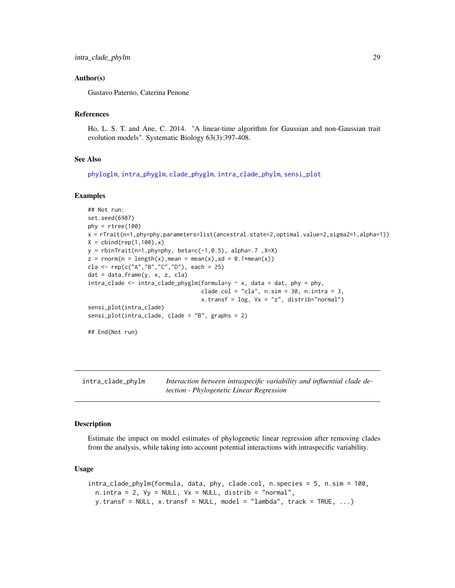# <span id="page-28-0"></span>Author(s)

Gustavo Paterno, Caterina Penone

# References

Ho, L. S. T. and Ane, C. 2014. "A linear-time algorithm for Gaussian and non-Gaussian trait evolution models". Systematic Biology 63(3):397-408.

# See Also

[phyloglm](#page-0-0), [intra\\_phyglm](#page-36-1), [clade\\_phyglm](#page-9-1), [intra\\_clade\\_phylm](#page-28-1), [sensi\\_plot](#page-65-1)

#### Examples

```
## Not run:
set.seed(6987)
phy = rtree(100)x = rTrait(n=1,phy=phy,parameters=list(ancestral.state=2,optimal.value=2,sigma2=1,alpha=1))
X = \text{cbind}(\text{rep}(1, 100), x)y = rbinTrait(n=1,phy=phy, beta=c(-1,0.5), alpha=.7, X=X)
z = \text{rnorm}(n = \text{length}(x), \text{mean} = \text{mean}(x), \text{sd} = \emptyset.1 \times \text{mean}(x))cla <- rep(c("A","B","C","D"), each = 25)
dat = data.frame(y, x, z, cla)
intra\_clade \leq intra\_clade\_phyglm(formula=y \sim x, data = dat, phy = phy,clade.col = "cla", n \sin = 30, n \sin \tan = 3,
                                       x.transf = \log, Vx = "z", distrib="normal")
sensi_plot(intra_clade)
sensi_plot(intra_clade, clade = "B", graphs = 2)
## End(Not run)
```
<span id="page-28-1"></span>

intra\_clade\_phylm *Interaction between intraspecific variability and influential clade detection - Phylogenetic Linear Regression*

# **Description**

Estimate the impact on model estimates of phylogenetic linear regression after removing clades from the analysis, while taking into account potential interactions with intraspecific variability.

#### Usage

```
intra_clade_phylm(formula, data, phy, clade.col, n.species = 5, n.sim = 100,
 n.intra = 2, Vy = NULL, Vx = NULL, distrib = "normal",y.transf = NULL, x.transf = NULL, model = "lambda", track = TRUE, ...)
```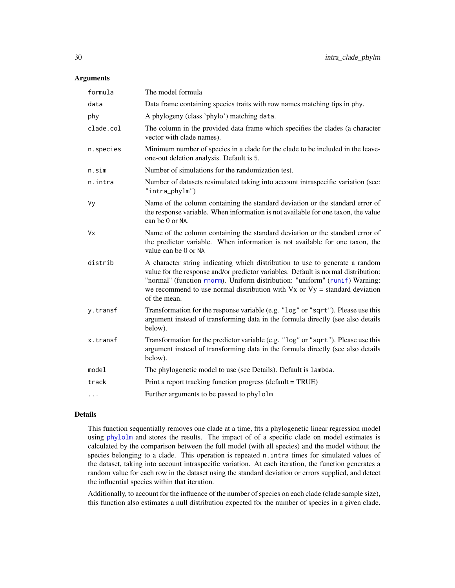# Arguments

| formula   | The model formula                                                                                                                                                                                                                                                                                                                                   |
|-----------|-----------------------------------------------------------------------------------------------------------------------------------------------------------------------------------------------------------------------------------------------------------------------------------------------------------------------------------------------------|
| data      | Data frame containing species traits with row names matching tips in phy.                                                                                                                                                                                                                                                                           |
| phy       | A phylogeny (class 'phylo') matching data.                                                                                                                                                                                                                                                                                                          |
| clade.col | The column in the provided data frame which specifies the clades (a character<br>vector with clade names).                                                                                                                                                                                                                                          |
| n.species | Minimum number of species in a clade for the clade to be included in the leave-<br>one-out deletion analysis. Default is 5.                                                                                                                                                                                                                         |
| n.sim     | Number of simulations for the randomization test.                                                                                                                                                                                                                                                                                                   |
| n.intra   | Number of datasets resimulated taking into account intraspecific variation (see:<br>"intra_phylm")                                                                                                                                                                                                                                                  |
| <b>Vy</b> | Name of the column containing the standard deviation or the standard error of<br>the response variable. When information is not available for one taxon, the value<br>can be 0 or NA.                                                                                                                                                               |
| Vx        | Name of the column containing the standard deviation or the standard error of<br>the predictor variable. When information is not available for one taxon, the<br>value can be 0 or NA                                                                                                                                                               |
| distrib   | A character string indicating which distribution to use to generate a random<br>value for the response and/or predictor variables. Default is normal distribution:<br>"normal" (function rnorm). Uniform distribution: "uniform" (runif) Warning:<br>we recommend to use normal distribution with $Vx$ or $Vy =$ standard deviation<br>of the mean. |
| y.transf  | Transformation for the response variable (e.g. "log" or "sqrt"). Please use this<br>argument instead of transforming data in the formula directly (see also details<br>below).                                                                                                                                                                      |
| x.transf  | Transformation for the predictor variable (e.g. "log" or "sqrt"). Please use this<br>argument instead of transforming data in the formula directly (see also details<br>below).                                                                                                                                                                     |
| model     | The phylogenetic model to use (see Details). Default is lambda.                                                                                                                                                                                                                                                                                     |
| track     | Print a report tracking function progress (default = TRUE)                                                                                                                                                                                                                                                                                          |
| $\cdots$  | Further arguments to be passed to phylolm                                                                                                                                                                                                                                                                                                           |

# Details

This function sequentially removes one clade at a time, fits a phylogenetic linear regression model using [phylolm](#page-0-0) and stores the results. The impact of of a specific clade on model estimates is calculated by the comparison between the full model (with all species) and the model without the species belonging to a clade. This operation is repeated n.intra times for simulated values of the dataset, taking into account intraspecific variation. At each iteration, the function generates a random value for each row in the dataset using the standard deviation or errors supplied, and detect the influential species within that iteration.

Additionally, to account for the influence of the number of species on each clade (clade sample size), this function also estimates a null distribution expected for the number of species in a given clade.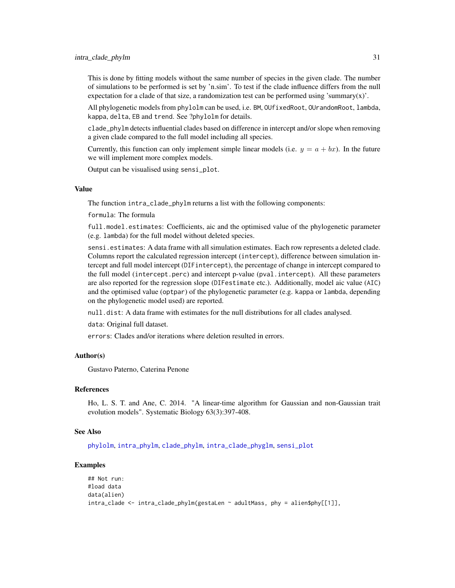This is done by fitting models without the same number of species in the given clade. The number of simulations to be performed is set by 'n.sim'. To test if the clade influence differs from the null expectation for a clade of that size, a randomization test can be performed using 'summary(x)'.

All phylogenetic models from phylolm can be used, i.e. BM, OUfixedRoot, OUrandomRoot, lambda, kappa, delta, EB and trend. See ?phylolm for details.

clade\_phylm detects influential clades based on difference in intercept and/or slope when removing a given clade compared to the full model including all species.

Currently, this function can only implement simple linear models (i.e.  $y = a + bx$ ). In the future we will implement more complex models.

Output can be visualised using sensi\_plot.

#### Value

The function intra\_clade\_phylm returns a list with the following components:

formula: The formula

full.model.estimates: Coefficients, aic and the optimised value of the phylogenetic parameter (e.g. lambda) for the full model without deleted species.

sensi.estimates: A data frame with all simulation estimates. Each row represents a deleted clade. Columns report the calculated regression intercept (intercept), difference between simulation intercept and full model intercept (DIFintercept), the percentage of change in intercept compared to the full model (intercept.perc) and intercept p-value (pval.intercept). All these parameters are also reported for the regression slope (DIFestimate etc.). Additionally, model aic value (AIC) and the optimised value (optpar) of the phylogenetic parameter (e.g. kappa or lambda, depending on the phylogenetic model used) are reported.

null.dist: A data frame with estimates for the null distributions for all clades analysed.

data: Original full dataset.

errors: Clades and/or iterations where deletion resulted in errors.

# Author(s)

Gustavo Paterno, Caterina Penone

# References

Ho, L. S. T. and Ane, C. 2014. "A linear-time algorithm for Gaussian and non-Gaussian trait evolution models". Systematic Biology 63(3):397-408.

#### See Also

[phylolm](#page-0-0), [intra\\_phylm](#page-38-1), [clade\\_phylm](#page-12-1), [intra\\_clade\\_phyglm](#page-26-1), [sensi\\_plot](#page-65-1)

```
## Not run:
#load data
data(alien)
intra_clade <- intra_clade_phylm(gestaLen ~ adultMass, phy = alien$phy[[1]],
```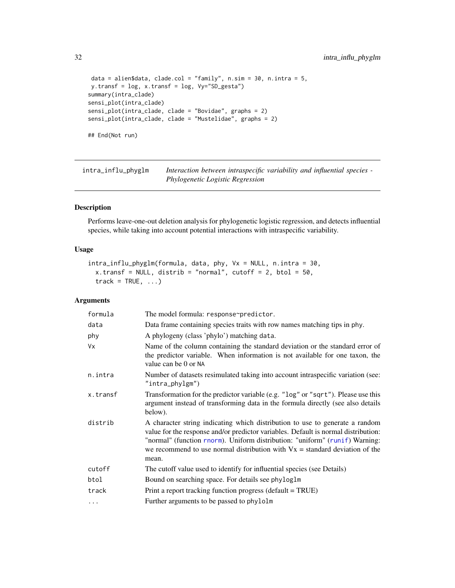```
data = alien$data, clade.col = "family", n \sin = 30, n \sin \tan = 5,
y.transf = log, x.transf = log, Vy="SD_gesta")
summary(intra_clade)
sensi_plot(intra_clade)
sensi_plot(intra_clade, clade = "Bovidae", graphs = 2)
sensi_plot(intra_clade, clade = "Mustelidae", graphs = 2)
## End(Not run)
```
<span id="page-31-1"></span>intra\_influ\_phyglm *Interaction between intraspecific variability and influential species - Phylogenetic Logistic Regression*

# Description

Performs leave-one-out deletion analysis for phylogenetic logistic regression, and detects influential species, while taking into account potential interactions with intraspecific variability.

# Usage

```
intra_influ_phyglm(formula, data, phy, Vx = NULL, n.intra = 30,
 x.transf = NULL, distrib = "normal", cutoff = 2, btol = 50,
  track = TRUE, ...)
```
# Arguments

| formula  | The model formula: response~predictor.                                                                                                                                                                                                                                                                                                      |
|----------|---------------------------------------------------------------------------------------------------------------------------------------------------------------------------------------------------------------------------------------------------------------------------------------------------------------------------------------------|
| data     | Data frame containing species traits with row names matching tips in phy.                                                                                                                                                                                                                                                                   |
| phy      | A phylogeny (class 'phylo') matching data.                                                                                                                                                                                                                                                                                                  |
| Vx       | Name of the column containing the standard deviation or the standard error of<br>the predictor variable. When information is not available for one taxon, the<br>value can be 0 or NA                                                                                                                                                       |
| n.intra  | Number of datasets resimulated taking into account intraspecific variation (see:<br>"intra_phylgm")                                                                                                                                                                                                                                         |
| x.transf | Transformation for the predictor variable (e.g. "log" or "sqrt"). Please use this<br>argument instead of transforming data in the formula directly (see also details<br>below).                                                                                                                                                             |
| distrib  | A character string indicating which distribution to use to generate a random<br>value for the response and/or predictor variables. Default is normal distribution:<br>"normal" (function rnorm). Uniform distribution: "uniform" (runif) Warning:<br>we recommend to use normal distribution with $Vx =$ standard deviation of the<br>mean. |
| cutoff   | The cutoff value used to identify for influential species (see Details)                                                                                                                                                                                                                                                                     |
| btol     | Bound on searching space. For details see phyloglm                                                                                                                                                                                                                                                                                          |
| track    | Print a report tracking function progress (default = TRUE)                                                                                                                                                                                                                                                                                  |
| $\cdots$ | Further arguments to be passed to phylolm                                                                                                                                                                                                                                                                                                   |

<span id="page-31-0"></span>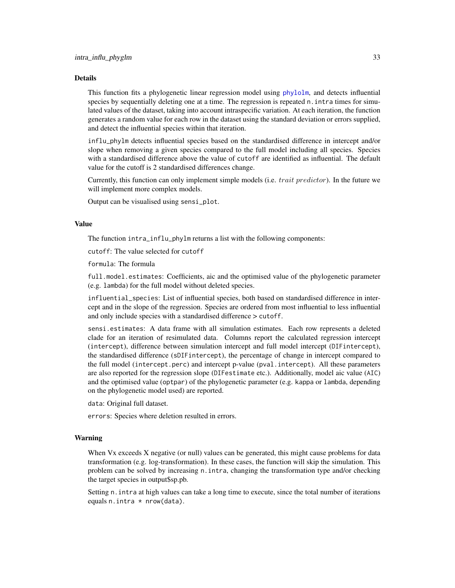#### Details

This function fits a phylogenetic linear regression model using [phylolm](#page-0-0), and detects influential species by sequentially deleting one at a time. The regression is repeated n.intra times for simulated values of the dataset, taking into account intraspecific variation. At each iteration, the function generates a random value for each row in the dataset using the standard deviation or errors supplied, and detect the influential species within that iteration.

influ\_phylm detects influential species based on the standardised difference in intercept and/or slope when removing a given species compared to the full model including all species. Species with a standardised difference above the value of cutoff are identified as influential. The default value for the cutoff is 2 standardised differences change.

Currently, this function can only implement simple models (i.e. *trait predictor*). In the future we will implement more complex models.

Output can be visualised using sensi\_plot.

#### Value

The function intra\_influ\_phylm returns a list with the following components:

cutoff: The value selected for cutoff

formula: The formula

full.model.estimates: Coefficients, aic and the optimised value of the phylogenetic parameter (e.g. lambda) for the full model without deleted species.

influential\_species: List of influential species, both based on standardised difference in intercept and in the slope of the regression. Species are ordered from most influential to less influential and only include species with a standardised difference > cutoff.

sensi.estimates: A data frame with all simulation estimates. Each row represents a deleted clade for an iteration of resimulated data. Columns report the calculated regression intercept (intercept), difference between simulation intercept and full model intercept (DIFintercept), the standardised difference (sDIFintercept), the percentage of change in intercept compared to the full model (intercept.perc) and intercept p-value (pval.intercept). All these parameters are also reported for the regression slope (DIFestimate etc.). Additionally, model aic value (AIC) and the optimised value (optpar) of the phylogenetic parameter (e.g. kappa or lambda, depending on the phylogenetic model used) are reported.

data: Original full dataset.

errors: Species where deletion resulted in errors.

#### Warning

When Vx exceeds X negative (or null) values can be generated, this might cause problems for data transformation (e.g. log-transformation). In these cases, the function will skip the simulation. This problem can be solved by increasing n.intra, changing the transformation type and/or checking the target species in output\$sp.pb.

Setting n.intra at high values can take a long time to execute, since the total number of iterations equals n.intra \* nrow(data).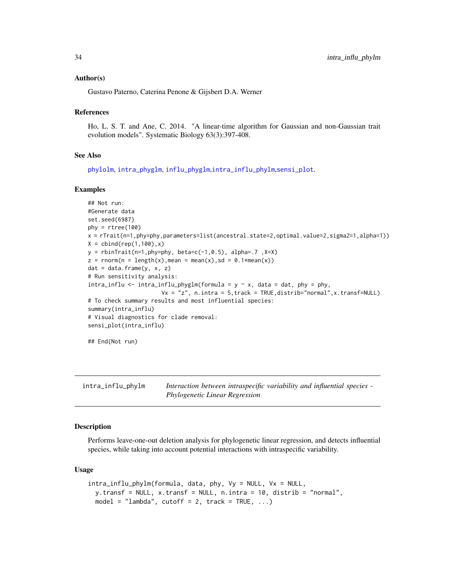#### <span id="page-33-0"></span>Author(s)

Gustavo Paterno, Caterina Penone & Gijsbert D.A. Werner

#### References

Ho, L. S. T. and Ane, C. 2014. "A linear-time algorithm for Gaussian and non-Gaussian trait evolution models". Systematic Biology 63(3):397-408.

#### See Also

[phylolm](#page-0-0), [intra\\_phyglm](#page-36-1), [influ\\_phyglm](#page-20-1),[intra\\_influ\\_phylm](#page-33-1),[sensi\\_plot](#page-65-1).

#### Examples

```
## Not run:
#Generate data
set.seed(6987)
phy = rtree(100)x = rTrait(n=1,phy=phy,parameters=list(ancestral.state=2,optimal.value=2,sigma2=1,alpha=1))
X = \text{cbind}(\text{rep}(1, 100), x)y =rbinTrait(n=1,phy=phy, beta=c(-1,0.5), alpha=.7,X=X)
z = \text{rnorm}(n = \text{length}(x), \text{mean} = \text{mean}(x), \text{sd} = 0.1* \text{mean}(x))dat = data.frame(y, x, z)# Run sensitivity analysis:
intra_influ <- intra_influ_phyglm(formula = y \sim x, data = dat, phy = phy,
                        Vx = "z", n.intra = 5, track = TRUE, distrib="normal", x.transf=NULL)# To check summary results and most influential species:
summary(intra_influ)
# Visual diagnostics for clade removal:
sensi_plot(intra_influ)
## End(Not run)
```
<span id="page-33-1"></span>intra\_influ\_phylm *Interaction between intraspecific variability and influential species - Phylogenetic Linear Regression*

#### Description

Performs leave-one-out deletion analysis for phylogenetic linear regression, and detects influential species, while taking into account potential interactions with intraspecific variability.

#### Usage

```
intra_influ_phylm(formula, data, phy, Vy = NULL, Vx = NULL,
  y.transf = NULL, x.transf = NULL, n.intra = 10, distrib = "normal",
 model = "lambda", cutoff = 2, track = TRUE, \ldots)
```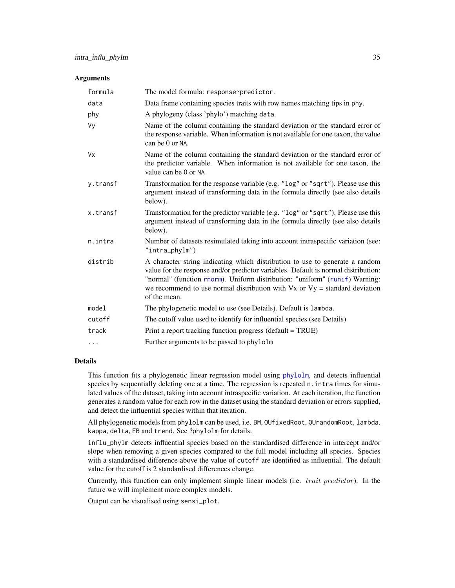#### **Arguments**

| formula   | The model formula: response~predictor.                                                                                                                                                                                                                                                                                                              |
|-----------|-----------------------------------------------------------------------------------------------------------------------------------------------------------------------------------------------------------------------------------------------------------------------------------------------------------------------------------------------------|
| data      | Data frame containing species traits with row names matching tips in phy.                                                                                                                                                                                                                                                                           |
| phy       | A phylogeny (class 'phylo') matching data.                                                                                                                                                                                                                                                                                                          |
| Vy        | Name of the column containing the standard deviation or the standard error of<br>the response variable. When information is not available for one taxon, the value<br>can be 0 or NA.                                                                                                                                                               |
| <b>Vx</b> | Name of the column containing the standard deviation or the standard error of<br>the predictor variable. When information is not available for one taxon, the<br>value can be 0 or NA                                                                                                                                                               |
| y.transf  | Transformation for the response variable (e.g. "log" or "sqrt"). Please use this<br>argument instead of transforming data in the formula directly (see also details<br>below).                                                                                                                                                                      |
| x.transf  | Transformation for the predictor variable (e.g. "log" or "sqrt"). Please use this<br>argument instead of transforming data in the formula directly (see also details<br>below).                                                                                                                                                                     |
| n.intra   | Number of datasets resimulated taking into account intraspecific variation (see:<br>"intra_phylm")                                                                                                                                                                                                                                                  |
| distrib   | A character string indicating which distribution to use to generate a random<br>value for the response and/or predictor variables. Default is normal distribution:<br>"normal" (function rnorm). Uniform distribution: "uniform" (runif) Warning:<br>we recommend to use normal distribution with $Vx$ or $Vy$ = standard deviation<br>of the mean. |
| model     | The phylogenetic model to use (see Details). Default is lambda.                                                                                                                                                                                                                                                                                     |
| cutoff    | The cutoff value used to identify for influential species (see Details)                                                                                                                                                                                                                                                                             |
| track     | Print a report tracking function progress (default = TRUE)                                                                                                                                                                                                                                                                                          |
| .         | Further arguments to be passed to phylolm                                                                                                                                                                                                                                                                                                           |

# **Details**

This function fits a phylogenetic linear regression model using [phylolm](#page-0-0), and detects influential species by sequentially deleting one at a time. The regression is repeated n. intra times for simulated values of the dataset, taking into account intraspecific variation. At each iteration, the function generates a random value for each row in the dataset using the standard deviation or errors supplied, and detect the influential species within that iteration.

All phylogenetic models from phylolm can be used, i.e. BM, OUfixedRoot, OUrandomRoot, lambda, kappa, delta, EB and trend. See ?phylolm for details.

influ\_phylm detects influential species based on the standardised difference in intercept and/or slope when removing a given species compared to the full model including all species. Species with a standardised difference above the value of cutoff are identified as influential. The default value for the cutoff is 2 standardised differences change.

Currently, this function can only implement simple linear models (i.e. *trait predictor*). In the future we will implement more complex models.

Output can be visualised using sensi\_plot.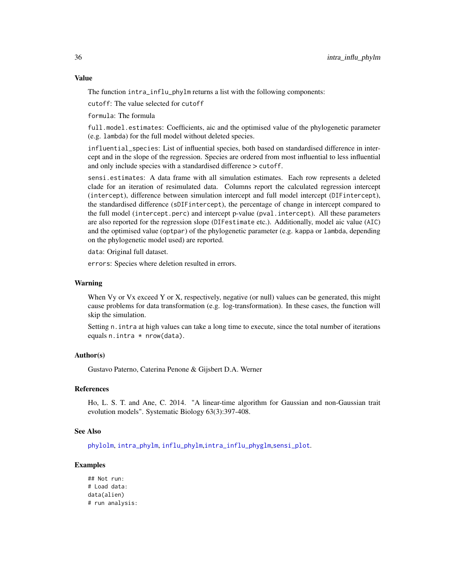#### Value

The function intra\_influ\_phylm returns a list with the following components:

cutoff: The value selected for cutoff

formula: The formula

full.model.estimates: Coefficients, aic and the optimised value of the phylogenetic parameter (e.g. lambda) for the full model without deleted species.

influential\_species: List of influential species, both based on standardised difference in intercept and in the slope of the regression. Species are ordered from most influential to less influential and only include species with a standardised difference > cutoff.

sensi.estimates: A data frame with all simulation estimates. Each row represents a deleted clade for an iteration of resimulated data. Columns report the calculated regression intercept (intercept), difference between simulation intercept and full model intercept (DIFintercept), the standardised difference (sDIFintercept), the percentage of change in intercept compared to the full model (intercept.perc) and intercept p-value (pval.intercept). All these parameters are also reported for the regression slope (DIFestimate etc.). Additionally, model aic value (AIC) and the optimised value (optpar) of the phylogenetic parameter (e.g. kappa or lambda, depending on the phylogenetic model used) are reported.

data: Original full dataset.

errors: Species where deletion resulted in errors.

#### Warning

When Vy or Vx exceed Y or X, respectively, negative (or null) values can be generated, this might cause problems for data transformation (e.g. log-transformation). In these cases, the function will skip the simulation.

Setting n.intra at high values can take a long time to execute, since the total number of iterations equals n.intra \* nrow(data).

# Author(s)

Gustavo Paterno, Caterina Penone & Gijsbert D.A. Werner

#### References

Ho, L. S. T. and Ane, C. 2014. "A linear-time algorithm for Gaussian and non-Gaussian trait evolution models". Systematic Biology 63(3):397-408.

#### See Also

[phylolm](#page-0-0), [intra\\_phylm](#page-38-1), [influ\\_phylm](#page-22-1),[intra\\_influ\\_phyglm](#page-31-1),[sensi\\_plot](#page-65-1).

```
## Not run:
# Load data:
data(alien)
# run analysis:
```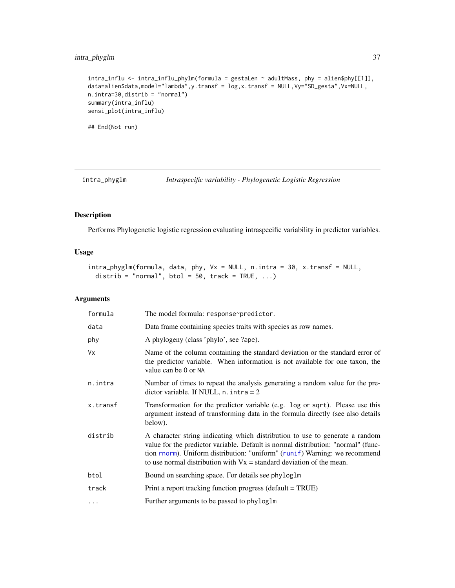# intra\_phyglm 37

```
intra\_influ < - intra\_influ\_phylm(formula = gestalen ~ adultMass, phy = alien$phy[[1]],data=alien$data,model="lambda",y.transf = log,x.transf = NULL,Vy="SD_gesta",Vx=NULL,
n.intra=30,distrib = "normal")
summary(intra_influ)
sensi_plot(intra_influ)
```
## End(Not run)

<span id="page-36-0"></span>intra\_phyglm *Intraspecific variability - Phylogenetic Logistic Regression*

# Description

Performs Phylogenetic logistic regression evaluating intraspecific variability in predictor variables.

## Usage

```
intra_phyglm(formula, data, phy, Vx = NULL, n.intra = 30, x.transf = NULL,
 distrib = "normal", btol = 50, track = TRUE, ...)
```
## Arguments

| formula  | The model formula: response~predictor.                                                                                                                                                                                                                                                                                    |  |
|----------|---------------------------------------------------------------------------------------------------------------------------------------------------------------------------------------------------------------------------------------------------------------------------------------------------------------------------|--|
| data     | Data frame containing species traits with species as row names.                                                                                                                                                                                                                                                           |  |
| phy      | A phylogeny (class 'phylo', see ?ape).                                                                                                                                                                                                                                                                                    |  |
| Vx       | Name of the column containing the standard deviation or the standard error of<br>the predictor variable. When information is not available for one taxon, the<br>value can be 0 or NA                                                                                                                                     |  |
| n.intra  | Number of times to repeat the analysis generating a random value for the pre-<br>dictor variable. If NULL, $n$ . intra = 2                                                                                                                                                                                                |  |
| x.transf | Transformation for the predictor variable (e.g. log or sqrt). Please use this<br>argument instead of transforming data in the formula directly (see also details<br>below).                                                                                                                                               |  |
| distrib  | A character string indicating which distribution to use to generate a random<br>value for the predictor variable. Default is normal distribution: "normal" (func-<br>tion rnorm). Uniform distribution: "uniform" (runif) Warning: we recommend<br>to use normal distribution with $Vx =$ standard deviation of the mean. |  |
| btol     | Bound on searching space. For details see phyloglm                                                                                                                                                                                                                                                                        |  |
| track    | Print a report tracking function progress (default = TRUE)                                                                                                                                                                                                                                                                |  |
| $\cdots$ | Further arguments to be passed to phyloglm                                                                                                                                                                                                                                                                                |  |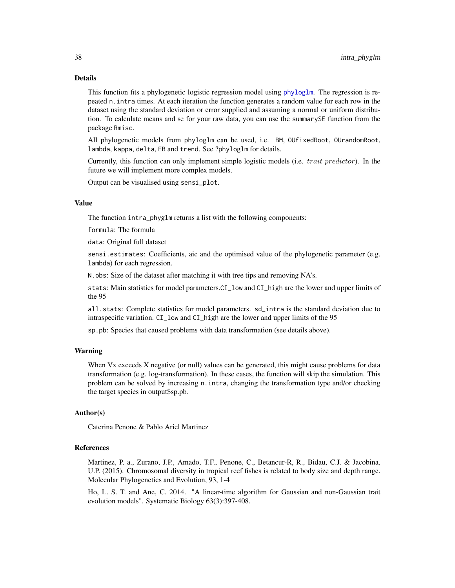## Details

This function fits a phylogenetic logistic regression model using [phyloglm](#page-0-0). The regression is repeated n.intra times. At each iteration the function generates a random value for each row in the dataset using the standard deviation or error supplied and assuming a normal or uniform distribution. To calculate means and se for your raw data, you can use the summarySE function from the package Rmisc.

All phylogenetic models from phyloglm can be used, i.e. BM, OUfixedRoot, OUrandomRoot, lambda, kappa, delta, EB and trend. See ?phyloglm for details.

Currently, this function can only implement simple logistic models (i.e. *trait predictor*). In the future we will implement more complex models.

Output can be visualised using sensi\_plot.

#### Value

The function intra\_phyglm returns a list with the following components:

formula: The formula

data: Original full dataset

sensi.estimates: Coefficients, aic and the optimised value of the phylogenetic parameter (e.g. lambda) for each regression.

N.obs: Size of the dataset after matching it with tree tips and removing NA's.

stats: Main statistics for model parameters.CI\_low and CI\_high are the lower and upper limits of the 95

all.stats: Complete statistics for model parameters. sd\_intra is the standard deviation due to intraspecific variation. CI\_low and CI\_high are the lower and upper limits of the 95

sp.pb: Species that caused problems with data transformation (see details above).

#### Warning

When Vx exceeds X negative (or null) values can be generated, this might cause problems for data transformation (e.g. log-transformation). In these cases, the function will skip the simulation. This problem can be solved by increasing n.intra, changing the transformation type and/or checking the target species in output\$sp.pb.

## Author(s)

Caterina Penone & Pablo Ariel Martinez

#### References

Martinez, P. a., Zurano, J.P., Amado, T.F., Penone, C., Betancur-R, R., Bidau, C.J. & Jacobina, U.P. (2015). Chromosomal diversity in tropical reef fishes is related to body size and depth range. Molecular Phylogenetics and Evolution, 93, 1-4

Ho, L. S. T. and Ane, C. 2014. "A linear-time algorithm for Gaussian and non-Gaussian trait evolution models". Systematic Biology 63(3):397-408.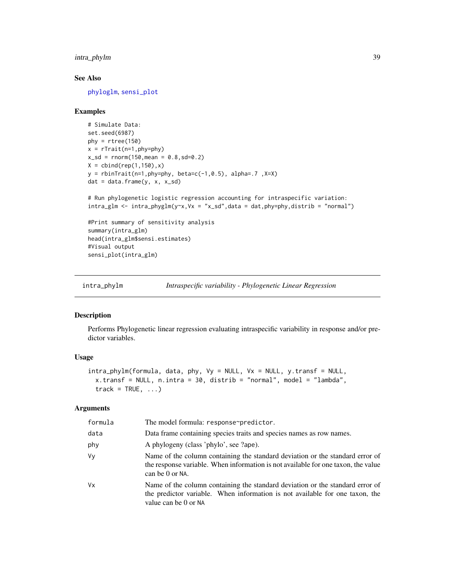intra\_phylm 39

# See Also

[phyloglm](#page-0-0), [sensi\\_plot](#page-65-0)

## Examples

```
# Simulate Data:
set.seed(6987)
phy = rtree(150)x = rTrain(n=1, phy=phy)x_s = rnorm(150, mean = 0.8, sd = 0.2)X = \text{cbind}(\text{rep}(1, 150), x)y =rbinTrait(n=1,phy=phy, beta=c(-1,0.5), alpha=.7,X=X)
dat = data-frame(y, x, x_s)d# Run phylogenetic logistic regression accounting for intraspecific variation:
intra\_glm \leftarrow intra\_phyglm(y \sim x, Vx = "x\_sd", data = dat, phy=phy, distrib = "normal")
```
#Print summary of sensitivity analysis summary(intra\_glm) head(intra\_glm\$sensi.estimates) #Visual output sensi\_plot(intra\_glm)

<span id="page-38-0"></span>intra\_phylm *Intraspecific variability - Phylogenetic Linear Regression*

## Description

Performs Phylogenetic linear regression evaluating intraspecific variability in response and/or predictor variables.

## Usage

```
intra_phylm(formula, data, phy, Vy = NULL, Vx = NULL, y.transf = NULL,
 x.transf = NULL, n.intra = 30, distrib = "normal", model = "lambda",
  track = TRUE, ...)
```
# Arguments

| formula | The model formula: response~predictor.                                                                                                                                                |
|---------|---------------------------------------------------------------------------------------------------------------------------------------------------------------------------------------|
| data    | Data frame containing species traits and species names as row names.                                                                                                                  |
| phy     | A phylogeny (class 'phylo', see ?ape).                                                                                                                                                |
| Vy      | Name of the column containing the standard deviation or the standard error of<br>the response variable. When information is not available for one taxon, the value<br>can be 0 or NA. |
| Vx      | Name of the column containing the standard deviation or the standard error of<br>the predictor variable. When information is not available for one taxon, the<br>value can be 0 or NA |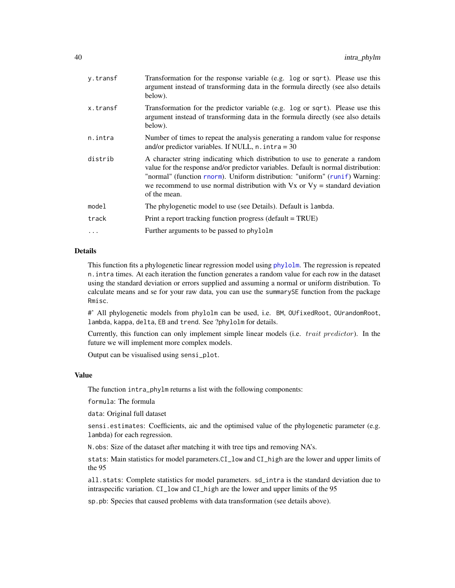| y.transf | Transformation for the response variable (e.g. log or sqrt). Please use this<br>argument instead of transforming data in the formula directly (see also details<br>below).                                                                                                                                                                          |  |
|----------|-----------------------------------------------------------------------------------------------------------------------------------------------------------------------------------------------------------------------------------------------------------------------------------------------------------------------------------------------------|--|
| x.transf | Transformation for the predictor variable (e.g. log or sqrt). Please use this<br>argument instead of transforming data in the formula directly (see also details<br>below).                                                                                                                                                                         |  |
| n.intra  | Number of times to repeat the analysis generating a random value for response<br>and/or predictor variables. If NULL, $n$ . intra = 30                                                                                                                                                                                                              |  |
| distrib  | A character string indicating which distribution to use to generate a random<br>value for the response and/or predictor variables. Default is normal distribution:<br>"normal" (function rnorm). Uniform distribution: "uniform" (runif) Warning:<br>we recommend to use normal distribution with $Vx$ or $Vy =$ standard deviation<br>of the mean. |  |
| model    | The phylogenetic model to use (see Details). Default is lambda.                                                                                                                                                                                                                                                                                     |  |
| track    | Print a report tracking function progress (default = TRUE)                                                                                                                                                                                                                                                                                          |  |
| $\ddots$ | Further arguments to be passed to phylolm                                                                                                                                                                                                                                                                                                           |  |
|          |                                                                                                                                                                                                                                                                                                                                                     |  |

#### Details

This function fits a phylogenetic linear regression model using [phylolm](#page-0-0). The regression is repeated n.intra times. At each iteration the function generates a random value for each row in the dataset using the standard deviation or errors supplied and assuming a normal or uniform distribution. To calculate means and se for your raw data, you can use the summarySE function from the package Rmisc.

#' All phylogenetic models from phylolm can be used, i.e. BM, OUfixedRoot, OUrandomRoot, lambda, kappa, delta, EB and trend. See ?phylolm for details.

Currently, this function can only implement simple linear models (i.e. trait predictor). In the future we will implement more complex models.

Output can be visualised using sensi\_plot.

## Value

The function intra\_phylm returns a list with the following components:

formula: The formula

data: Original full dataset

sensi.estimates: Coefficients, aic and the optimised value of the phylogenetic parameter (e.g. lambda) for each regression.

N.obs: Size of the dataset after matching it with tree tips and removing NA's.

stats: Main statistics for model parameters.CI\_low and CI\_high are the lower and upper limits of the 95

all.stats: Complete statistics for model parameters. sd\_intra is the standard deviation due to intraspecific variation. CI\_low and CI\_high are the lower and upper limits of the 95

sp.pb: Species that caused problems with data transformation (see details above).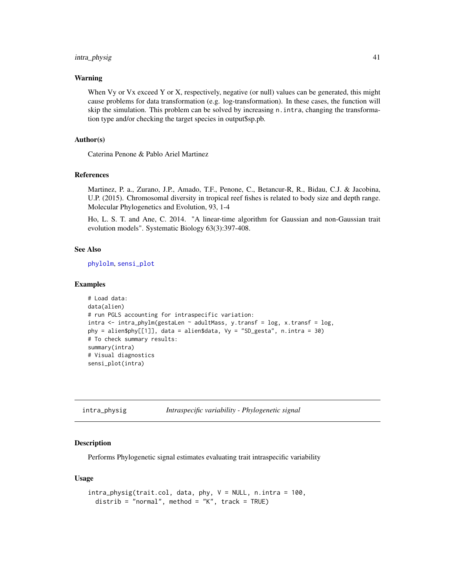## intra\_physig 41

#### Warning

When Vy or Vx exceed Y or X, respectively, negative (or null) values can be generated, this might cause problems for data transformation (e.g. log-transformation). In these cases, the function will skip the simulation. This problem can be solved by increasing n.intra, changing the transformation type and/or checking the target species in output\$sp.pb.

## Author(s)

Caterina Penone & Pablo Ariel Martinez

# References

Martinez, P. a., Zurano, J.P., Amado, T.F., Penone, C., Betancur-R, R., Bidau, C.J. & Jacobina, U.P. (2015). Chromosomal diversity in tropical reef fishes is related to body size and depth range. Molecular Phylogenetics and Evolution, 93, 1-4

Ho, L. S. T. and Ane, C. 2014. "A linear-time algorithm for Gaussian and non-Gaussian trait evolution models". Systematic Biology 63(3):397-408.

# See Also

[phylolm](#page-0-0), [sensi\\_plot](#page-65-0)

#### Examples

```
# Load data:
data(alien)
# run PGLS accounting for intraspecific variation:
intra <- intra_phylm(gestaLen ~ adultMass, y.transf = log, x.transf = log,
phy = alien$phy[[1]], data = alien$data, Vy = "SD_gesta", n.intra = 30)
# To check summary results:
summary(intra)
# Visual diagnostics
sensi_plot(intra)
```
<span id="page-40-0"></span>intra\_physig *Intraspecific variability - Phylogenetic signal*

## Description

Performs Phylogenetic signal estimates evaluating trait intraspecific variability

## Usage

```
intra_physig(trait.col, data, phy, V = NULL, n.intra = 100,
 distrib = "normal", method = "K", track = TRUE)
```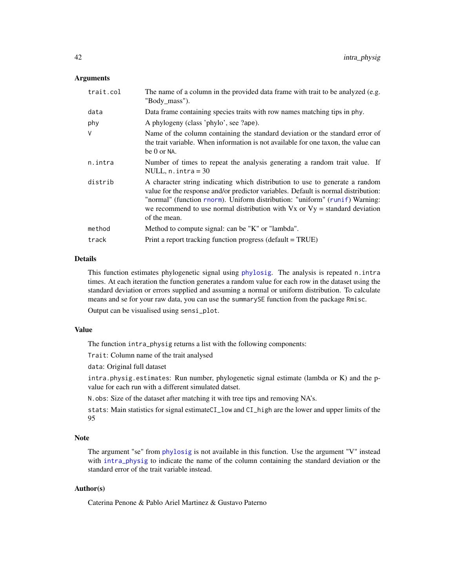## Arguments

| trait.col | The name of a column in the provided data frame with trait to be analyzed (e.g.<br>"Body_mass").                                                                                                                                                                                                                                                    |  |
|-----------|-----------------------------------------------------------------------------------------------------------------------------------------------------------------------------------------------------------------------------------------------------------------------------------------------------------------------------------------------------|--|
| data      | Data frame containing species traits with row names matching tips in phy.                                                                                                                                                                                                                                                                           |  |
| phy       | A phylogeny (class 'phylo', see ?ape).                                                                                                                                                                                                                                                                                                              |  |
| V         | Name of the column containing the standard deviation or the standard error of<br>the trait variable. When information is not available for one taxon, the value can<br>be 0 or NA.                                                                                                                                                                  |  |
| n.intra   | Number of times to repeat the analysis generating a random trait value. If<br>NULL, $n$ . intra = 30                                                                                                                                                                                                                                                |  |
| distrib   | A character string indicating which distribution to use to generate a random<br>value for the response and/or predictor variables. Default is normal distribution:<br>"normal" (function rnorm). Uniform distribution: "uniform" (runif) Warning:<br>we recommend to use normal distribution with $Vx$ or $Vy =$ standard deviation<br>of the mean. |  |
| method    | Method to compute signal: can be "K" or "lambda".                                                                                                                                                                                                                                                                                                   |  |
| track     | Print a report tracking function progress (default = TRUE)                                                                                                                                                                                                                                                                                          |  |
|           |                                                                                                                                                                                                                                                                                                                                                     |  |

## Details

This function estimates phylogenetic signal using [phylosig](#page-0-0). The analysis is repeated n.intra times. At each iteration the function generates a random value for each row in the dataset using the standard deviation or errors supplied and assuming a normal or uniform distribution. To calculate means and se for your raw data, you can use the summarySE function from the package Rmisc.

Output can be visualised using sensi\_plot.

# Value

The function intra\_physig returns a list with the following components:

Trait: Column name of the trait analysed

data: Original full dataset

intra.physig.estimates: Run number, phylogenetic signal estimate (lambda or K) and the pvalue for each run with a different simulated datset.

N.obs: Size of the dataset after matching it with tree tips and removing NA's.

stats: Main statistics for signal estimateCI\_low and CI\_high are the lower and upper limits of the 95

# Note

The argument "se" from [phylosig](#page-0-0) is not available in this function. Use the argument "V" instead with [intra\\_physig](#page-40-0) to indicate the name of the column containing the standard deviation or the standard error of the trait variable instead.

# Author(s)

Caterina Penone & Pablo Ariel Martinez & Gustavo Paterno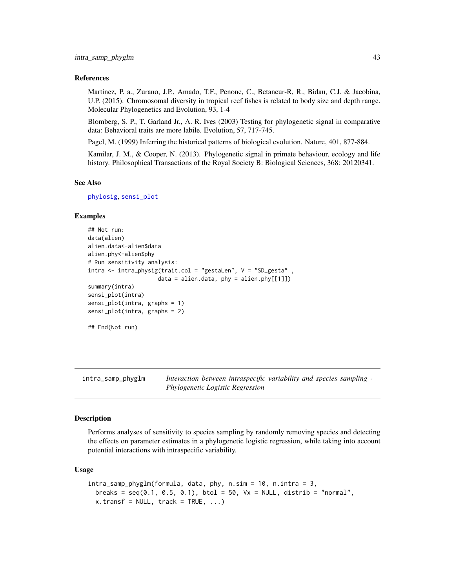## References

Martinez, P. a., Zurano, J.P., Amado, T.F., Penone, C., Betancur-R, R., Bidau, C.J. & Jacobina, U.P. (2015). Chromosomal diversity in tropical reef fishes is related to body size and depth range. Molecular Phylogenetics and Evolution, 93, 1-4

Blomberg, S. P., T. Garland Jr., A. R. Ives (2003) Testing for phylogenetic signal in comparative data: Behavioral traits are more labile. Evolution, 57, 717-745.

Pagel, M. (1999) Inferring the historical patterns of biological evolution. Nature, 401, 877-884.

Kamilar, J. M., & Cooper, N. (2013). Phylogenetic signal in primate behaviour, ecology and life history. Philosophical Transactions of the Royal Society B: Biological Sciences, 368: 20120341.

## See Also

[phylosig](#page-0-0), [sensi\\_plot](#page-65-0)

## Examples

```
## Not run:
data(alien)
alien.data<-alien$data
alien.phy<-alien$phy
# Run sensitivity analysis:
intra <- intra_physig(trait.col = "gestaLen", V = "SD\_gesta"data = alien.data, phy = alien.phy[[1]])
summary(intra)
sensi_plot(intra)
sensi_plot(intra, graphs = 1)
sensi_plot(intra, graphs = 2)
## End(Not run)
```
<span id="page-42-0"></span>intra\_samp\_phyglm *Interaction between intraspecific variability and species sampling - Phylogenetic Logistic Regression*

#### Description

Performs analyses of sensitivity to species sampling by randomly removing species and detecting the effects on parameter estimates in a phylogenetic logistic regression, while taking into account potential interactions with intraspecific variability.

## Usage

```
intra_samp_phyglm(formula, data, phy, n.sim = 10, n.intra = 3,
 breaks = seq(0.1, 0.5, 0.1), btol = 50, Vx = NULL, distrib = "normal",
  x.transf = NULL, track = TRUE, \ldots)
```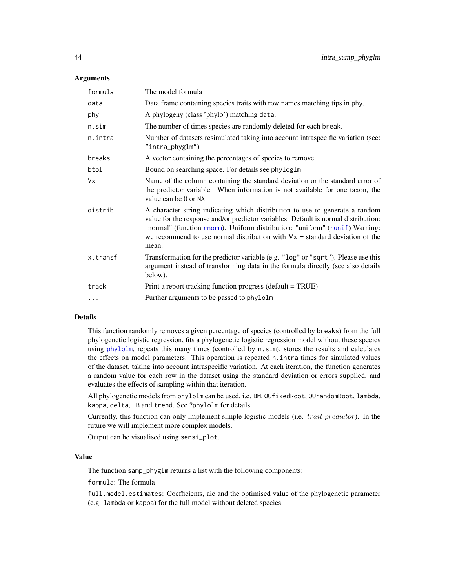## Arguments

| formula  | The model formula                                                                                                                                                                                                                                                                                                                           |  |
|----------|---------------------------------------------------------------------------------------------------------------------------------------------------------------------------------------------------------------------------------------------------------------------------------------------------------------------------------------------|--|
| data     | Data frame containing species traits with row names matching tips in phy.                                                                                                                                                                                                                                                                   |  |
| phy      | A phylogeny (class 'phylo') matching data.                                                                                                                                                                                                                                                                                                  |  |
| n.sim    | The number of times species are randomly deleted for each break.                                                                                                                                                                                                                                                                            |  |
| n.intra  | Number of datasets resimulated taking into account intraspecific variation (see:<br>" $intra$ _phyg $lm"$ )                                                                                                                                                                                                                                 |  |
| breaks   | A vector containing the percentages of species to remove.                                                                                                                                                                                                                                                                                   |  |
| btol     | Bound on searching space. For details see phyloglm                                                                                                                                                                                                                                                                                          |  |
| Vx       | Name of the column containing the standard deviation or the standard error of<br>the predictor variable. When information is not available for one taxon, the<br>value can be 0 or NA                                                                                                                                                       |  |
| distrib  | A character string indicating which distribution to use to generate a random<br>value for the response and/or predictor variables. Default is normal distribution:<br>"normal" (function rnorm). Uniform distribution: "uniform" (runif) Warning:<br>we recommend to use normal distribution with $Vx =$ standard deviation of the<br>mean. |  |
| x.transf | Transformation for the predictor variable (e.g. "log" or "sqrt"). Please use this<br>argument instead of transforming data in the formula directly (see also details<br>below).                                                                                                                                                             |  |
| track    | Print a report tracking function progress (default = TRUE)                                                                                                                                                                                                                                                                                  |  |
| $\cdots$ | Further arguments to be passed to phylolm                                                                                                                                                                                                                                                                                                   |  |

#### Details

This function randomly removes a given percentage of species (controlled by breaks) from the full phylogenetic logistic regression, fits a phylogenetic logistic regression model without these species using [phylolm](#page-0-0), repeats this many times (controlled by n.sim), stores the results and calculates the effects on model parameters. This operation is repeated n.intra times for simulated values of the dataset, taking into account intraspecific variation. At each iteration, the function generates a random value for each row in the dataset using the standard deviation or errors supplied, and evaluates the effects of sampling within that iteration.

All phylogenetic models from phylolm can be used, i.e. BM, OUfixedRoot, OUrandomRoot, lambda, kappa, delta, EB and trend. See ?phylolm for details.

Currently, this function can only implement simple logistic models (i.e. *trait predictor*). In the future we will implement more complex models.

Output can be visualised using sensi\_plot.

## Value

The function samp\_phyglm returns a list with the following components:

formula: The formula

full.model.estimates: Coefficients, aic and the optimised value of the phylogenetic parameter (e.g. lambda or kappa) for the full model without deleted species.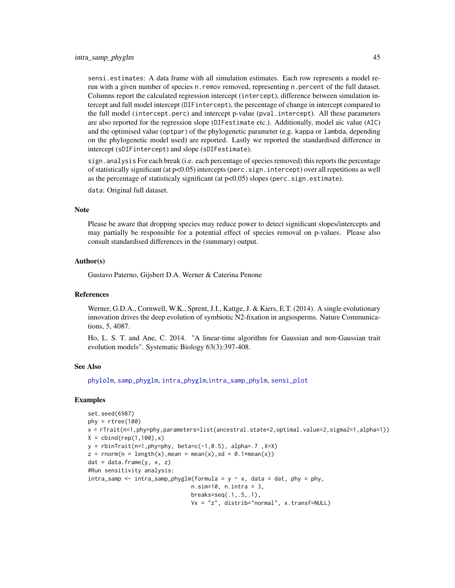sensi.estimates: A data frame with all simulation estimates. Each row represents a model rerun with a given number of species n. remov removed, representing n. percent of the full dataset. Columns report the calculated regression intercept (intercept), difference between simulation intercept and full model intercept (DIFintercept), the percentage of change in intercept compared to the full model (intercept.perc) and intercept p-value (pval.intercept). All these parameters are also reported for the regression slope (DIFestimate etc.). Additionally, model aic value (AIC) and the optimised value (optpar) of the phylogenetic parameter (e.g. kappa or lambda, depending on the phylogenetic model used) are reported. Lastly we reported the standardised difference in intercept (sDIFintercept) and slope (sDIFestimate).

sign.analysis For each break (i.e. each percentage of species removed) this reports the percentage of statistically significant (at p<0.05) intercepts (perc.sign.intercept) over all repetitions as well as the percentage of statisticaly significant (at  $p<0.05$ ) slopes (perc.sign.estimate).

data: Original full dataset.

#### **Note**

Please be aware that dropping species may reduce power to detect significant slopes/intercepts and may partially be responsible for a potential effect of species removal on p-values. Please also consult standardised differences in the (summary) output.

## Author(s)

Gustavo Paterno, Gijsbert D.A. Werner & Caterina Penone

#### References

Werner, G.D.A., Cornwell, W.K., Sprent, J.I., Kattge, J. & Kiers, E.T. (2014). A single evolutionary innovation drives the deep evolution of symbiotic N2-fixation in angiosperms. Nature Communications, 5, 4087.

Ho, L. S. T. and Ane, C. 2014. "A linear-time algorithm for Gaussian and non-Gaussian trait evolution models". Systematic Biology 63(3):397-408.

# See Also

[phylolm](#page-0-0), [samp\\_phyglm](#page-58-0), [intra\\_phyglm](#page-36-0),[intra\\_samp\\_phylm](#page-45-0), [sensi\\_plot](#page-65-0)

## Examples

```
set.seed(6987)
phy = rtree(100)x = rTrait(n=1,phy=phy,parameters=list(ancestral.state=2,optimal.value=2,sigma2=1,alpha=1))
X = \text{cbind}(\text{rep}(1, 100), x)y =rbinTrait(n=1,phy=phy, beta=c(-1,0.5), alpha=.7, X=X)
z = \text{rnorm}(n = \text{length}(x), \text{mean} = \text{mean}(x), \text{sd} = 0.1 \times \text{mean}(x))dat = data-frame(y, x, z)#Run sensitivity analysis:
intra_samp <- intra_samp_phyglm(formula = y \sim x, data = dat, phy = phy,
                                   n.sim=10, n.intra = 3,
                                   breaks=seq(.1,.5,.1),
                                   Vx = "z", distrib="normal", x.transf=NULL)
```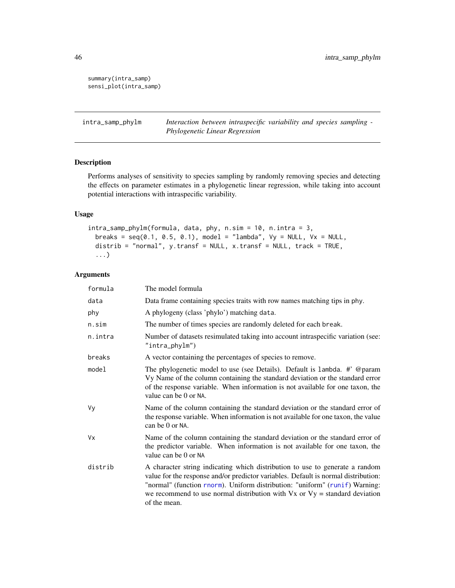```
summary(intra_samp)
sensi_plot(intra_samp)
```
<span id="page-45-0"></span>intra\_samp\_phylm *Interaction between intraspecific variability and species sampling - Phylogenetic Linear Regression*

# Description

Performs analyses of sensitivity to species sampling by randomly removing species and detecting the effects on parameter estimates in a phylogenetic linear regression, while taking into account potential interactions with intraspecific variability.

# Usage

```
intra_samp_phylm(formula, data, phy, n.sim = 10, n.intra = 3,
 breaks = seq(0.1, 0.5, 0.1), model = "lambda", Vy = NULL, Vx = NULL,
 distrib = "normal", y.transf = NULL, x.transf = NULL, track = TRUE,
  ...)
```
## Arguments

| formula | The model formula                                                                                                                                                                                                                                                                                                                                   |  |
|---------|-----------------------------------------------------------------------------------------------------------------------------------------------------------------------------------------------------------------------------------------------------------------------------------------------------------------------------------------------------|--|
| data    | Data frame containing species traits with row names matching tips in phy.                                                                                                                                                                                                                                                                           |  |
| phy     | A phylogeny (class 'phylo') matching data.                                                                                                                                                                                                                                                                                                          |  |
| n.sim   | The number of times species are randomly deleted for each break.                                                                                                                                                                                                                                                                                    |  |
| n.intra | Number of datasets resimulated taking into account intraspecific variation (see:<br>"intra_phylm")                                                                                                                                                                                                                                                  |  |
| breaks  | A vector containing the percentages of species to remove.                                                                                                                                                                                                                                                                                           |  |
| model   | The phylogenetic model to use (see Details). Default is lambda. #' @param<br>Vy Name of the column containing the standard deviation or the standard error<br>of the response variable. When information is not available for one taxon, the<br>value can be 0 or NA.                                                                               |  |
| Vy      | Name of the column containing the standard deviation or the standard error of<br>the response variable. When information is not available for one taxon, the value<br>can be 0 or NA.                                                                                                                                                               |  |
| Vx      | Name of the column containing the standard deviation or the standard error of<br>the predictor variable. When information is not available for one taxon, the<br>value can be 0 or NA                                                                                                                                                               |  |
| distrib | A character string indicating which distribution to use to generate a random<br>value for the response and/or predictor variables. Default is normal distribution:<br>"normal" (function rnorm). Uniform distribution: "uniform" (runif) Warning:<br>we recommend to use normal distribution with $Vx$ or $Vy =$ standard deviation<br>of the mean. |  |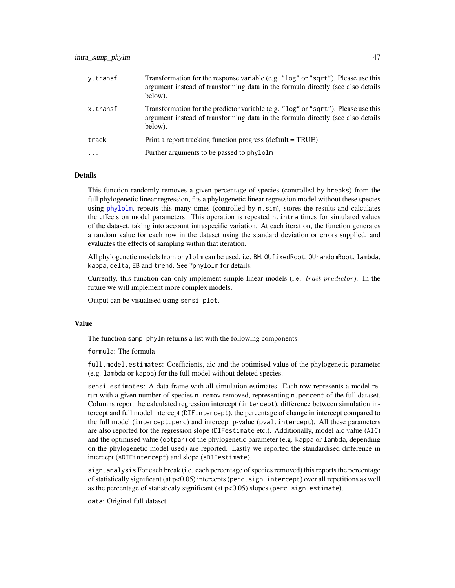| y.transf | Transformation for the response variable (e.g. "log" or "sqrt"). Please use this<br>argument instead of transforming data in the formula directly (see also details<br>below).  |
|----------|---------------------------------------------------------------------------------------------------------------------------------------------------------------------------------|
| x.transf | Transformation for the predictor variable (e.g. "log" or "sqrt"). Please use this<br>argument instead of transforming data in the formula directly (see also details<br>below). |
| track    | Print a report tracking function progress (default $= TRUE$ )                                                                                                                   |
| .        | Further arguments to be passed to phylolm                                                                                                                                       |

# **Details**

This function randomly removes a given percentage of species (controlled by breaks) from the full phylogenetic linear regression, fits a phylogenetic linear regression model without these species using [phylolm](#page-0-0), repeats this many times (controlled by n.sim), stores the results and calculates the effects on model parameters. This operation is repeated n.intra times for simulated values of the dataset, taking into account intraspecific variation. At each iteration, the function generates a random value for each row in the dataset using the standard deviation or errors supplied, and evaluates the effects of sampling within that iteration.

All phylogenetic models from phylolm can be used, i.e. BM, OUfixedRoot, OUrandomRoot, lambda, kappa, delta, EB and trend. See ?phylolm for details.

Currently, this function can only implement simple linear models (i.e. *trait predictor*). In the future we will implement more complex models.

Output can be visualised using sensi\_plot.

#### Value

The function samp\_phylm returns a list with the following components:

formula: The formula

full.model.estimates: Coefficients, aic and the optimised value of the phylogenetic parameter (e.g. lambda or kappa) for the full model without deleted species.

sensi.estimates: A data frame with all simulation estimates. Each row represents a model rerun with a given number of species n. remov removed, representing n. percent of the full dataset. Columns report the calculated regression intercept (intercept), difference between simulation intercept and full model intercept (DIFintercept), the percentage of change in intercept compared to the full model (intercept.perc) and intercept p-value (pval.intercept). All these parameters are also reported for the regression slope (DIFestimate etc.). Additionally, model aic value (AIC) and the optimised value (optpar) of the phylogenetic parameter (e.g. kappa or lambda, depending on the phylogenetic model used) are reported. Lastly we reported the standardised difference in intercept (sDIFintercept) and slope (sDIFestimate).

sign.analysis For each break (i.e. each percentage of species removed) this reports the percentage of statistically significant (at p<0.05) intercepts (perc.sign.intercept) over all repetitions as well as the percentage of statisticaly significant (at  $p<0.05$ ) slopes (perc.sign.estimate).

data: Original full dataset.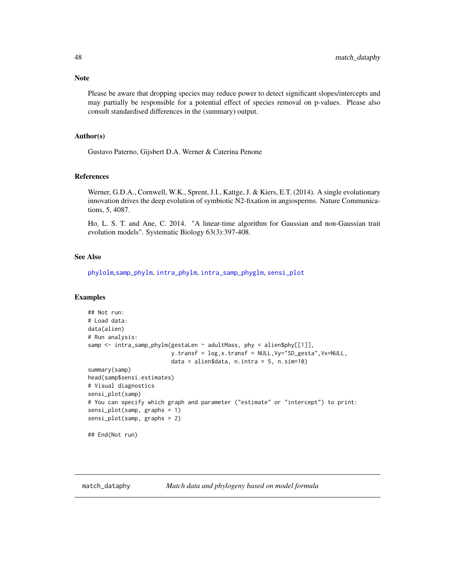Please be aware that dropping species may reduce power to detect significant slopes/intercepts and may partially be responsible for a potential effect of species removal on p-values. Please also consult standardised differences in the (summary) output.

#### Author(s)

Gustavo Paterno, Gijsbert D.A. Werner & Caterina Penone

## References

Werner, G.D.A., Cornwell, W.K., Sprent, J.I., Kattge, J. & Kiers, E.T. (2014). A single evolutionary innovation drives the deep evolution of symbiotic N2-fixation in angiosperms. Nature Communications, 5, 4087.

Ho, L. S. T. and Ane, C. 2014. "A linear-time algorithm for Gaussian and non-Gaussian trait evolution models". Systematic Biology 63(3):397-408.

# See Also

[phylolm](#page-0-0),[samp\\_phylm](#page-60-0), [intra\\_phylm](#page-38-0), [intra\\_samp\\_phyglm](#page-42-0), [sensi\\_plot](#page-65-0)

## Examples

```
## Not run:
# Load data:
data(alien)
# Run analysis:
samp <- intra_samp_phylm(gestaLen ~ adultMass, phy = alien$phy[[1]],
                         y.transf = log,x.transf = NULL,Vy="SD_gesta",Vx=NULL,
                         data = alien$data, n.intra = 5, n.sim=10)
summary(samp)
head(samp$sensi.estimates)
# Visual diagnostics
sensi_plot(samp)
# You can specify which graph and parameter ("estimate" or "intercept") to print:
sensi_plot(samp, graphs = 1)
sensi_plot(samp, graphs = 2)
## End(Not run)
```
match\_dataphy *Match data and phylogeny based on model formula*

# Note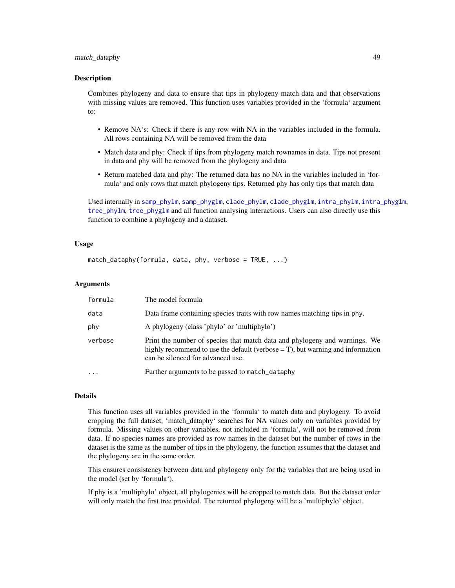## match\_dataphy 49

#### Description

Combines phylogeny and data to ensure that tips in phylogeny match data and that observations with missing values are removed. This function uses variables provided in the 'formula' argument to:

- Remove NA's: Check if there is any row with NA in the variables included in the formula. All rows containing NA will be removed from the data
- Match data and phy: Check if tips from phylogeny match rownames in data. Tips not present in data and phy will be removed from the phylogeny and data
- Return matched data and phy: The returned data has no NA in the variables included in 'formula' and only rows that match phylogeny tips. Returned phy has only tips that match data

Used internally in [samp\\_phylm](#page-60-0), [samp\\_phyglm](#page-58-0), [clade\\_phylm](#page-12-0), [clade\\_phyglm](#page-9-0), [intra\\_phylm](#page-38-0), [intra\\_phyglm](#page-36-0), [tree\\_phylm](#page-107-0), [tree\\_phyglm](#page-106-0) and all function analysing interactions. Users can also directly use this function to combine a phylogeny and a dataset.

## Usage

 $match\_dataphy(formula, data, phy, verbose = TRUE, ...)$ 

#### Arguments

| formula   | The model formula                                                                                                                                                                                   |  |
|-----------|-----------------------------------------------------------------------------------------------------------------------------------------------------------------------------------------------------|--|
| data      | Data frame containing species traits with row names matching tips in phy.                                                                                                                           |  |
| phy       | A phylogeny (class 'phylo' or 'multiphylo')                                                                                                                                                         |  |
| verbose   | Print the number of species that match data and phylogeny and warnings. We<br>highly recommend to use the default (verbose $=$ T), but warning and information<br>can be silenced for advanced use. |  |
| $\ddotsc$ | Further arguments to be passed to match_dataphy                                                                                                                                                     |  |

# Details

This function uses all variables provided in the 'formula' to match data and phylogeny. To avoid cropping the full dataset, 'match\_dataphy' searches for NA values only on variables provided by formula. Missing values on other variables, not included in 'formula', will not be removed from data. If no species names are provided as row names in the dataset but the number of rows in the dataset is the same as the number of tips in the phylogeny, the function assumes that the dataset and the phylogeny are in the same order.

This ensures consistency between data and phylogeny only for the variables that are being used in the model (set by 'formula').

If phy is a 'multiphylo' object, all phylogenies will be cropped to match data. But the dataset order will only match the first tree provided. The returned phylogeny will be a 'multiphylo' object.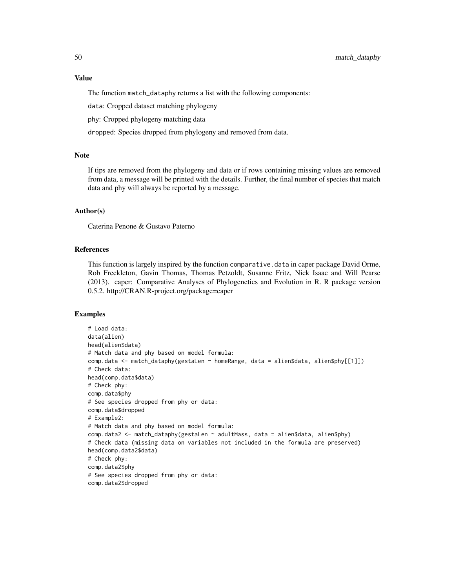#### Value

The function match\_dataphy returns a list with the following components:

data: Cropped dataset matching phylogeny

phy: Cropped phylogeny matching data

dropped: Species dropped from phylogeny and removed from data.

# Note

If tips are removed from the phylogeny and data or if rows containing missing values are removed from data, a message will be printed with the details. Further, the final number of species that match data and phy will always be reported by a message.

## Author(s)

Caterina Penone & Gustavo Paterno

# References

This function is largely inspired by the function comparative.data in caper package David Orme, Rob Freckleton, Gavin Thomas, Thomas Petzoldt, Susanne Fritz, Nick Isaac and Will Pearse (2013). caper: Comparative Analyses of Phylogenetics and Evolution in R. R package version 0.5.2. http://CRAN.R-project.org/package=caper

## Examples

```
# Load data:
data(alien)
head(alien$data)
# Match data and phy based on model formula:
comp.data <- match_dataphy(gestaLen ~ homeRange, data = alien$data, alien$phy[[1]])
# Check data:
head(comp.data$data)
# Check phy:
comp.data$phy
# See species dropped from phy or data:
comp.data$dropped
# Example2:
# Match data and phy based on model formula:
comp.data2 <- match_dataphy(gestaLen ~ adultMass, data = alien$data, alien$phy)
# Check data (missing data on variables not included in the formula are preserved)
head(comp.data2$data)
# Check phy:
comp.data2$phy
# See species dropped from phy or data:
comp.data2$dropped
```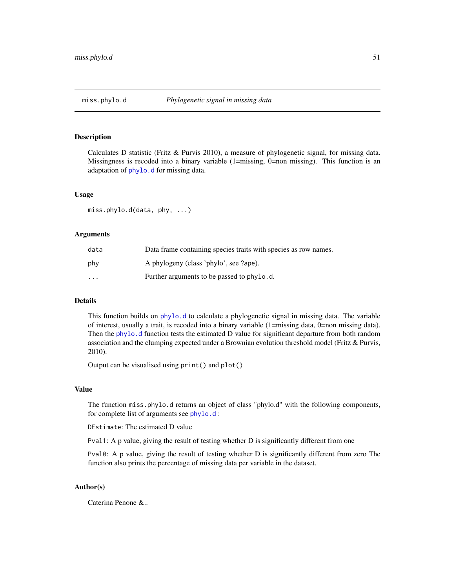## Description

Calculates D statistic (Fritz & Purvis 2010), a measure of phylogenetic signal, for missing data. Missingness is recoded into a binary variable  $(1)$ =missing, 0=non missing). This function is an adaptation of [phylo.d](#page-0-0) for missing data.

## Usage

miss.phylo.d(data, phy, ...)

## Arguments

| data                 | Data frame containing species traits with species as row names. |
|----------------------|-----------------------------------------------------------------|
| phy                  | A phylogeny (class 'phylo', see ?ape).                          |
| $\ddot{\phantom{0}}$ | Further arguments to be passed to phylo.d.                      |

# Details

This function builds on [phylo.d](#page-0-0) to calculate a phylogenetic signal in missing data. The variable of interest, usually a trait, is recoded into a binary variable (1=missing data, 0=non missing data). Then the [phylo.d](#page-0-0) function tests the estimated D value for significant departure from both random association and the clumping expected under a Brownian evolution threshold model (Fritz & Purvis, 2010).

Output can be visualised using print() and plot()

#### Value

The function miss.phylo.d returns an object of class "phylo.d" with the following components, for complete list of arguments see [phylo.d](#page-0-0) :

DEstimate: The estimated D value

Pval1: A p value, giving the result of testing whether D is significantly different from one

Pval0: A p value, giving the result of testing whether D is significantly different from zero The function also prints the percentage of missing data per variable in the dataset.

#### Author(s)

Caterina Penone &..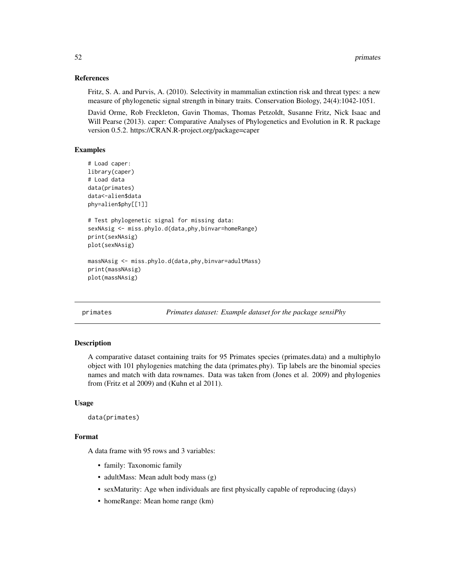## References

Fritz, S. A. and Purvis, A. (2010). Selectivity in mammalian extinction risk and threat types: a new measure of phylogenetic signal strength in binary traits. Conservation Biology, 24(4):1042-1051.

David Orme, Rob Freckleton, Gavin Thomas, Thomas Petzoldt, Susanne Fritz, Nick Isaac and Will Pearse (2013). caper: Comparative Analyses of Phylogenetics and Evolution in R. R package version 0.5.2. https://CRAN.R-project.org/package=caper

## Examples

```
# Load caper:
library(caper)
# Load data
data(primates)
data<-alien$data
phy=alien$phy[[1]]
# Test phylogenetic signal for missing data:
sexNAsig <- miss.phylo.d(data,phy,binvar=homeRange)
print(sexNAsig)
plot(sexNAsig)
massNAsig <- miss.phylo.d(data,phy,binvar=adultMass)
print(massNAsig)
plot(massNAsig)
```
primates *Primates dataset: Example dataset for the package sensiPhy*

## Description

A comparative dataset containing traits for 95 Primates species (primates.data) and a multiphylo object with 101 phylogenies matching the data (primates.phy). Tip labels are the binomial species names and match with data rownames. Data was taken from (Jones et al. 2009) and phylogenies from (Fritz et al 2009) and (Kuhn et al 2011).

#### Usage

```
data(primates)
```
## Format

A data frame with 95 rows and 3 variables:

- family: Taxonomic family
- adultMass: Mean adult body mass (g)
- sexMaturity: Age when individuals are first physically capable of reproducing (days)
- homeRange: Mean home range (km)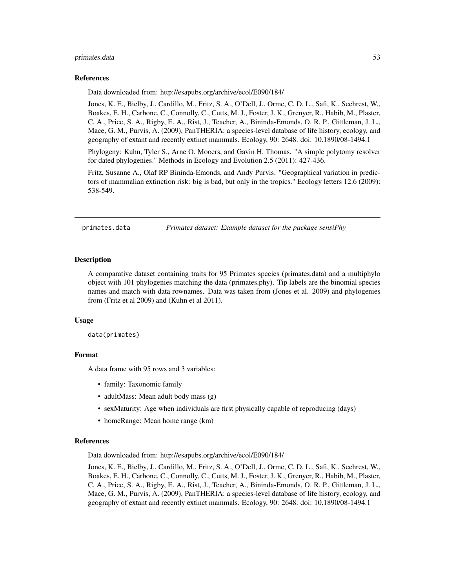#### primates.data 53

#### References

Data downloaded from: http://esapubs.org/archive/ecol/E090/184/

Jones, K. E., Bielby, J., Cardillo, M., Fritz, S. A., O'Dell, J., Orme, C. D. L., Safi, K., Sechrest, W., Boakes, E. H., Carbone, C., Connolly, C., Cutts, M. J., Foster, J. K., Grenyer, R., Habib, M., Plaster, C. A., Price, S. A., Rigby, E. A., Rist, J., Teacher, A., Bininda-Emonds, O. R. P., Gittleman, J. L., Mace, G. M., Purvis, A. (2009), PanTHERIA: a species-level database of life history, ecology, and geography of extant and recently extinct mammals. Ecology, 90: 2648. doi: 10.1890/08-1494.1

Phylogeny: Kuhn, Tyler S., Arne O. Mooers, and Gavin H. Thomas. "A simple polytomy resolver for dated phylogenies." Methods in Ecology and Evolution 2.5 (2011): 427-436.

Fritz, Susanne A., Olaf RP Bininda-Emonds, and Andy Purvis. "Geographical variation in predictors of mammalian extinction risk: big is bad, but only in the tropics." Ecology letters 12.6 (2009): 538-549.

primates.data *Primates dataset: Example dataset for the package sensiPhy*

## **Description**

A comparative dataset containing traits for 95 Primates species (primates.data) and a multiphylo object with 101 phylogenies matching the data (primates.phy). Tip labels are the binomial species names and match with data rownames. Data was taken from (Jones et al. 2009) and phylogenies from (Fritz et al 2009) and (Kuhn et al 2011).

#### Usage

data(primates)

## Format

A data frame with 95 rows and 3 variables:

- family: Taxonomic family
- adultMass: Mean adult body mass (g)
- sexMaturity: Age when individuals are first physically capable of reproducing (days)
- homeRange: Mean home range (km)

#### References

Data downloaded from: http://esapubs.org/archive/ecol/E090/184/

Jones, K. E., Bielby, J., Cardillo, M., Fritz, S. A., O'Dell, J., Orme, C. D. L., Safi, K., Sechrest, W., Boakes, E. H., Carbone, C., Connolly, C., Cutts, M. J., Foster, J. K., Grenyer, R., Habib, M., Plaster, C. A., Price, S. A., Rigby, E. A., Rist, J., Teacher, A., Bininda-Emonds, O. R. P., Gittleman, J. L., Mace, G. M., Purvis, A. (2009), PanTHERIA: a species-level database of life history, ecology, and geography of extant and recently extinct mammals. Ecology, 90: 2648. doi: 10.1890/08-1494.1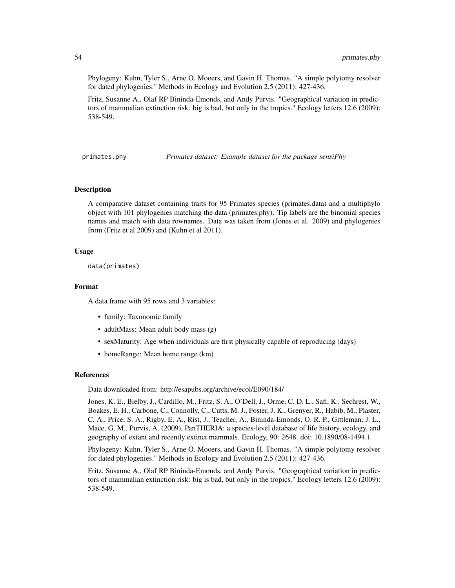Phylogeny: Kuhn, Tyler S., Arne O. Mooers, and Gavin H. Thomas. "A simple polytomy resolver for dated phylogenies." Methods in Ecology and Evolution 2.5 (2011): 427-436.

Fritz, Susanne A., Olaf RP Bininda-Emonds, and Andy Purvis. "Geographical variation in predictors of mammalian extinction risk: big is bad, but only in the tropics." Ecology letters 12.6 (2009): 538-549.

primates.phy *Primates dataset: Example dataset for the package sensiPhy*

#### Description

A comparative dataset containing traits for 95 Primates species (primates.data) and a multiphylo object with 101 phylogenies matching the data (primates.phy). Tip labels are the binomial species names and match with data rownames. Data was taken from (Jones et al. 2009) and phylogenies from (Fritz et al 2009) and (Kuhn et al 2011).

#### Usage

```
data(primates)
```
# Format

A data frame with 95 rows and 3 variables:

- family: Taxonomic family
- adultMass: Mean adult body mass (g)
- sexMaturity: Age when individuals are first physically capable of reproducing (days)
- homeRange: Mean home range (km)

#### References

Data downloaded from: http://esapubs.org/archive/ecol/E090/184/

Jones, K. E., Bielby, J., Cardillo, M., Fritz, S. A., O'Dell, J., Orme, C. D. L., Safi, K., Sechrest, W., Boakes, E. H., Carbone, C., Connolly, C., Cutts, M. J., Foster, J. K., Grenyer, R., Habib, M., Plaster, C. A., Price, S. A., Rigby, E. A., Rist, J., Teacher, A., Bininda-Emonds, O. R. P., Gittleman, J. L., Mace, G. M., Purvis, A. (2009), PanTHERIA: a species-level database of life history, ecology, and geography of extant and recently extinct mammals. Ecology, 90: 2648. doi: 10.1890/08-1494.1

Phylogeny: Kuhn, Tyler S., Arne O. Mooers, and Gavin H. Thomas. "A simple polytomy resolver for dated phylogenies." Methods in Ecology and Evolution 2.5 (2011): 427-436.

Fritz, Susanne A., Olaf RP Bininda-Emonds, and Andy Purvis. "Geographical variation in predictors of mammalian extinction risk: big is bad, but only in the tropics." Ecology letters 12.6 (2009): 538-549.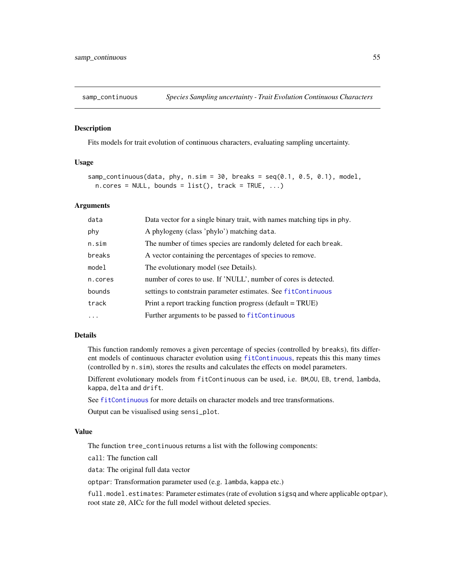#### Description

Fits models for trait evolution of continuous characters, evaluating sampling uncertainty.

## Usage

```
samp_continuous(data, phy, n.\sin = 30, breaks = seq(0.1, 0.5, 0.1), model,
 n.core = NULL, bounds = list(), track = TRUE, ...)
```
#### Arguments

| data    | Data vector for a single binary trait, with names matching tips in phy. |
|---------|-------------------------------------------------------------------------|
| phy     | A phylogeny (class 'phylo') matching data.                              |
| n.sim   | The number of times species are randomly deleted for each break.        |
| breaks  | A vector containing the percentages of species to remove.               |
| model   | The evolutionary model (see Details).                                   |
| n.cores | number of cores to use. If 'NULL', number of cores is detected.         |
| bounds  | settings to contstrain parameter estimates. See fitContinuous           |
| track   | Print a report tracking function progress (default = TRUE)              |
| .       | Further arguments to be passed to fitContinuous                         |

# Details

This function randomly removes a given percentage of species (controlled by breaks), fits different models of continuous character evolution using [fitContinuous](#page-0-0), repeats this this many times (controlled by n.sim), stores the results and calculates the effects on model parameters.

Different evolutionary models from fitContinuous can be used, i.e. BM,OU, EB, trend, lambda, kappa, delta and drift.

See [fitContinuous](#page-0-0) for more details on character models and tree transformations.

Output can be visualised using sensi\_plot.

#### Value

The function tree\_continuous returns a list with the following components:

call: The function call

data: The original full data vector

optpar: Transformation parameter used (e.g. lambda, kappa etc.)

full.model.estimates: Parameter estimates (rate of evolution sigsq and where applicable optpar), root state z0, AICc for the full model without deleted species.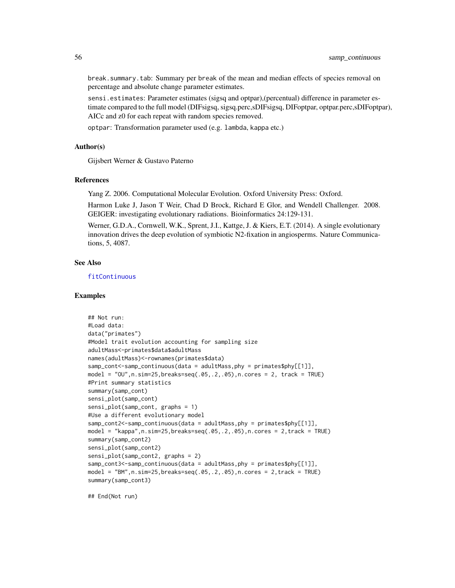break.summary.tab: Summary per break of the mean and median effects of species removal on percentage and absolute change parameter estimates.

sensi.estimates: Parameter estimates (sigsq and optpar),(percentual) difference in parameter estimate compared to the full model (DIFsigsq, sigsq.perc,sDIFsigsq, DIFoptpar, optpar.perc,sDIFoptpar), AICc and z0 for each repeat with random species removed.

optpar: Transformation parameter used (e.g. lambda, kappa etc.)

## Author(s)

Gijsbert Werner & Gustavo Paterno

#### References

Yang Z. 2006. Computational Molecular Evolution. Oxford University Press: Oxford.

Harmon Luke J, Jason T Weir, Chad D Brock, Richard E Glor, and Wendell Challenger. 2008. GEIGER: investigating evolutionary radiations. Bioinformatics 24:129-131.

Werner, G.D.A., Cornwell, W.K., Sprent, J.I., Kattge, J. & Kiers, E.T. (2014). A single evolutionary innovation drives the deep evolution of symbiotic N2-fixation in angiosperms. Nature Communications, 5, 4087.

#### See Also

[fitContinuous](#page-0-0)

#### Examples

```
## Not run:
#Load data:
data("primates")
#Model trait evolution accounting for sampling size
adultMass<-primates$data$adultMass
names(adultMass)<-rownames(primates$data)
samp_cont<-samp_continuous(data = adultMass,phy = primates$phy[[1]],
model = "OU",n.sim=25,breaks=seq(.05,.2,.05),n.cores = 2, track = TRUE)
#Print summary statistics
summary(samp_cont)
sensi_plot(samp_cont)
sensi_plot(samp_cont, graphs = 1)
#Use a different evolutionary model
samp_cont2<-samp_continuous(data = adultMass,phy = primates$phy[[1]],
model = "kappa",n.sim=25,breaks=seq(.05,.2,.05),n.cores = 2,track = TRUE)
summary(samp_cont2)
sensi_plot(samp_cont2)
sensi_plot(samp_cont2, graphs = 2)
samp_cont3<-samp_continuous(data = adultMass,phy = primates$phy[[1]],
model = "BM",n.\sin=25,breaks=seq(.05, .2, .05),n.\cores = 2, track = TRUE)summary(samp_cont3)
```
## End(Not run)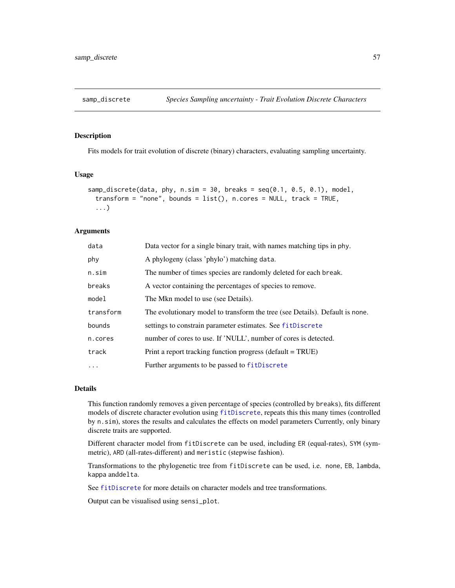# Description

Fits models for trait evolution of discrete (binary) characters, evaluating sampling uncertainty.

## Usage

```
samp_discrete(data, phy, n.sim = 30, breaks = seq(0.1, 0.5, 0.1), model,
  transform = "none", bounds = list(), n.cores = NULL, track = TRUE,
  ...)
```
## Arguments

| data       | Data vector for a single binary trait, with names matching tips in phy.      |  |
|------------|------------------------------------------------------------------------------|--|
| phy        | A phylogeny (class 'phylo') matching data.                                   |  |
| n.sim      | The number of times species are randomly deleted for each break.             |  |
| breaks     | A vector containing the percentages of species to remove.                    |  |
| model      | The Mkn model to use (see Details).                                          |  |
| transform  | The evolutionary model to transform the tree (see Details). Default is none. |  |
| bounds     | settings to constrain parameter estimates. See fitDiscrete                   |  |
| n.cores    | number of cores to use. If 'NULL', number of cores is detected.              |  |
| track      | Print a report tracking function progress (default = TRUE)                   |  |
| $\ddots$ . | Further arguments to be passed to fitDiscrete                                |  |

## Details

This function randomly removes a given percentage of species (controlled by breaks), fits different models of discrete character evolution using [fitDiscrete](#page-0-0), repeats this this many times (controlled by n.sim), stores the results and calculates the effects on model parameters Currently, only binary discrete traits are supported.

Different character model from fitDiscrete can be used, including ER (equal-rates), SYM (symmetric), ARD (all-rates-different) and meristic (stepwise fashion).

Transformations to the phylogenetic tree from fitDiscrete can be used, i.e. none, EB, lambda, kappa anddelta.

See [fitDiscrete](#page-0-0) for more details on character models and tree transformations.

Output can be visualised using sensi\_plot.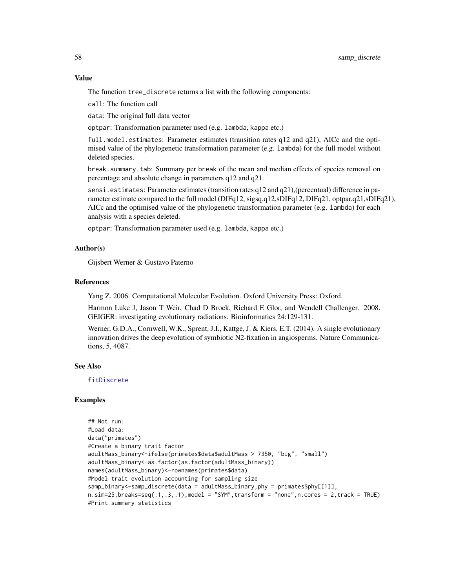#### Value

The function tree\_discrete returns a list with the following components:

call: The function call

data: The original full data vector

optpar: Transformation parameter used (e.g. lambda, kappa etc.)

full.model.estimates: Parameter estimates (transition rates q12 and q21), AICc and the optimised value of the phylogenetic transformation parameter (e.g. lambda) for the full model without deleted species.

break.summary.tab: Summary per break of the mean and median effects of species removal on percentage and absolute change in parameters q12 and q21.

sensi.estimates: Parameter estimates (transition rates q12 and q21),(percentual) difference in parameter estimate compared to the full model (DIFq12, sigsq.q12,sDIFq12, DIFq21, optpar.q21,sDIFq21), AICc and the optimised value of the phylogenetic transformation parameter (e.g. lambda) for each analysis with a species deleted.

optpar: Transformation parameter used (e.g. lambda, kappa etc.)

# Author(s)

Gijsbert Werner & Gustavo Paterno

#### References

Yang Z. 2006. Computational Molecular Evolution. Oxford University Press: Oxford.

Harmon Luke J, Jason T Weir, Chad D Brock, Richard E Glor, and Wendell Challenger. 2008. GEIGER: investigating evolutionary radiations. Bioinformatics 24:129-131.

Werner, G.D.A., Cornwell, W.K., Sprent, J.I., Kattge, J. & Kiers, E.T. (2014). A single evolutionary innovation drives the deep evolution of symbiotic N2-fixation in angiosperms. Nature Communications, 5, 4087.

#### See Also

[fitDiscrete](#page-0-0)

## Examples

```
## Not run:
#Load data:
data("primates")
#Create a binary trait factor
adultMass_binary<-ifelse(primates$data$adultMass > 7350, "big", "small")
adultMass_binary<-as.factor(as.factor(adultMass_binary))
names(adultMass_binary)<-rownames(primates$data)
#Model trait evolution accounting for sampling size
samp_binary<-samp_discrete(data = adultMass_binary,phy = primates$phy[[1]],
n.sim=25,breaks=seq(.1,.3,.1),model = "SYM",transform = "none",n.cores = 2,track = TRUE)
#Print summary statistics
```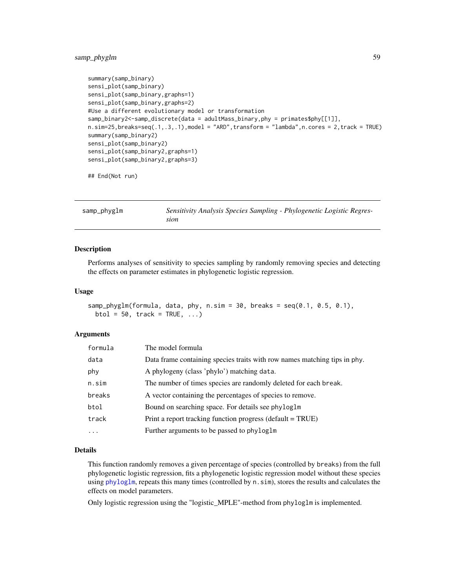# samp\_phyglm 59

```
summary(samp_binary)
sensi_plot(samp_binary)
sensi_plot(samp_binary,graphs=1)
sensi_plot(samp_binary,graphs=2)
#Use a different evolutionary model or transformation
samp_binary2<-samp_discrete(data = adultMass_binary,phy = primates$phy[[1]],
n.sim=25,breaks=seq(.1,.3,.1),model = "ARD",transform = "lambda",n.cores = 2,track = TRUE)
summary(samp_binary2)
sensi_plot(samp_binary2)
sensi_plot(samp_binary2,graphs=1)
sensi_plot(samp_binary2,graphs=3)
## End(Not run)
```
<span id="page-58-0"></span>

| samp_phyglm | Sensitivity Analysis Species Sampling - Phylogenetic Logistic Regres- |
|-------------|-----------------------------------------------------------------------|
|             | sıon                                                                  |

# Description

Performs analyses of sensitivity to species sampling by randomly removing species and detecting the effects on parameter estimates in phylogenetic logistic regression.

#### Usage

```
samp_phyglm(formula, data, phy, n.sim = 30, breaks = seq(0.1, 0.5, 0.1),
 btol = 50, track = TRUE, ...
```
#### Arguments

| formula  | The model formula                                                         |
|----------|---------------------------------------------------------------------------|
| data     | Data frame containing species traits with row names matching tips in phy. |
| phy      | A phylogeny (class 'phylo') matching data.                                |
| n.sim    | The number of times species are randomly deleted for each break.          |
| breaks   | A vector containing the percentages of species to remove.                 |
| btol     | Bound on searching space. For details see phyloglm                        |
| track    | Print a report tracking function progress (default = TRUE)                |
| $\cdots$ | Further arguments to be passed to phyloglm                                |

#### Details

This function randomly removes a given percentage of species (controlled by breaks) from the full phylogenetic logistic regression, fits a phylogenetic logistic regression model without these species using [phyloglm](#page-0-0), repeats this many times (controlled by n.sim), stores the results and calculates the effects on model parameters.

Only logistic regression using the "logistic\_MPLE"-method from phyloglm is implemented.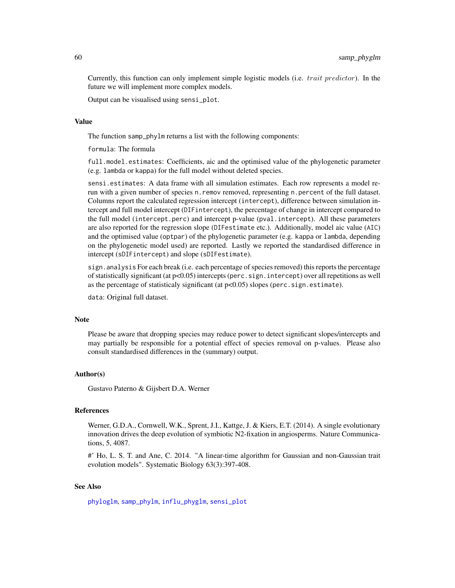Currently, this function can only implement simple logistic models (i.e. *trait predictor*). In the future we will implement more complex models.

Output can be visualised using sensi\_plot.

# Value

The function samp\_phylm returns a list with the following components:

formula: The formula

full.model.estimates: Coefficients, aic and the optimised value of the phylogenetic parameter (e.g. lambda or kappa) for the full model without deleted species.

sensi.estimates: A data frame with all simulation estimates. Each row represents a model rerun with a given number of species n.remov removed, representing n.percent of the full dataset. Columns report the calculated regression intercept (intercept), difference between simulation intercept and full model intercept (DIFintercept), the percentage of change in intercept compared to the full model (intercept.perc) and intercept p-value (pval.intercept). All these parameters are also reported for the regression slope (DIFestimate etc.). Additionally, model aic value (AIC) and the optimised value (optpar) of the phylogenetic parameter (e.g. kappa or lambda, depending on the phylogenetic model used) are reported. Lastly we reported the standardised difference in intercept (sDIFintercept) and slope (sDIFestimate).

sign.analysis For each break (i.e. each percentage of species removed) this reports the percentage of statistically significant (at  $p<0.05$ ) intercepts (perc. sign. intercept) over all repetitions as well as the percentage of statisticaly significant (at  $p<0.05$ ) slopes (perc.sign.estimate).

data: Original full dataset.

#### **Note**

Please be aware that dropping species may reduce power to detect significant slopes/intercepts and may partially be responsible for a potential effect of species removal on p-values. Please also consult standardised differences in the (summary) output.

#### Author(s)

Gustavo Paterno & Gijsbert D.A. Werner

## References

Werner, G.D.A., Cornwell, W.K., Sprent, J.I., Kattge, J. & Kiers, E.T. (2014). A single evolutionary innovation drives the deep evolution of symbiotic N2-fixation in angiosperms. Nature Communications, 5, 4087.

#' Ho, L. S. T. and Ane, C. 2014. "A linear-time algorithm for Gaussian and non-Gaussian trait evolution models". Systematic Biology 63(3):397-408.

## See Also

[phyloglm](#page-0-0), [samp\\_phylm](#page-60-0), [influ\\_phyglm](#page-20-0), [sensi\\_plot](#page-65-0)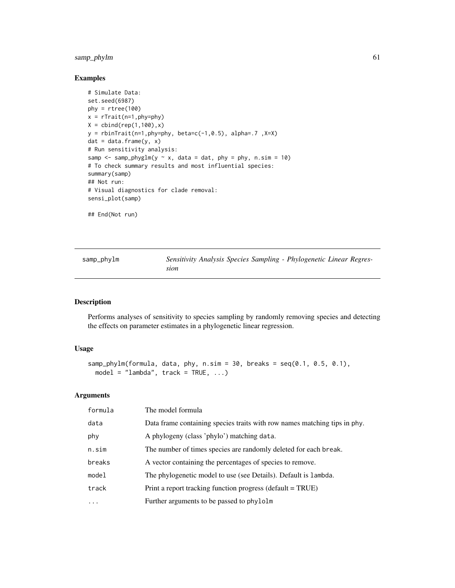# samp\_phylm 61

# Examples

```
# Simulate Data:
set.seed(6987)
phy = rtree(100)x = rTrain(n=1, phy=phy)X = \text{cbind}(\text{rep}(1, 100), x)y = \text{rbinTrain}(n=1, phy=phy, beta=c(-1, 0.5), alpha=.7, X=X)dat = data.frame(y, x)# Run sensitivity analysis:
samp \le samp_phyglm(y \sim x, data = dat, phy = phy, n.sim = 10)
# To check summary results and most influential species:
summary(samp)
## Not run:
# Visual diagnostics for clade removal:
sensi_plot(samp)
## End(Not run)
```
<span id="page-60-0"></span>

| samp_phylm | Sensitivity Analysis Species Sampling - Phylogenetic Linear Regres- |
|------------|---------------------------------------------------------------------|
|            | sıon                                                                |

# Description

Performs analyses of sensitivity to species sampling by randomly removing species and detecting the effects on parameter estimates in a phylogenetic linear regression.

#### Usage

```
samp_phylm(formula, data, phy, n.\sin = 30, breaks = seq(0.1, 0.5, 0.1),
 model = "lambda", track = TRUE, ...
```
#### Arguments

| formula | The model formula                                                         |
|---------|---------------------------------------------------------------------------|
| data    | Data frame containing species traits with row names matching tips in phy. |
| phy     | A phylogeny (class 'phylo') matching data.                                |
| n.sim   | The number of times species are randomly deleted for each break.          |
| breaks  | A vector containing the percentages of species to remove.                 |
| model   | The phylogenetic model to use (see Details). Default is lambda.           |
| track   | Print a report tracking function progress (default = TRUE)                |
| .       | Further arguments to be passed to phylolm                                 |
|         |                                                                           |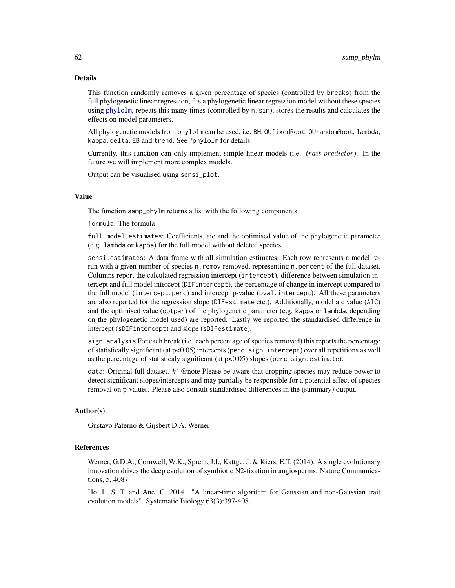# Details

This function randomly removes a given percentage of species (controlled by breaks) from the full phylogenetic linear regression, fits a phylogenetic linear regression model without these species using [phylolm](#page-0-0), repeats this many times (controlled by n. sim), stores the results and calculates the effects on model parameters.

All phylogenetic models from phylolm can be used, i.e. BM, OUfixedRoot, OUrandomRoot, lambda, kappa, delta, EB and trend. See ?phylolm for details.

Currently, this function can only implement simple linear models (i.e. *trait predictor*). In the future we will implement more complex models.

Output can be visualised using sensi\_plot.

# Value

The function samp\_phylm returns a list with the following components:

formula: The formula

full.model.estimates: Coefficients, aic and the optimised value of the phylogenetic parameter (e.g. lambda or kappa) for the full model without deleted species.

sensi.estimates: A data frame with all simulation estimates. Each row represents a model rerun with a given number of species n. remov removed, representing n. percent of the full dataset. Columns report the calculated regression intercept (intercept), difference between simulation intercept and full model intercept (DIFintercept), the percentage of change in intercept compared to the full model (intercept.perc) and intercept p-value (pval.intercept). All these parameters are also reported for the regression slope (DIFestimate etc.). Additionally, model aic value (AIC) and the optimised value (optpar) of the phylogenetic parameter (e.g. kappa or lambda, depending on the phylogenetic model used) are reported. Lastly we reported the standardised difference in intercept (sDIFintercept) and slope (sDIFestimate).

sign.analysis For each break (i.e. each percentage of species removed) this reports the percentage of statistically significant (at  $p<0.05$ ) intercepts (perc.sign.intercept) over all repetitions as well as the percentage of statisticaly significant (at  $p<0.05$ ) slopes (perc.sign.estimate).

data: Original full dataset. #' @note Please be aware that dropping species may reduce power to detect significant slopes/intercepts and may partially be responsible for a potential effect of species removal on p-values. Please also consult standardised differences in the (summary) output.

## Author(s)

Gustavo Paterno & Gijsbert D.A. Werner

## **References**

Werner, G.D.A., Cornwell, W.K., Sprent, J.I., Kattge, J. & Kiers, E.T. (2014). A single evolutionary innovation drives the deep evolution of symbiotic N2-fixation in angiosperms. Nature Communications, 5, 4087.

Ho, L. S. T. and Ane, C. 2014. "A linear-time algorithm for Gaussian and non-Gaussian trait evolution models". Systematic Biology 63(3):397-408.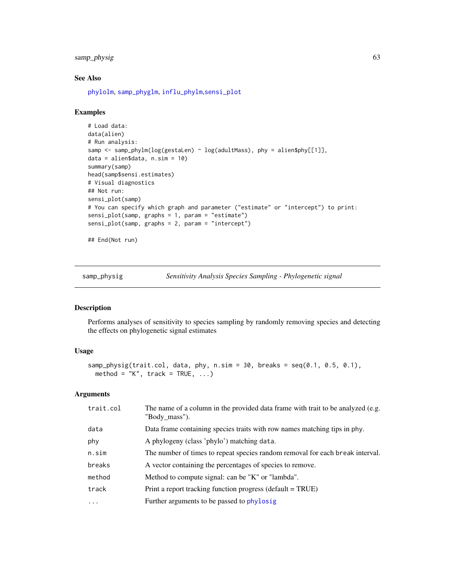# samp\_physig 63

# See Also

[phylolm](#page-0-0), [samp\\_phyglm](#page-58-0), [influ\\_phylm](#page-22-0),[sensi\\_plot](#page-65-0)

# Examples

```
# Load data:
data(alien)
# Run analysis:
samp <- samp_phylm(log(gestaLen) ~ log(adultMass), phy = alien$phy[[1]],
data = alien$data, n.sim = 10)
summary(samp)
head(samp$sensi.estimates)
# Visual diagnostics
## Not run:
sensi_plot(samp)
# You can specify which graph and parameter ("estimate" or "intercept") to print:
sensi_plot(samp, graphs = 1, param = "estimate")
sensi_plot(samp, graphs = 2, param = "intercept")
## End(Not run)
```
<span id="page-62-0"></span>samp\_physig *Sensitivity Analysis Species Sampling - Phylogenetic signal*

#### Description

Performs analyses of sensitivity to species sampling by randomly removing species and detecting the effects on phylogenetic signal estimates

# Usage

```
samp_physig(trait.col, data, phy, n.sim = 30, breaks = seq(0.1, 0.5, 0.1),
 method = "K", track = TRUE, ...)
```
#### Arguments

| trait.col | The name of a column in the provided data frame with trait to be analyzed (e.g.<br>"Body_mass"). |
|-----------|--------------------------------------------------------------------------------------------------|
| data      | Data frame containing species traits with row names matching tips in phy.                        |
| phy       | A phylogeny (class 'phylo') matching data.                                                       |
| n.sim     | The number of times to repeat species random removal for each break interval.                    |
| breaks    | A vector containing the percentages of species to remove.                                        |
| method    | Method to compute signal: can be "K" or "lambda".                                                |
| track     | Print a report tracking function progress (default = TRUE)                                       |
| .         | Further arguments to be passed to phylosig                                                       |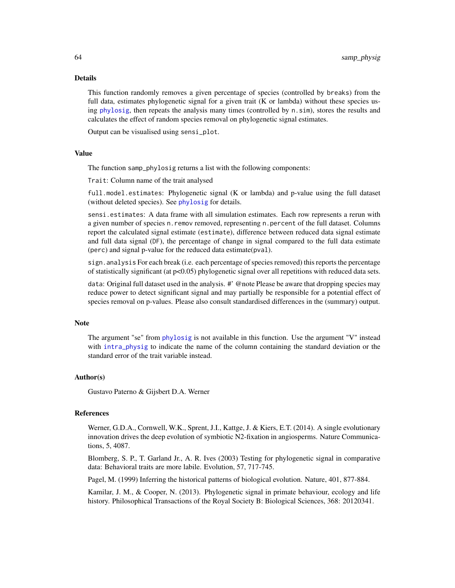#### Details

This function randomly removes a given percentage of species (controlled by breaks) from the full data, estimates phylogenetic signal for a given trait (K or lambda) without these species using [phylosig](#page-0-0), then repeats the analysis many times (controlled by n.sim), stores the results and calculates the effect of random species removal on phylogenetic signal estimates.

Output can be visualised using sensi\_plot.

#### Value

The function samp\_phylosig returns a list with the following components:

Trait: Column name of the trait analysed

full.model.estimates: Phylogenetic signal (K or lambda) and p-value using the full dataset (without deleted species). See [phylosig](#page-0-0) for details.

sensi.estimates: A data frame with all simulation estimates. Each row represents a rerun with a given number of species n. remov removed, representing n. percent of the full dataset. Columns report the calculated signal estimate (estimate), difference between reduced data signal estimate and full data signal (DF), the percentage of change in signal compared to the full data estimate (perc) and signal p-value for the reduced data estimate(pval).

sign.analysis For each break (i.e. each percentage of species removed) this reports the percentage of statistically significant (at p<0.05) phylogenetic signal over all repetitions with reduced data sets.

data: Original full dataset used in the analysis. #' @note Please be aware that dropping species may reduce power to detect significant signal and may partially be responsible for a potential effect of species removal on p-values. Please also consult standardised differences in the (summary) output.

## Note

The argument "se" from [phylosig](#page-0-0) is not available in this function. Use the argument "V" instead with [intra\\_physig](#page-40-0) to indicate the name of the column containing the standard deviation or the standard error of the trait variable instead.

### Author(s)

Gustavo Paterno & Gijsbert D.A. Werner

#### References

Werner, G.D.A., Cornwell, W.K., Sprent, J.I., Kattge, J. & Kiers, E.T. (2014). A single evolutionary innovation drives the deep evolution of symbiotic N2-fixation in angiosperms. Nature Communications, 5, 4087.

Blomberg, S. P., T. Garland Jr., A. R. Ives (2003) Testing for phylogenetic signal in comparative data: Behavioral traits are more labile. Evolution, 57, 717-745.

Pagel, M. (1999) Inferring the historical patterns of biological evolution. Nature, 401, 877-884.

Kamilar, J. M., & Cooper, N. (2013). Phylogenetic signal in primate behaviour, ecology and life history. Philosophical Transactions of the Royal Society B: Biological Sciences, 368: 20120341.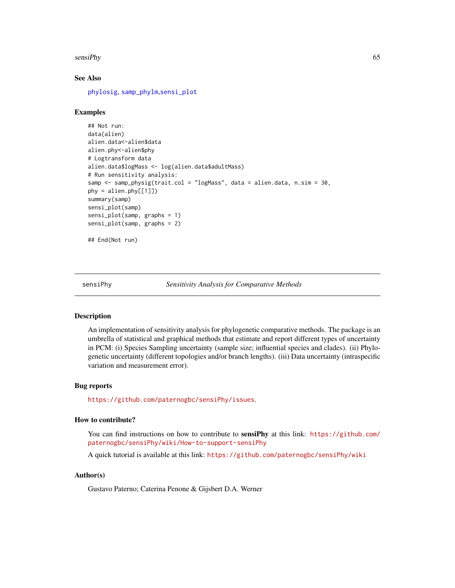#### sensiPhy 65

# See Also

[phylosig](#page-0-0), [samp\\_phylm](#page-60-0),[sensi\\_plot](#page-65-0)

#### Examples

```
## Not run:
data(alien)
alien.data<-alien$data
alien.phy<-alien$phy
# Logtransform data
alien.data$logMass <- log(alien.data$adultMass)
# Run sensitivity analysis:
samp <- samp_physig(trait.col = "logMass", data = alien.data, n.sim = 30,
phy = alien.phy[[1]])
summary(samp)
sensi_plot(samp)
sensi_plot(samp, graphs = 1)
sensi_plot(samp, graphs = 2)
## End(Not run)
```
sensiPhy *Sensitivity Analysis for Comparative Methods*

#### Description

An implementation of sensitivity analysis for phylogenetic comparative methods. The package is an umbrella of statistical and graphical methods that estimate and report different types of uncertainty in PCM: (i) Species Sampling uncertainty (sample size; influential species and clades). (ii) Phylogenetic uncertainty (different topologies and/or branch lengths). (iii) Data uncertainty (intraspecific variation and measurement error).

#### Bug reports

<https://github.com/paternogbc/sensiPhy/issues>.

# How to contribute?

You can find instructions on how to contribute to sensiPhy at this link: [https://github.com/](https://github.com/paternogbc/sensiPhy/wiki/How-to-support-sensiPhy) [paternogbc/sensiPhy/wiki/How-to-support-sensiPhy](https://github.com/paternogbc/sensiPhy/wiki/How-to-support-sensiPhy)

A quick tutorial is available at this link: <https://github.com/paternogbc/sensiPhy/wiki>

#### Author(s)

Gustavo Paterno; Caterina Penone & Gijsbert D.A. Werner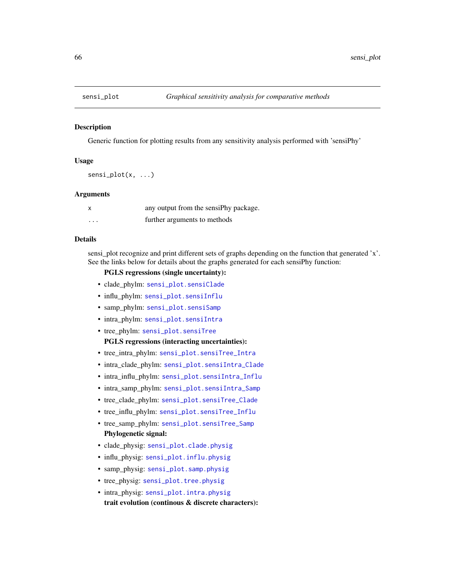<span id="page-65-0"></span>

## Description

Generic function for plotting results from any sensitivity analysis performed with 'sensiPhy'

## Usage

sensi\_plot(x, ...)

## Arguments

|          | any output from the sensiPhy package. |
|----------|---------------------------------------|
| $\cdots$ | further arguments to methods          |

### Details

sensi\_plot recognize and print different sets of graphs depending on the function that generated 'x'. See the links below for details about the graphs generated for each sensiPhy function:

# PGLS regressions (single uncertainty):

- clade\_phylm: [sensi\\_plot.sensiClade](#page-70-0)
- influ\_phylm: [sensi\\_plot.sensiInflu](#page-72-0)
- samp\_phylm: [sensi\\_plot.sensiSamp](#page-78-0)
- intra\_phylm: [sensi\\_plot.sensiIntra](#page-74-0)
- tree\_phylm: [sensi\\_plot.sensiTree](#page-80-0) PGLS regressions (interacting uncertainties):
- tree\_intra\_phylm: [sensi\\_plot.sensiTree\\_Intra](#page-84-0)
- intra\_clade\_phylm: [sensi\\_plot.sensiIntra\\_Clade](#page-75-0)
- intra\_influ\_phylm: [sensi\\_plot.sensiIntra\\_Influ](#page-76-0)
- intra\_samp\_phylm: [sensi\\_plot.sensiIntra\\_Samp](#page-77-0)
- tree\_clade\_phylm: [sensi\\_plot.sensiTree\\_Clade](#page-82-0)
- tree\_influ\_phylm: [sensi\\_plot.sensiTree\\_Influ](#page-83-0)
- tree\_samp\_phylm: [sensi\\_plot.sensiTree\\_Samp](#page-85-0) Phylogenetic signal:
- clade\_physig: [sensi\\_plot.clade.physig](#page-66-0)
- influ\_physig: [sensi\\_plot.influ.physig](#page-67-0)
- samp\_physig: [sensi\\_plot.samp.physig](#page-69-0)
- tree\_physig: [sensi\\_plot.tree.physig](#page-86-0)
- intra\_physig: [sensi\\_plot.intra.physig](#page-68-0) trait evolution (continous & discrete characters):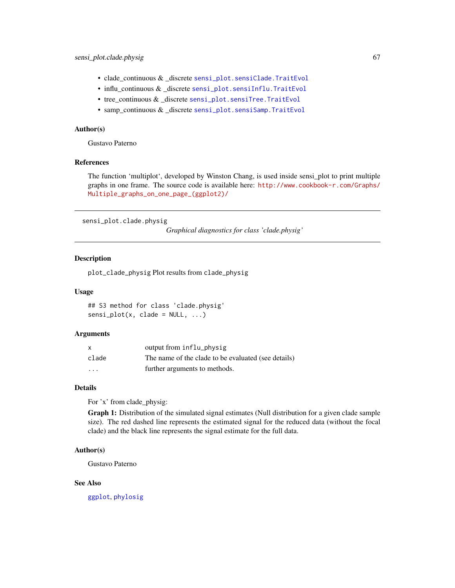- clade\_continuous & \_discrete [sensi\\_plot.sensiClade.TraitEvol](#page-71-0)
- influ\_continuous & \_discrete [sensi\\_plot.sensiInflu.TraitEvol](#page-73-0)
- tree\_continuous & \_discrete [sensi\\_plot.sensiTree.TraitEvol](#page-81-0)
- samp\_continuous & \_discrete [sensi\\_plot.sensiSamp.TraitEvol](#page-79-0)

#### Author(s)

Gustavo Paterno

## References

The function 'multiplot', developed by Winston Chang, is used inside sensi\_plot to print multiple graphs in one frame. The source code is available here: [http://www.cookbook-r.com/Graphs/](http://www.cookbook-r.com/Graphs/Multiple_graphs_on_one_page_(ggplot2)/) [Multiple\\_graphs\\_on\\_one\\_page\\_\(ggplot2\)/](http://www.cookbook-r.com/Graphs/Multiple_graphs_on_one_page_(ggplot2)/)

<span id="page-66-0"></span>sensi\_plot.clade.physig

*Graphical diagnostics for class 'clade.physig'*

## Description

plot\_clade\_physig Plot results from clade\_physig

#### Usage

## S3 method for class 'clade.physig'  $sensi_plot(x, clade = NULL, ...)$ 

## Arguments

| $\mathsf{x}$      | output from influ_physig                            |
|-------------------|-----------------------------------------------------|
| clade             | The name of the clade to be evaluated (see details) |
| $\cdot\cdot\cdot$ | further arguments to methods.                       |

#### Details

For 'x' from clade\_physig:

Graph 1: Distribution of the simulated signal estimates (Null distribution for a given clade sample size). The red dashed line represents the estimated signal for the reduced data (without the focal clade) and the black line represents the signal estimate for the full data.

#### Author(s)

Gustavo Paterno

## See Also

[ggplot](#page-0-0), [phylosig](#page-0-0)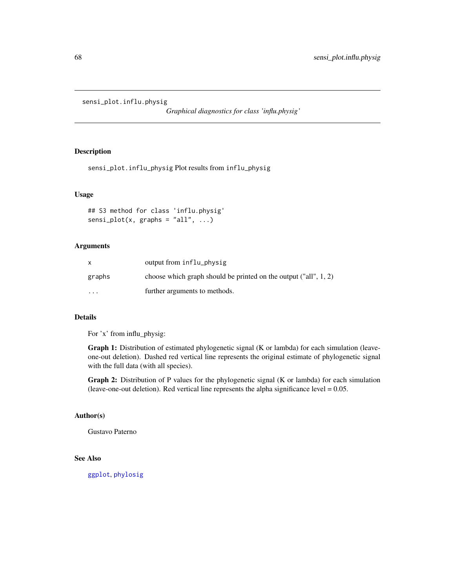<span id="page-67-0"></span>sensi\_plot.influ.physig

*Graphical diagnostics for class 'influ.physig'*

## Description

sensi\_plot.influ\_physig Plot results from influ\_physig

#### Usage

```
## S3 method for class 'influ.physig'
sensi.plot(x, graphs = "all", ...)
```
# Arguments

|         | output from influ_physig                                           |
|---------|--------------------------------------------------------------------|
| graphs  | choose which graph should be printed on the output $("all", 1, 2)$ |
| $\cdot$ | further arguments to methods.                                      |

#### Details

For 'x' from influ\_physig:

Graph 1: Distribution of estimated phylogenetic signal (K or lambda) for each simulation (leaveone-out deletion). Dashed red vertical line represents the original estimate of phylogenetic signal with the full data (with all species).

Graph 2: Distribution of P values for the phylogenetic signal (K or lambda) for each simulation (leave-one-out deletion). Red vertical line represents the alpha significance level  $= 0.05$ .

## Author(s)

Gustavo Paterno

# See Also

[ggplot](#page-0-0), [phylosig](#page-0-0)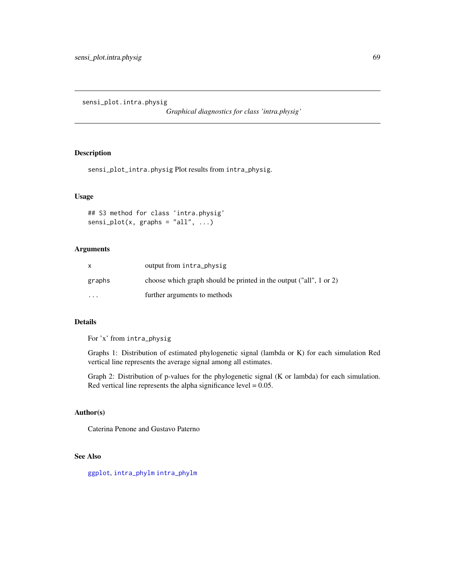<span id="page-68-0"></span>sensi\_plot.intra.physig

*Graphical diagnostics for class 'intra.physig'*

# Description

sensi\_plot\_intra.physig Plot results from intra\_physig.

## Usage

```
## S3 method for class 'intra.physig'
sensi.plot(x, graphs = "all", ...)
```
# Arguments

|         | output from intra_physig                                           |
|---------|--------------------------------------------------------------------|
| graphs  | choose which graph should be printed in the output ("all", 1 or 2) |
| $\cdot$ | further arguments to methods                                       |

## Details

For 'x' from intra\_physig

Graphs 1: Distribution of estimated phylogenetic signal (lambda or K) for each simulation Red vertical line represents the average signal among all estimates.

Graph 2: Distribution of p-values for the phylogenetic signal (K or lambda) for each simulation. Red vertical line represents the alpha significance level  $= 0.05$ .

# Author(s)

Caterina Penone and Gustavo Paterno

#### See Also

[ggplot](#page-0-0), [intra\\_phylm](#page-38-0) [intra\\_phylm](#page-38-0)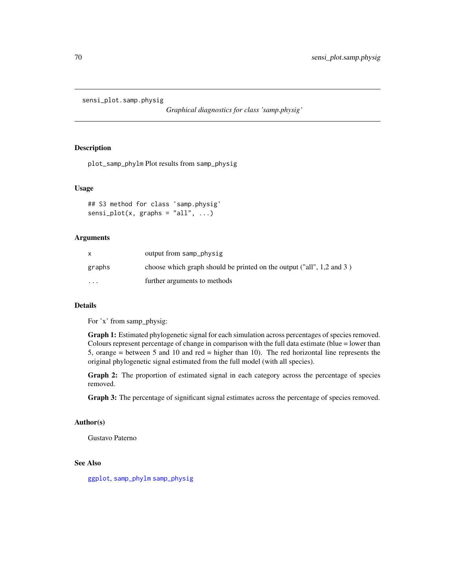<span id="page-69-0"></span>sensi\_plot.samp.physig

*Graphical diagnostics for class 'samp.physig'*

# Description

plot\_samp\_phylm Plot results from samp\_physig

## Usage

```
## S3 method for class 'samp.physig'
sensi_plot(x, graphs = "all", ...)
```
## Arguments

|                         | output from samp_physig                                                           |
|-------------------------|-----------------------------------------------------------------------------------|
| graphs                  | choose which graph should be printed on the output $("all", 1, 2 \text{ and } 3)$ |
| $\cdot$ $\cdot$ $\cdot$ | further arguments to methods                                                      |

## Details

For 'x' from samp\_physig:

Graph 1: Estimated phylogenetic signal for each simulation across percentages of species removed. Colours represent percentage of change in comparison with the full data estimate (blue = lower than 5, orange  $=$  between 5 and 10 and red  $=$  higher than 10). The red horizontal line represents the original phylogenetic signal estimated from the full model (with all species).

Graph 2: The proportion of estimated signal in each category across the percentage of species removed.

Graph 3: The percentage of significant signal estimates across the percentage of species removed.

## Author(s)

Gustavo Paterno

# See Also

[ggplot](#page-0-0), [samp\\_phylm](#page-60-0) [samp\\_physig](#page-62-0)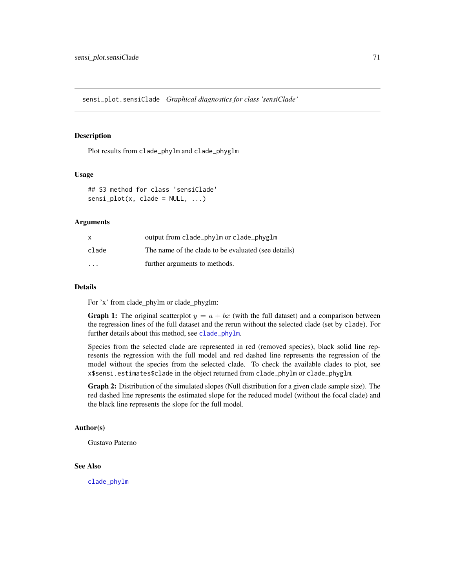<span id="page-70-0"></span>sensi\_plot.sensiClade *Graphical diagnostics for class 'sensiClade'*

# Description

Plot results from clade\_phylm and clade\_phyglm

#### Usage

```
## S3 method for class 'sensiClade'
sensi.plot(x, clade = NULL, ...)
```
## Arguments

| x                       | output from clade_phylm or clade_phyglm             |
|-------------------------|-----------------------------------------------------|
| clade                   | The name of the clade to be evaluated (see details) |
| $\cdot$ $\cdot$ $\cdot$ | further arguments to methods.                       |

## Details

For 'x' from clade\_phylm or clade\_phyglm:

**Graph 1:** The original scatterplot  $y = a + bx$  (with the full dataset) and a comparison between the regression lines of the full dataset and the rerun without the selected clade (set by clade). For further details about this method, see [clade\\_phylm](#page-12-0).

Species from the selected clade are represented in red (removed species), black solid line represents the regression with the full model and red dashed line represents the regression of the model without the species from the selected clade. To check the available clades to plot, see x\$sensi.estimates\$clade in the object returned from clade\_phylm or clade\_phyglm.

Graph 2: Distribution of the simulated slopes (Null distribution for a given clade sample size). The red dashed line represents the estimated slope for the reduced model (without the focal clade) and the black line represents the slope for the full model.

#### Author(s)

Gustavo Paterno

#### See Also

[clade\\_phylm](#page-12-0)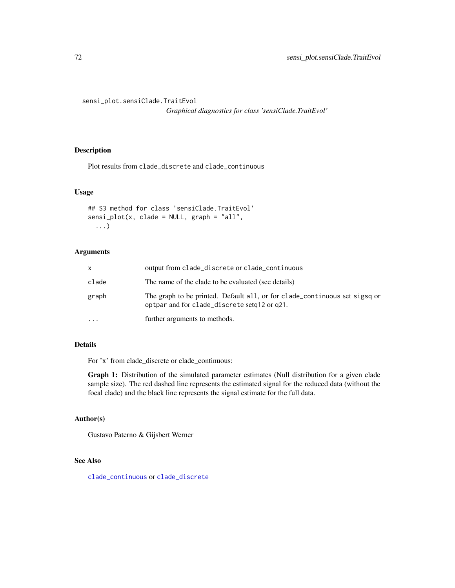<span id="page-71-0"></span>sensi\_plot.sensiClade.TraitEvol

*Graphical diagnostics for class 'sensiClade.TraitEvol'*

# Description

Plot results from clade\_discrete and clade\_continuous

# Usage

```
## S3 method for class 'sensiClade.TraitEvol'
sensi_plot(x, clade = NULL, graph = "all",...)
```
## Arguments

| x         | output from clade_discrete or clade_continuous                                                                              |
|-----------|-----------------------------------------------------------------------------------------------------------------------------|
| clade     | The name of the clade to be evaluated (see details)                                                                         |
| graph     | The graph to be printed. Default all, or for clade_continuous set sigsq or<br>optpar and for clade_discrete set q12 or q21. |
| $\ddotsc$ | further arguments to methods.                                                                                               |

## Details

For 'x' from clade\_discrete or clade\_continuous:

Graph 1: Distribution of the simulated parameter estimates (Null distribution for a given clade sample size). The red dashed line represents the estimated signal for the reduced data (without the focal clade) and the black line represents the signal estimate for the full data.

# Author(s)

Gustavo Paterno & Gijsbert Werner

# See Also

[clade\\_continuous](#page-5-0) or [clade\\_discrete](#page-7-0)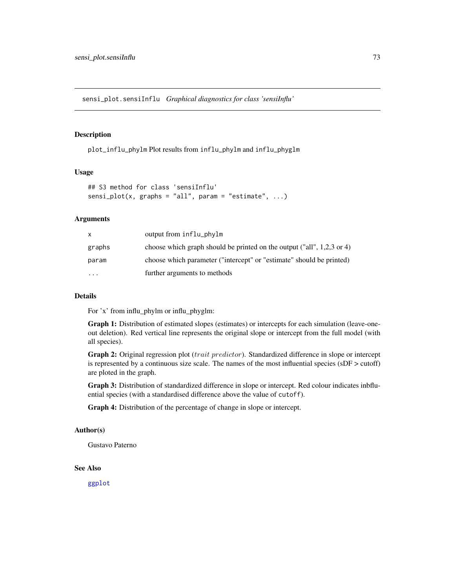sensi\_plot.sensiInflu *Graphical diagnostics for class 'sensiInflu'*

# Description

plot\_influ\_phylm Plot results from influ\_phylm and influ\_phyglm

### Usage

```
## S3 method for class 'sensiInflu'
sensi_plot(x, graphs = "all", param = "estimate", \dots)
```
### Arguments

| x.       | output from influ_phylm                                                  |
|----------|--------------------------------------------------------------------------|
| graphs   | choose which graph should be printed on the output ("all", $1,2,3$ or 4) |
| param    | choose which parameter ("intercept" or "estimate" should be printed)     |
| $\cdots$ | further arguments to methods                                             |

#### Details

For 'x' from influ\_phylm or influ\_phyglm:

Graph 1: Distribution of estimated slopes (estimates) or intercepts for each simulation (leave-oneout deletion). Red vertical line represents the original slope or intercept from the full model (with all species).

Graph 2: Original regression plot (trait predictor). Standardized difference in slope or intercept is represented by a continuous size scale. The names of the most influential species (sDF > cutoff) are ploted in the graph.

Graph 3: Distribution of standardized difference in slope or intercept. Red colour indicates inbfluential species (with a standardised difference above the value of cutoff).

Graph 4: Distribution of the percentage of change in slope or intercept.

#### Author(s)

Gustavo Paterno

#### See Also

[ggplot](#page-0-0)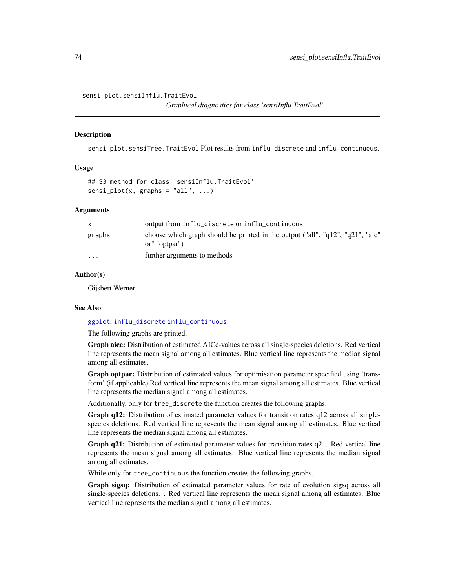sensi\_plot.sensiInflu.TraitEvol

*Graphical diagnostics for class 'sensiInflu.TraitEvol'*

#### Description

sensi\_plot.sensiTree.TraitEvol Plot results from influ\_discrete and influ\_continuous.

### Usage

```
## S3 method for class 'sensiInflu.TraitEvol'
sensi.plot(x, graphs = "all", ...)
```
#### Arguments

|           | output from influ_discrete or influ_continuous                                                  |
|-----------|-------------------------------------------------------------------------------------------------|
| graphs    | choose which graph should be printed in the output ("all", "q12", "q21", "aic"<br>or" "optpar") |
| $\ddotsc$ | further arguments to methods                                                                    |

## Author(s)

Gijsbert Werner

#### See Also

#### [ggplot](#page-0-0), [influ\\_discrete](#page-18-0) [influ\\_continuous](#page-16-0)

The following graphs are printed.

Graph aicc: Distribution of estimated AICc-values across all single-species deletions. Red vertical line represents the mean signal among all estimates. Blue vertical line represents the median signal among all estimates.

Graph optpar: Distribution of estimated values for optimisation parameter specified using 'transform' (if applicable) Red vertical line represents the mean signal among all estimates. Blue vertical line represents the median signal among all estimates.

Additionally, only for tree\_discrete the function creates the following graphs.

Graph q12: Distribution of estimated parameter values for transition rates q12 across all singlespecies deletions. Red vertical line represents the mean signal among all estimates. Blue vertical line represents the median signal among all estimates.

Graph q21: Distribution of estimated parameter values for transition rates q21. Red vertical line represents the mean signal among all estimates. Blue vertical line represents the median signal among all estimates.

While only for tree\_continuous the function creates the following graphs.

Graph sigsq: Distribution of estimated parameter values for rate of evolution sigsq across all single-species deletions. . Red vertical line represents the mean signal among all estimates. Blue vertical line represents the median signal among all estimates.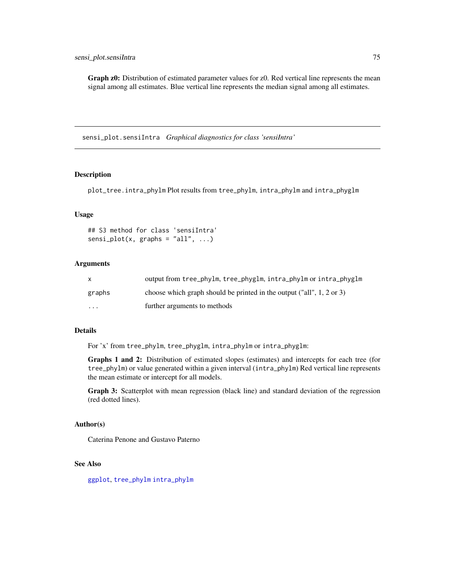Graph  $z0$ : Distribution of estimated parameter values for z0. Red vertical line represents the mean signal among all estimates. Blue vertical line represents the median signal among all estimates.

sensi\_plot.sensiIntra *Graphical diagnostics for class 'sensiIntra'*

#### Description

plot\_tree.intra\_phylm Plot results from tree\_phylm, intra\_phylm and intra\_phyglm

#### Usage

```
## S3 method for class 'sensiIntra'
sensi.plot(x, graphs = "all", ...)
```
# Arguments

| X       | output from tree_phylm, tree_phyglm, intra_phylm or intra_phyglm           |
|---------|----------------------------------------------------------------------------|
| graphs  | choose which graph should be printed in the output ("all", $1, 2$ or $3$ ) |
| $\cdot$ | further arguments to methods                                               |

## Details

For 'x' from tree\_phylm, tree\_phyglm, intra\_phylm or intra\_phyglm:

Graphs 1 and 2: Distribution of estimated slopes (estimates) and intercepts for each tree (for tree\_phylm) or value generated within a given interval (intra\_phylm) Red vertical line represents the mean estimate or intercept for all models.

Graph 3: Scatterplot with mean regression (black line) and standard deviation of the regression (red dotted lines).

# Author(s)

Caterina Penone and Gustavo Paterno

## See Also

[ggplot](#page-0-0), [tree\\_phylm](#page-107-0) [intra\\_phylm](#page-38-0)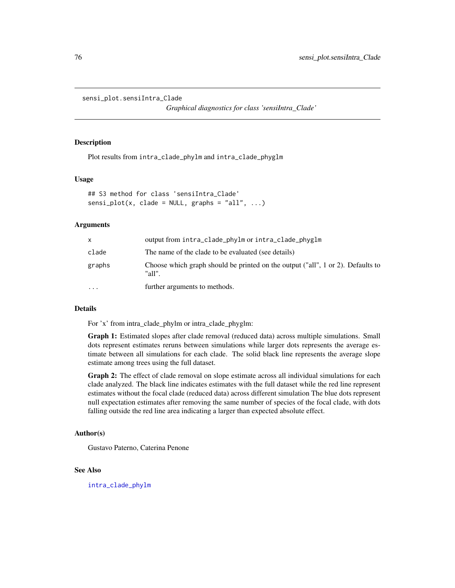```
sensi_plot.sensiIntra_Clade
```
*Graphical diagnostics for class 'sensiIntra\_Clade'*

## **Description**

Plot results from intra\_clade\_phylm and intra\_clade\_phyglm

## Usage

```
## S3 method for class 'sensiIntra_Clade'
sensi.plot(x, clade = NULL, graphs = "all", ...)
```
## Arguments

| x        | output from intra_clade_phylm or intra_clade_phyglm                                       |
|----------|-------------------------------------------------------------------------------------------|
| clade    | The name of the clade to be evaluated (see details)                                       |
| graphs   | Choose which graph should be printed on the output ("all", 1 or 2). Defaults to<br>"all". |
| $\cdots$ | further arguments to methods.                                                             |

## Details

For 'x' from intra\_clade\_phylm or intra\_clade\_phyglm:

Graph 1: Estimated slopes after clade removal (reduced data) across multiple simulations. Small dots represent estimates reruns between simulations while larger dots represents the average estimate between all simulations for each clade. The solid black line represents the average slope estimate among trees using the full dataset.

Graph 2: The effect of clade removal on slope estimate across all individual simulations for each clade analyzed. The black line indicates estimates with the full dataset while the red line represent estimates without the focal clade (reduced data) across different simulation The blue dots represent null expectation estimates after removing the same number of species of the focal clade, with dots falling outside the red line area indicating a larger than expected absolute effect.

#### Author(s)

Gustavo Paterno, Caterina Penone

### See Also

[intra\\_clade\\_phylm](#page-28-0)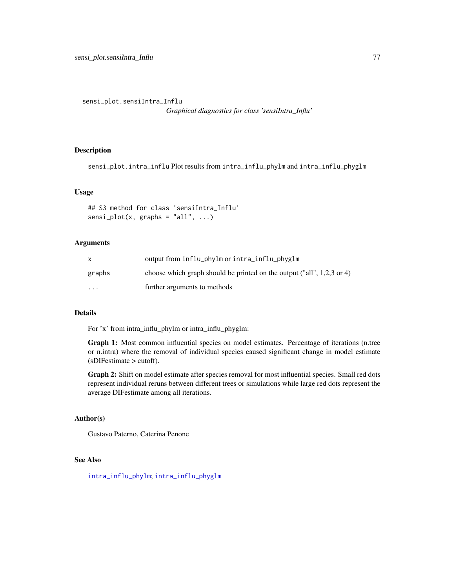sensi\_plot.sensiIntra\_Influ

*Graphical diagnostics for class 'sensiIntra\_Influ'*

# Description

sensi\_plot.intra\_influ Plot results from intra\_influ\_phylm and intra\_influ\_phyglm

#### Usage

```
## S3 method for class 'sensiIntra_Influ'
sensi.plot(x, graphs = "all", ...)
```
## **Arguments**

|         | output from influ_phylm or intra_influ_phyglm                            |
|---------|--------------------------------------------------------------------------|
| graphs  | choose which graph should be printed on the output ("all", $1,2,3$ or 4) |
| $\cdot$ | further arguments to methods                                             |

# Details

For 'x' from intra\_influ\_phylm or intra\_influ\_phyglm:

Graph 1: Most common influential species on model estimates. Percentage of iterations (n.tree or n.intra) where the removal of individual species caused significant change in model estimate (sDIFestimate > cutoff).

Graph 2: Shift on model estimate after species removal for most influential species. Small red dots represent individual reruns between different trees or simulations while large red dots represent the average DIFestimate among all iterations.

## Author(s)

Gustavo Paterno, Caterina Penone

#### See Also

[intra\\_influ\\_phylm](#page-33-0); [intra\\_influ\\_phyglm](#page-31-0)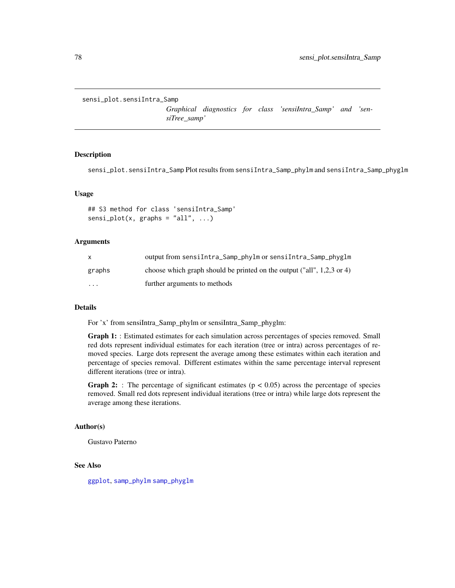sensi\_plot.sensiIntra\_Samp

*Graphical diagnostics for class 'sensiIntra\_Samp' and 'sensiTree\_samp'*

# **Description**

sensi\_plot.sensiIntra\_Samp Plot results from sensiIntra\_Samp\_phylm and sensiIntra\_Samp\_phyglm

#### Usage

```
## S3 method for class 'sensiIntra_Samp'
sensi.plot(x, graphs = "all", ...)
```
### **Arguments**

|         | output from sensiIntra_Samp_phylm or sensiIntra_Samp_phyglm              |
|---------|--------------------------------------------------------------------------|
| graphs  | choose which graph should be printed on the output ("all", $1,2,3$ or 4) |
| $\cdot$ | further arguments to methods                                             |

#### Details

For 'x' from sensiIntra\_Samp\_phylm or sensiIntra\_Samp\_phyglm:

Graph 1: : Estimated estimates for each simulation across percentages of species removed. Small red dots represent individual estimates for each iteration (tree or intra) across percentages of removed species. Large dots represent the average among these estimates within each iteration and percentage of species removal. Different estimates within the same percentage interval represent different iterations (tree or intra).

**Graph 2:** : The percentage of significant estimates ( $p < 0.05$ ) across the percentage of species removed. Small red dots represent individual iterations (tree or intra) while large dots represent the average among these iterations.

### Author(s)

Gustavo Paterno

# See Also

[ggplot](#page-0-0), [samp\\_phylm](#page-60-0) [samp\\_phyglm](#page-58-0)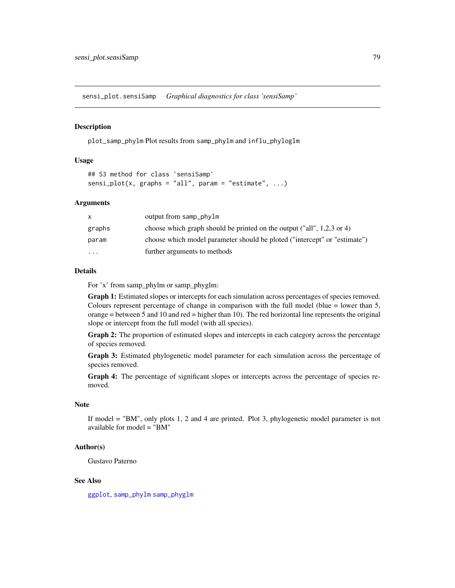sensi\_plot.sensiSamp *Graphical diagnostics for class 'sensiSamp'*

#### Description

plot\_samp\_phylm Plot results from samp\_phylm and influ\_phyloglm

### Usage

```
## S3 method for class 'sensiSamp'
sensi_plot(x, graphs = "all", param = "estimate", \dots)
```
## **Arguments**

| X        | output from samp_phylm                                                    |
|----------|---------------------------------------------------------------------------|
| graphs   | choose which graph should be printed on the output ("all", $1,2,3$ or 4)  |
| param    | choose which model parameter should be ploted ("intercept" or "estimate") |
| $\cdots$ | further arguments to methods                                              |

## Details

For 'x' from samp\_phylm or samp\_phyglm:

Graph 1: Estimated slopes or intercepts for each simulation across percentages of species removed. Colours represent percentage of change in comparison with the full model (blue = lower than 5, orange = between 5 and 10 and red = higher than 10). The red horizontal line represents the original slope or intercept from the full model (with all species).

Graph 2: The proportion of estimated slopes and intercepts in each category across the percentage of species removed.

Graph 3: Estimated phylogenetic model parameter for each simulation across the percentage of species removed.

Graph 4: The percentage of significant slopes or intercepts across the percentage of species removed.

## Note

If model = "BM", only plots 1, 2 and 4 are printed. Plot 3, phylogenetic model parameter is not available for model = "BM"

#### Author(s)

Gustavo Paterno

### See Also

[ggplot](#page-0-0), [samp\\_phylm](#page-60-0) [samp\\_phyglm](#page-58-0)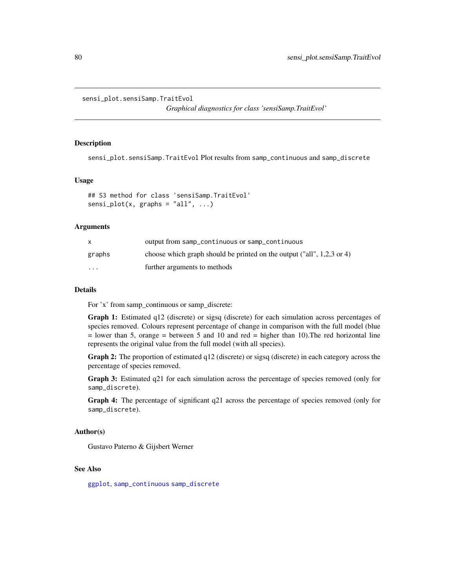sensi\_plot.sensiSamp.TraitEvol

*Graphical diagnostics for class 'sensiSamp.TraitEvol'*

#### Description

sensi\_plot.sensiSamp.TraitEvol Plot results from samp\_continuous and samp\_discrete

#### Usage

```
## S3 method for class 'sensiSamp.TraitEvol'
sensi.plot(x, graphs = "all", ...)
```
## **Arguments**

| X       | output from samp_continuous or samp_continuous                           |
|---------|--------------------------------------------------------------------------|
| graphs  | choose which graph should be printed on the output ("all", $1,2,3$ or 4) |
| $\cdot$ | further arguments to methods                                             |

# Details

For 'x' from samp\_continuous or samp\_discrete:

Graph 1: Estimated q12 (discrete) or sigsq (discrete) for each simulation across percentages of species removed. Colours represent percentage of change in comparison with the full model (blue  $=$  lower than 5, orange  $=$  between 5 and 10 and red  $=$  higher than 10). The red horizontal line represents the original value from the full model (with all species).

Graph 2: The proportion of estimated q12 (discrete) or sigsq (discrete) in each category across the percentage of species removed.

Graph 3: Estimated q21 for each simulation across the percentage of species removed (only for samp\_discrete).

Graph 4: The percentage of significant q21 across the percentage of species removed (only for samp\_discrete).

#### Author(s)

Gustavo Paterno & Gijsbert Werner

# See Also

[ggplot](#page-0-0), [samp\\_continuous](#page-54-0) [samp\\_discrete](#page-56-0)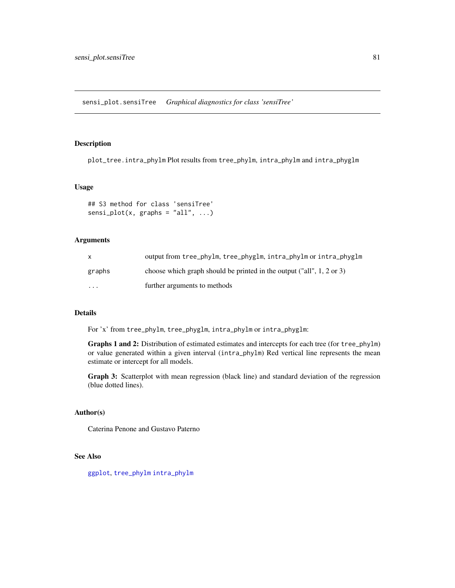sensi\_plot.sensiTree *Graphical diagnostics for class 'sensiTree'*

# Description

plot\_tree.intra\_phylm Plot results from tree\_phylm, intra\_phylm and intra\_phyglm

# Usage

```
## S3 method for class 'sensiTree'
sensi_plot(x, graphs = "all", ...)
```
## Arguments

| $\mathsf{x}$ | output from tree_phylm, tree_phyglm, intra_phylm or intra_phyglm        |
|--------------|-------------------------------------------------------------------------|
| graphs       | choose which graph should be printed in the output ("all", $1, 2$ or 3) |
| $\cdot$      | further arguments to methods                                            |

# Details

For 'x' from tree\_phylm, tree\_phyglm, intra\_phylm or intra\_phyglm:

Graphs 1 and 2: Distribution of estimated estimates and intercepts for each tree (for tree\_phylm) or value generated within a given interval (intra\_phylm) Red vertical line represents the mean estimate or intercept for all models.

Graph 3: Scatterplot with mean regression (black line) and standard deviation of the regression (blue dotted lines).

# Author(s)

Caterina Penone and Gustavo Paterno

#### See Also

[ggplot](#page-0-0), [tree\\_phylm](#page-107-0) [intra\\_phylm](#page-38-0)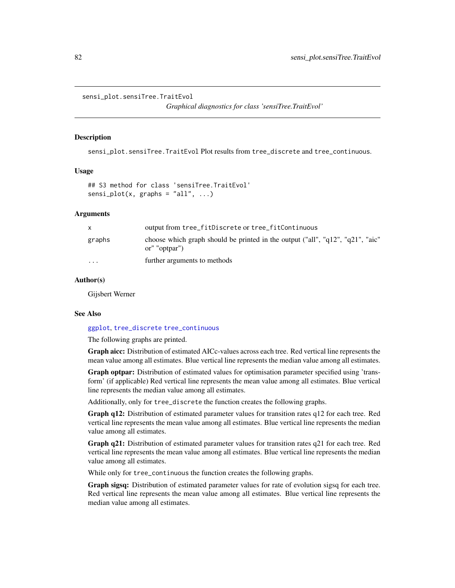sensi\_plot.sensiTree.TraitEvol

*Graphical diagnostics for class 'sensiTree.TraitEvol'*

## **Description**

sensi\_plot.sensiTree.TraitEvol Plot results from tree\_discrete and tree\_continuous.

#### Usage

```
## S3 method for class 'sensiTree.TraitEvol'
sensi.plot(x, graphs = "all", ...)
```
## Arguments

| X        | output from tree_fitDiscrete or tree_fitContinuous                                              |
|----------|-------------------------------------------------------------------------------------------------|
| graphs   | choose which graph should be printed in the output ("all", "q12", "q21", "aic"<br>or" "optpar") |
| $\cdots$ | further arguments to methods                                                                    |

#### Author(s)

Gijsbert Werner

#### See Also

#### [ggplot](#page-0-0), [tree\\_discrete](#page-95-0) [tree\\_continuous](#page-93-0)

The following graphs are printed.

Graph aicc: Distribution of estimated AICc-values across each tree. Red vertical line represents the mean value among all estimates. Blue vertical line represents the median value among all estimates.

Graph optpar: Distribution of estimated values for optimisation parameter specified using 'transform' (if applicable) Red vertical line represents the mean value among all estimates. Blue vertical line represents the median value among all estimates.

Additionally, only for tree\_discrete the function creates the following graphs.

Graph q12: Distribution of estimated parameter values for transition rates q12 for each tree. Red vertical line represents the mean value among all estimates. Blue vertical line represents the median value among all estimates.

Graph q21: Distribution of estimated parameter values for transition rates q21 for each tree. Red vertical line represents the mean value among all estimates. Blue vertical line represents the median value among all estimates.

While only for tree\_continuous the function creates the following graphs.

Graph sigsq: Distribution of estimated parameter values for rate of evolution sigsq for each tree. Red vertical line represents the mean value among all estimates. Blue vertical line represents the median value among all estimates.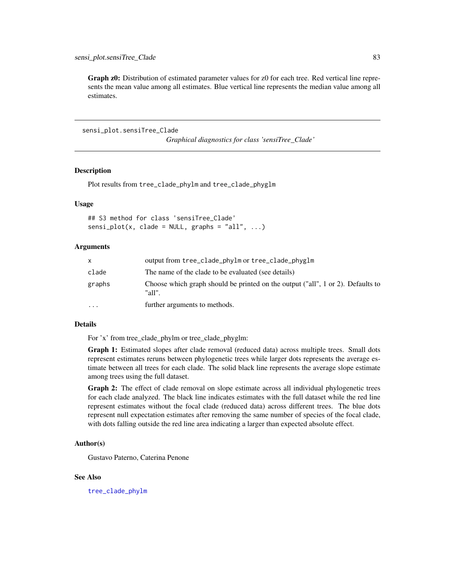Graph  $z0$ : Distribution of estimated parameter values for z0 for each tree. Red vertical line represents the mean value among all estimates. Blue vertical line represents the median value among all estimates.

sensi\_plot.sensiTree\_Clade

*Graphical diagnostics for class 'sensiTree\_Clade'*

# Description

Plot results from tree\_clade\_phylm and tree\_clade\_phyglm

## Usage

## S3 method for class 'sensiTree\_Clade'  $sensi.plot(x, clade = NULL, graphs = "all", ...)$ 

### **Arguments**

| X        | output from tree_clade_phylm or tree_clade_phyglm                                         |
|----------|-------------------------------------------------------------------------------------------|
| clade    | The name of the clade to be evaluated (see details)                                       |
| graphs   | Choose which graph should be printed on the output ("all", 1 or 2). Defaults to<br>"all". |
| $\cdots$ | further arguments to methods.                                                             |

### Details

For 'x' from tree\_clade\_phylm or tree\_clade\_phyglm:

Graph 1: Estimated slopes after clade removal (reduced data) across multiple trees. Small dots represent estimates reruns between phylogenetic trees while larger dots represents the average estimate between all trees for each clade. The solid black line represents the average slope estimate among trees using the full dataset.

Graph 2: The effect of clade removal on slope estimate across all individual phylogenetic trees for each clade analyzed. The black line indicates estimates with the full dataset while the red line represent estimates without the focal clade (reduced data) across different trees. The blue dots represent null expectation estimates after removing the same number of species of the focal clade, with dots falling outside the red line area indicating a larger than expected absolute effect.

# Author(s)

Gustavo Paterno, Caterina Penone

# See Also

[tree\\_clade\\_phylm](#page-91-0)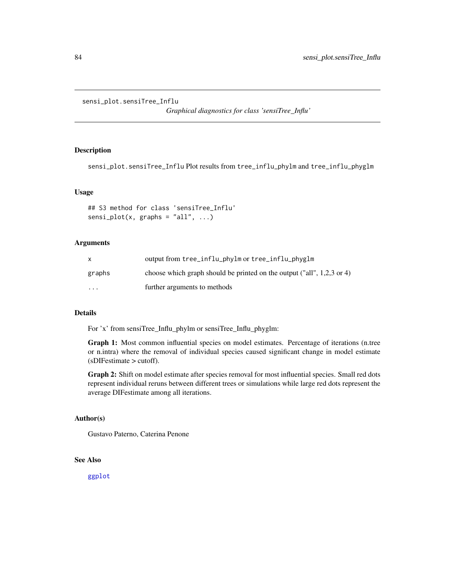```
sensi_plot.sensiTree_Influ
```
*Graphical diagnostics for class 'sensiTree\_Influ'*

## Description

sensi\_plot.sensiTree\_Influ Plot results from tree\_influ\_phylm and tree\_influ\_phyglm

#### Usage

```
## S3 method for class 'sensiTree_Influ'
sensi.plot(x, graphs = "all", ...)
```
## **Arguments**

| X        | output from tree_influ_phylm or tree_influ_phyglm                        |
|----------|--------------------------------------------------------------------------|
| graphs   | choose which graph should be printed on the output ("all", $1,2,3$ or 4) |
| $\cdots$ | further arguments to methods                                             |

# Details

For 'x' from sensiTree\_Influ\_phylm or sensiTree\_Influ\_phyglm:

Graph 1: Most common influential species on model estimates. Percentage of iterations (n.tree or n.intra) where the removal of individual species caused significant change in model estimate (sDIFestimate > cutoff).

Graph 2: Shift on model estimate after species removal for most influential species. Small red dots represent individual reruns between different trees or simulations while large red dots represent the average DIFestimate among all iterations.

# Author(s)

Gustavo Paterno, Caterina Penone

#### See Also

[ggplot](#page-0-0)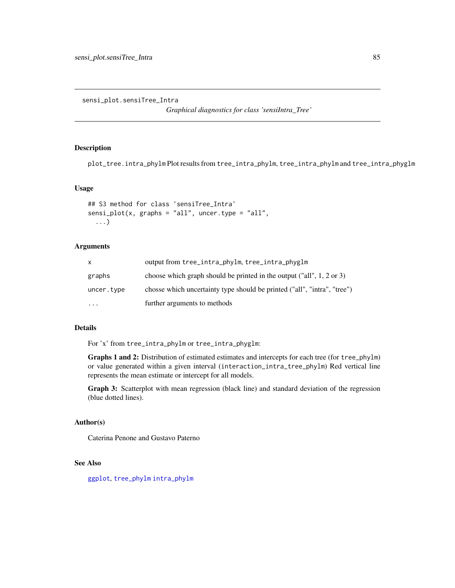sensi\_plot.sensiTree\_Intra

*Graphical diagnostics for class 'sensiIntra\_Tree'*

# Description

plot\_tree.intra\_phylm Plot results from tree\_intra\_phylm, tree\_intra\_phylm and tree\_intra\_phyglm

## Usage

```
## S3 method for class 'sensiTree_Intra'
sensi_plot(x, graphs = "all", uncer_type = "all",...)
```
#### Arguments

| x.         | output from tree_intra_phylm, tree_intra_phyglm                            |
|------------|----------------------------------------------------------------------------|
| graphs     | choose which graph should be printed in the output ("all", $1, 2$ or $3$ ) |
| uncer.type | chosse which uncertainty type should be printed ("all", "intra", "tree")   |
| $\ddotsc$  | further arguments to methods                                               |

# Details

For 'x' from tree\_intra\_phylm or tree\_intra\_phyglm:

Graphs 1 and 2: Distribution of estimated estimates and intercepts for each tree (for tree\_phylm) or value generated within a given interval (interaction\_intra\_tree\_phylm) Red vertical line represents the mean estimate or intercept for all models.

Graph 3: Scatterplot with mean regression (black line) and standard deviation of the regression (blue dotted lines).

# Author(s)

Caterina Penone and Gustavo Paterno

# See Also

[ggplot](#page-0-0), [tree\\_phylm](#page-107-0) [intra\\_phylm](#page-38-0)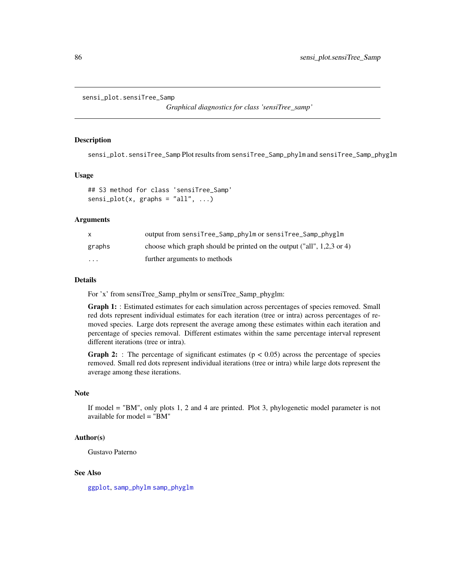```
sensi_plot.sensiTree_Samp
```
*Graphical diagnostics for class 'sensiTree\_samp'*

#### Description

sensi\_plot.sensiTree\_Samp Plot results from sensiTree\_Samp\_phylm and sensiTree\_Samp\_phyglm

# Usage

## S3 method for class 'sensiTree\_Samp'  $sensi.plot(x, graphs = "all", ...)$ 

# Arguments

| X        | output from sensiTree_Samp_phylm or sensiTree_Samp_phyglm                |
|----------|--------------------------------------------------------------------------|
| graphs   | choose which graph should be printed on the output ("all", $1,2,3$ or 4) |
| $\cdots$ | further arguments to methods                                             |

#### Details

For 'x' from sensiTree\_Samp\_phylm or sensiTree\_Samp\_phyglm:

Graph 1: : Estimated estimates for each simulation across percentages of species removed. Small red dots represent individual estimates for each iteration (tree or intra) across percentages of removed species. Large dots represent the average among these estimates within each iteration and percentage of species removal. Different estimates within the same percentage interval represent different iterations (tree or intra).

**Graph 2:** : The percentage of significant estimates ( $p < 0.05$ ) across the percentage of species removed. Small red dots represent individual iterations (tree or intra) while large dots represent the average among these iterations.

#### Note

If model = "BM", only plots 1, 2 and 4 are printed. Plot 3, phylogenetic model parameter is not available for model = "BM"

# Author(s)

Gustavo Paterno

# See Also

[ggplot](#page-0-0), [samp\\_phylm](#page-60-0) [samp\\_phyglm](#page-58-0)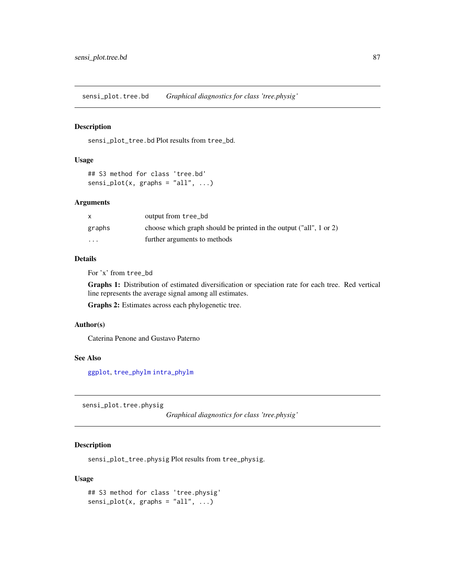sensi\_plot.tree.bd *Graphical diagnostics for class 'tree.physig'*

# Description

sensi\_plot\_tree.bd Plot results from tree\_bd.

### Usage

```
## S3 method for class 'tree.bd'
sensi\_plot(x, graphs = "all", ...)
```
## Arguments

| $\mathsf{x}$            | output from tree_bd                                                |
|-------------------------|--------------------------------------------------------------------|
| graphs                  | choose which graph should be printed in the output ("all", 1 or 2) |
| $\cdot$ $\cdot$ $\cdot$ | further arguments to methods                                       |

# Details

For 'x' from tree\_bd

Graphs 1: Distribution of estimated diversification or speciation rate for each tree. Red vertical line represents the average signal among all estimates.

Graphs 2: Estimates across each phylogenetic tree.

#### Author(s)

Caterina Penone and Gustavo Paterno

#### See Also

[ggplot](#page-0-0), [tree\\_phylm](#page-107-0) [intra\\_phylm](#page-38-0)

sensi\_plot.tree.physig

*Graphical diagnostics for class 'tree.physig'*

# Description

sensi\_plot\_tree.physig Plot results from tree\_physig.

#### Usage

```
## S3 method for class 'tree.physig'
sensi_plot(x, graphs = "all", ...)
```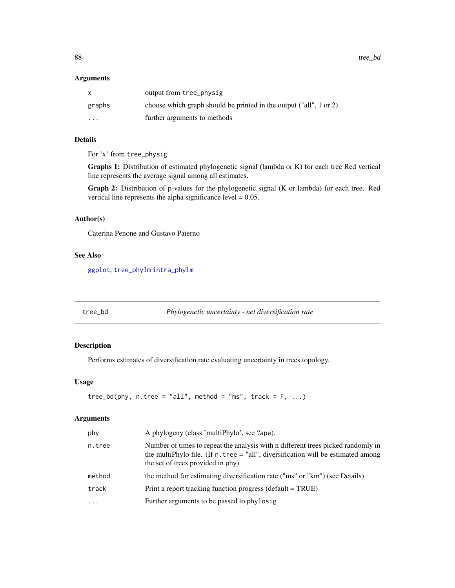88 tree\_bd

## Arguments

|          | output from tree_physig                                            |
|----------|--------------------------------------------------------------------|
| graphs   | choose which graph should be printed in the output ("all", 1 or 2) |
| $\cdots$ | further arguments to methods                                       |

# Details

For 'x' from tree\_physig

Graphs 1: Distribution of estimated phylogenetic signal (lambda or K) for each tree Red vertical line represents the average signal among all estimates.

Graph 2: Distribution of p-values for the phylogenetic signal (K or lambda) for each tree. Red vertical line represents the alpha significance level  $= 0.05$ .

## Author(s)

Caterina Penone and Gustavo Paterno

# See Also

[ggplot](#page-0-0), [tree\\_phylm](#page-107-0) [intra\\_phylm](#page-38-0)

tree\_bd *Phylogenetic uncertainty - net diversification rate*

# Description

Performs estimates of diversification rate evaluating uncertainty in trees topology.

# Usage

```
tree_bd(phy, n.tree = "all", method = "ms", track = F, ...)
```
## Arguments

| phy      | A phylogeny (class 'multiPhylo', see ?ape).                                                                                                                                                                   |
|----------|---------------------------------------------------------------------------------------------------------------------------------------------------------------------------------------------------------------|
| n.tree   | Number of times to repeat the analysis with n different trees picked randomly in<br>the multiPhylo file. (If $n$ . tree = "all", diversification will be estimated among<br>the set of trees provided in phy) |
| method   | the method for estimating diversification rate ("ms" or "km") (see Details).                                                                                                                                  |
| track    | Print a report tracking function progress (default = TRUE)                                                                                                                                                    |
| $\cdots$ | Further arguments to be passed to phylosig                                                                                                                                                                    |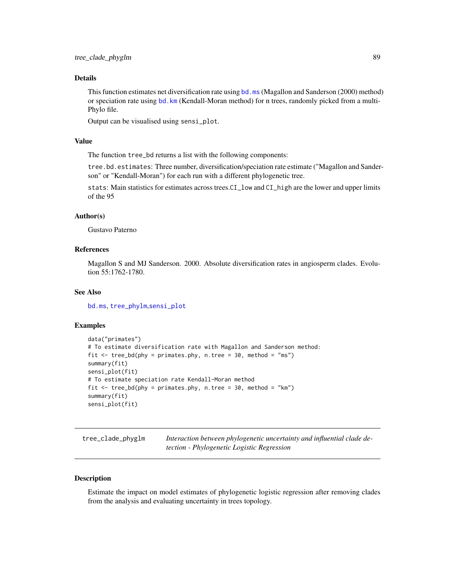# Details

This function estimates net diversification rate using [bd.ms](#page-0-0) (Magallon and Sanderson (2000) method) or speciation rate using [bd.km](#page-0-0) (Kendall-Moran method) for n trees, randomly picked from a multi-Phylo file.

Output can be visualised using sensi\_plot.

#### Value

The function tree\_bd returns a list with the following components:

tree.bd.estimates: Three number, diversification/speciation rate estimate ("Magallon and Sanderson" or "Kendall-Moran") for each run with a different phylogenetic tree.

stats: Main statistics for estimates across trees.CI\_low and CI\_high are the lower and upper limits of the 95

# Author(s)

Gustavo Paterno

# References

Magallon S and MJ Sanderson. 2000. Absolute diversification rates in angiosperm clades. Evolution 55:1762-1780.

## See Also

[bd.ms](#page-0-0), [tree\\_phylm](#page-107-0),[sensi\\_plot](#page-65-0)

#### Examples

```
data("primates")
# To estimate diversification rate with Magallon and Sanderson method:
fit \le tree_bd(phy = primates.phy, n.tree = 30, method = "ms")
summary(fit)
sensi_plot(fit)
# To estimate speciation rate Kendall-Moran method
fit \le tree_bd(phy = primates.phy, n.tree = 30, method = "km")
summary(fit)
sensi_plot(fit)
```
<span id="page-88-0"></span>

| tree_clade_phyglm | Interaction between phylogenetic uncertainty and influential clade de- |
|-------------------|------------------------------------------------------------------------|
|                   | <i>tection - Phylogenetic Logistic Regression</i>                      |

## **Description**

Estimate the impact on model estimates of phylogenetic logistic regression after removing clades from the analysis and evaluating uncertainty in trees topology.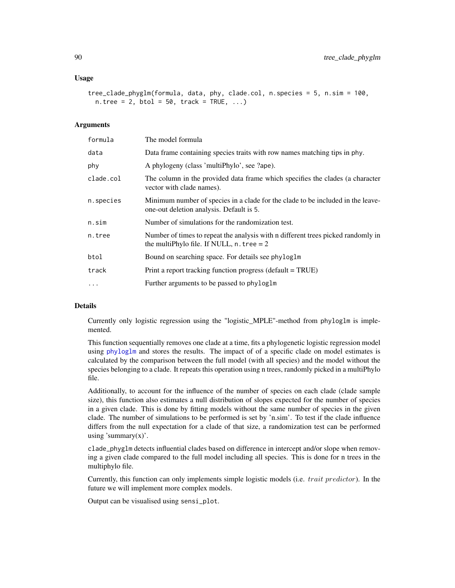#### Usage

```
tree_clade_phyglm(formula, data, phy, clade.col, n.species = 5, n.sim = 100,
  n. tree = 2, btol = 50, track = TRUE, \dots)
```
## **Arguments**

| formula   | The model formula                                                                                                                |  |
|-----------|----------------------------------------------------------------------------------------------------------------------------------|--|
| data      | Data frame containing species traits with row names matching tips in phy.                                                        |  |
| phy       | A phylogeny (class 'multiPhylo', see ?ape).                                                                                      |  |
| clade.col | The column in the provided data frame which specifies the clades (a character<br>vector with clade names).                       |  |
| n.species | Minimum number of species in a clade for the clade to be included in the leave-<br>one-out deletion analysis. Default is 5.      |  |
| n.sim     | Number of simulations for the randomization test.                                                                                |  |
| n.tree    | Number of times to repeat the analysis with n different trees picked randomly in<br>the multiPhylo file. If NULL, $n$ . tree = 2 |  |
| btol      | Bound on searching space. For details see phyloglm                                                                               |  |
| track     | Print a report tracking function progress (default = TRUE)                                                                       |  |
| $\cdots$  | Further arguments to be passed to phyloglm                                                                                       |  |
|           |                                                                                                                                  |  |

# Details

Currently only logistic regression using the "logistic\_MPLE"-method from phyloglm is implemented.

This function sequentially removes one clade at a time, fits a phylogenetic logistic regression model using [phyloglm](#page-0-0) and stores the results. The impact of of a specific clade on model estimates is calculated by the comparison between the full model (with all species) and the model without the species belonging to a clade. It repeats this operation using n trees, randomly picked in a multiPhylo file.

Additionally, to account for the influence of the number of species on each clade (clade sample size), this function also estimates a null distribution of slopes expected for the number of species in a given clade. This is done by fitting models without the same number of species in the given clade. The number of simulations to be performed is set by 'n.sim'. To test if the clade influence differs from the null expectation for a clade of that size, a randomization test can be performed using 'summary $(x)$ '.

clade\_phyglm detects influential clades based on difference in intercept and/or slope when removing a given clade compared to the full model including all species. This is done for n trees in the multiphylo file.

Currently, this function can only implements simple logistic models (i.e. *trait predictor*). In the future we will implement more complex models.

Output can be visualised using sensi\_plot.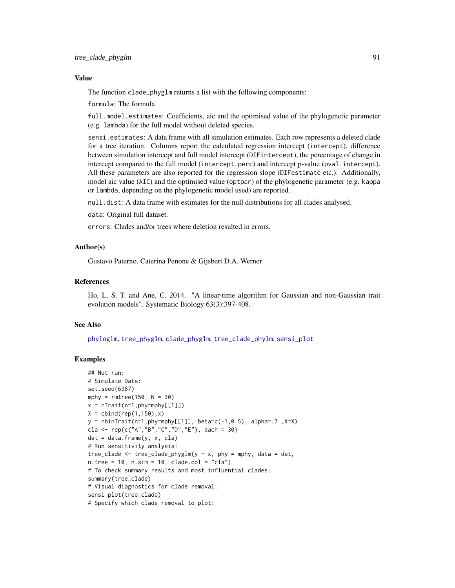#### Value

The function clade\_phyglm returns a list with the following components:

formula: The formula

full.model.estimates: Coefficients, aic and the optimised value of the phylogenetic parameter (e.g. lambda) for the full model without deleted species.

sensi.estimates: A data frame with all simulation estimates. Each row represents a deleted clade for a tree iteration. Columns report the calculated regression intercept (intercept), difference between simulation intercept and full model intercept (DIFintercept), the percentage of change in intercept compared to the full model (intercept.perc) and intercept p-value (pval.intercept). All these parameters are also reported for the regression slope (DIFestimate etc.). Additionally, model aic value (AIC) and the optimised value (optpar) of the phylogenetic parameter (e.g. kappa or lambda, depending on the phylogenetic model used) are reported.

null.dist: A data frame with estimates for the null distributions for all clades analysed.

data: Original full dataset.

errors: Clades and/or trees where deletion resulted in errors.

# Author(s)

Gustavo Paterno, Caterina Penone & Gijsbert D.A. Werner

## References

Ho, L. S. T. and Ane, C. 2014. "A linear-time algorithm for Gaussian and non-Gaussian trait evolution models". Systematic Biology 63(3):397-408.

#### See Also

[phyloglm](#page-0-0), [tree\\_phyglm](#page-106-0), [clade\\_phyglm](#page-9-0), [tree\\_clade\\_phylm](#page-91-0), [sensi\\_plot](#page-65-0)

## Examples

```
## Not run:
# Simulate Data:
set.seed(6987)
mphy = rmree(150, N = 30)x = rTrain(n=1, phy=mphy[[1]])X = \text{cbind}(\text{rep}(1, 150), x)y = \text{rbinTrait(n=1, phy=mphy[[1]], beta=c(-1,0.5), alpha=.7 , X=X)cla <- rep(c("A","B","C","D","E"), each = 30)
dat = data-frame(y, x, cla)# Run sensitivity analysis:
tree_clade <- tree_clade_phyglm(y \sim x, phy = mphy, data = dat,
n. tree = 10, n. sim = 10, clade.col = "cla")# To check summary results and most influential clades:
summary(tree_clade)
# Visual diagnostics for clade removal:
sensi_plot(tree_clade)
# Specify which clade removal to plot:
```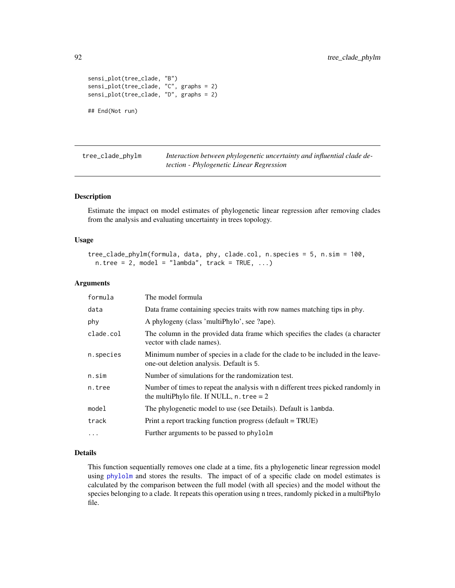```
sensi_plot(tree_clade, "B")
sensi_plot(tree_clade, "C", graphs = 2)
sensi_plot(tree_clade, "D", graphs = 2)
## End(Not run)
```
<span id="page-91-0"></span>tree\_clade\_phylm *Interaction between phylogenetic uncertainty and influential clade detection - Phylogenetic Linear Regression*

# Description

Estimate the impact on model estimates of phylogenetic linear regression after removing clades from the analysis and evaluating uncertainty in trees topology.

#### Usage

```
tree_clade_phylm(formula, data, phy, clade.col, n.species = 5, n.sim = 100,
  n. tree = 2, model = "lambda", track = TRUE, ...)
```
### Arguments

| formula   | The model formula                                                                                                                |
|-----------|----------------------------------------------------------------------------------------------------------------------------------|
| data      | Data frame containing species traits with row names matching tips in phy.                                                        |
| phy       | A phylogeny (class 'multiPhylo', see ?ape).                                                                                      |
| clade.col | The column in the provided data frame which specifies the clades (a character<br>vector with clade names).                       |
| n.species | Minimum number of species in a clade for the clade to be included in the leave-<br>one-out deletion analysis. Default is 5.      |
| n.sim     | Number of simulations for the randomization test.                                                                                |
| n.tree    | Number of times to repeat the analysis with n different trees picked randomly in<br>the multiPhylo file. If NULL, $n$ . tree = 2 |
| model     | The phylogenetic model to use (see Details). Default is lambda.                                                                  |
| track     | Print a report tracking function progress (default = TRUE)                                                                       |
| $\cdots$  | Further arguments to be passed to phylolm                                                                                        |

## Details

This function sequentially removes one clade at a time, fits a phylogenetic linear regression model using [phylolm](#page-0-0) and stores the results. The impact of of a specific clade on model estimates is calculated by the comparison between the full model (with all species) and the model without the species belonging to a clade. It repeats this operation using n trees, randomly picked in a multiPhylo file.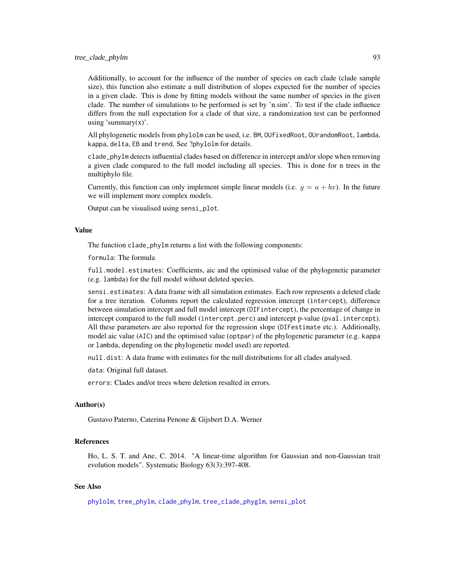Additionally, to account for the influence of the number of species on each clade (clade sample size), this function also estimate a null distribution of slopes expected for the number of species in a given clade. This is done by fitting models without the same number of species in the given clade. The number of simulations to be performed is set by 'n.sim'. To test if the clade influence differs from the null expectation for a clade of that size, a randomization test can be performed using 'summary $(x)$ '.

All phylogenetic models from phylolm can be used, i.e. BM, OUfixedRoot, OUrandomRoot, lambda, kappa, delta, EB and trend. See ?phylolm for details.

clade\_phylm detects influential clades based on difference in intercept and/or slope when removing a given clade compared to the full model including all species. This is done for n trees in the multiphylo file.

Currently, this function can only implement simple linear models (i.e.  $y = a + bx$ ). In the future we will implement more complex models.

Output can be visualised using sensi\_plot.

#### Value

The function clade\_phylm returns a list with the following components:

formula: The formula

full.model.estimates: Coefficients, aic and the optimised value of the phylogenetic parameter (e.g. lambda) for the full model without deleted species.

sensi.estimates: A data frame with all simulation estimates. Each row represents a deleted clade for a tree iteration. Columns report the calculated regression intercept (intercept), difference between simulation intercept and full model intercept (DIFintercept), the percentage of change in intercept compared to the full model (intercept.perc) and intercept p-value (pval.intercept). All these parameters are also reported for the regression slope (DIFestimate etc.). Additionally, model aic value (AIC) and the optimised value (optpar) of the phylogenetic parameter (e.g. kappa or lambda, depending on the phylogenetic model used) are reported.

null.dist: A data frame with estimates for the null distributions for all clades analysed.

data: Original full dataset.

errors: Clades and/or trees where deletion resulted in errors.

## Author(s)

Gustavo Paterno, Caterina Penone & Gijsbert D.A. Werner

# References

Ho, L. S. T. and Ane, C. 2014. "A linear-time algorithm for Gaussian and non-Gaussian trait evolution models". Systematic Biology 63(3):397-408.

# See Also

[phylolm](#page-0-0), [tree\\_phylm](#page-107-0), [clade\\_phylm](#page-12-0), [tree\\_clade\\_phyglm](#page-88-0), [sensi\\_plot](#page-65-0)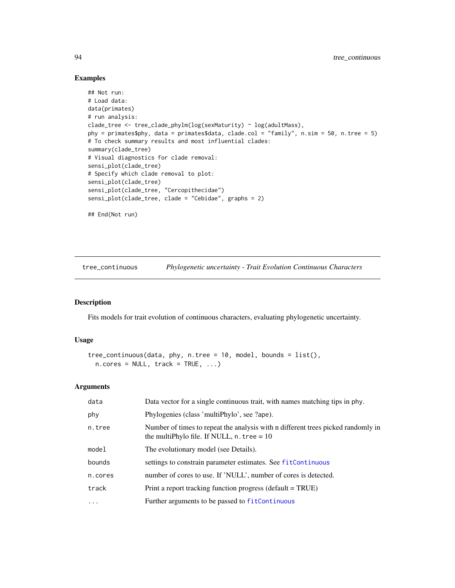## Examples

```
## Not run:
# Load data:
data(primates)
# run analysis:
clade_tree <- tree_clade_phylm(log(sexMaturity) ~ log(adultMass),
phy = primates$phy, data = primates$data, clade.col = "family", n.sim = 50, n.tree = 5)# To check summary results and most influential clades:
summary(clade_tree)
# Visual diagnostics for clade removal:
sensi_plot(clade_tree)
# Specify which clade removal to plot:
sensi_plot(clade_tree)
sensi_plot(clade_tree, "Cercopithecidae")
sensi_plot(clade_tree, clade = "Cebidae", graphs = 2)
## End(Not run)
```
<span id="page-93-0"></span>tree\_continuous *Phylogenetic uncertainty - Trait Evolution Continuous Characters*

# Description

Fits models for trait evolution of continuous characters, evaluating phylogenetic uncertainty.

#### Usage

```
tree_continuous(data, phy, n.tree = 10, model, bounds = list(),
 n.core = NULL, track = TRUE, \dots)
```
#### Arguments

| data    | Data vector for a single continuous trait, with names matching tips in phy.                                                      |  |
|---------|----------------------------------------------------------------------------------------------------------------------------------|--|
| phy     | Phylogenies (class 'multiPhylo', see ?ape).                                                                                      |  |
| n.tree  | Number of times to repeat the analysis with n different trees picked randomly in<br>the multiPhylo file. If NULL, $n.$ tree = 10 |  |
| model   | The evolutionary model (see Details).                                                                                            |  |
| bounds  | settings to constrain parameter estimates. See fitContinuous                                                                     |  |
| n.cores | number of cores to use. If 'NULL', number of cores is detected.                                                                  |  |
| track   | Print a report tracking function progress (default = TRUE)                                                                       |  |
| .       | Further arguments to be passed to fitContinuous                                                                                  |  |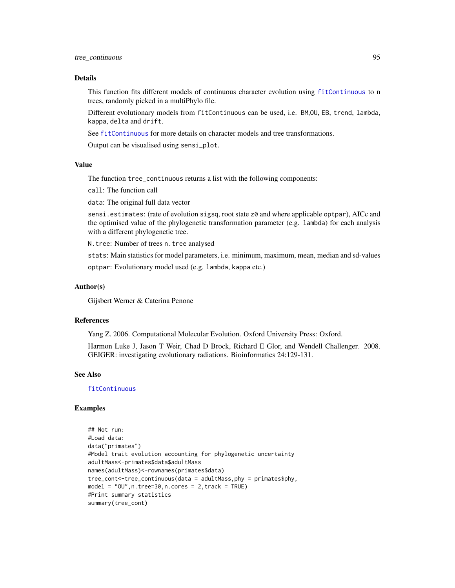## tree\_continuous 95

## Details

This function fits different models of continuous character evolution using [fitContinuous](#page-0-0) to n trees, randomly picked in a multiPhylo file.

Different evolutionary models from fitContinuous can be used, i.e. BM,OU, EB, trend, lambda, kappa, delta and drift.

See [fitContinuous](#page-0-0) for more details on character models and tree transformations.

Output can be visualised using sensi\_plot.

### Value

The function tree\_continuous returns a list with the following components:

call: The function call

data: The original full data vector

sensi.estimates: (rate of evolution sigsq, root state z0 and where applicable optpar), AICc and the optimised value of the phylogenetic transformation parameter (e.g. lambda) for each analysis with a different phylogenetic tree.

N.tree: Number of trees n.tree analysed

stats: Main statistics for model parameters, i.e. minimum, maximum, mean, median and sd-values optpar: Evolutionary model used (e.g. lambda, kappa etc.)

## Author(s)

Gijsbert Werner & Caterina Penone

# References

Yang Z. 2006. Computational Molecular Evolution. Oxford University Press: Oxford.

Harmon Luke J, Jason T Weir, Chad D Brock, Richard E Glor, and Wendell Challenger. 2008. GEIGER: investigating evolutionary radiations. Bioinformatics 24:129-131.

## See Also

[fitContinuous](#page-0-0)

# Examples

```
## Not run:
#Load data:
data("primates")
#Model trait evolution accounting for phylogenetic uncertainty
adultMass<-primates$data$adultMass
names(adultMass)<-rownames(primates$data)
tree_cont<-tree_continuous(data = adultMass,phy = primates$phy,
model = "0U", n.tree=30, n.cores = 2, track = TRUE)#Print summary statistics
summary(tree_cont)
```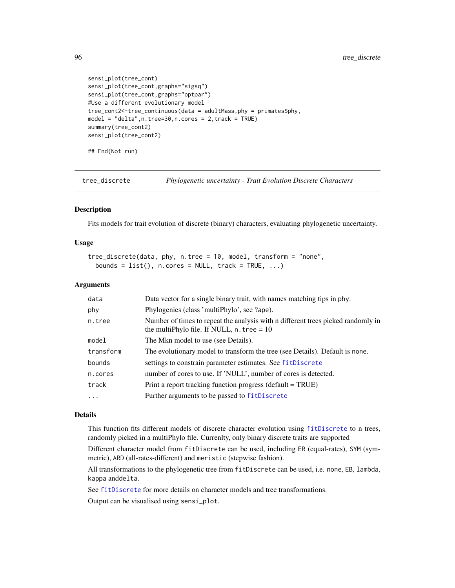```
sensi_plot(tree_cont)
sensi_plot(tree_cont,graphs="sigsq")
sensi_plot(tree_cont,graphs="optpar")
#Use a different evolutionary model
tree_cont2<-tree_continuous(data = adultMass,phy = primates$phy,
model = "delta",n.tree=30,n.cores = 2,track = TRUE)
summary(tree_cont2)
sensi_plot(tree_cont2)
```
## End(Not run)

<span id="page-95-0"></span>tree\_discrete *Phylogenetic uncertainty - Trait Evolution Discrete Characters*

#### Description

Fits models for trait evolution of discrete (binary) characters, evaluating phylogenetic uncertainty.

#### Usage

```
tree_discrete(data, phy, n.tree = 10, model, transform = "none",
 bounds = list(), n.cores = NULL, track = TRUE, ...)
```
#### Arguments

| data      | Data vector for a single binary trait, with names matching tips in phy.                                                           |  |
|-----------|-----------------------------------------------------------------------------------------------------------------------------------|--|
| phy       | Phylogenies (class 'multiPhylo', see ?ape).                                                                                       |  |
| n.tree    | Number of times to repeat the analysis with n different trees picked randomly in<br>the multiPhylo file. If NULL, $n$ . tree = 10 |  |
| model     | The Mkn model to use (see Details).                                                                                               |  |
| transform | The evolutionary model to transform the tree (see Details). Default is none.                                                      |  |
| bounds    | settings to constrain parameter estimates. See fitDiscrete                                                                        |  |
| n.cores   | number of cores to use. If 'NULL', number of cores is detected.                                                                   |  |
| track     | Print a report tracking function progress (default = TRUE)                                                                        |  |
| $\ddots$  | Further arguments to be passed to fitDiscrete                                                                                     |  |

## Details

This function fits different models of discrete character evolution using [fitDiscrete](#page-0-0) to n trees, randomly picked in a multiPhylo file. Currenlty, only binary discrete traits are supported

Different character model from fitDiscrete can be used, including ER (equal-rates), SYM (symmetric), ARD (all-rates-different) and meristic (stepwise fashion).

All transformations to the phylogenetic tree from fitDiscrete can be used, i.e. none, EB, lambda, kappa anddelta.

See [fitDiscrete](#page-0-0) for more details on character models and tree transformations.

Output can be visualised using sensi\_plot.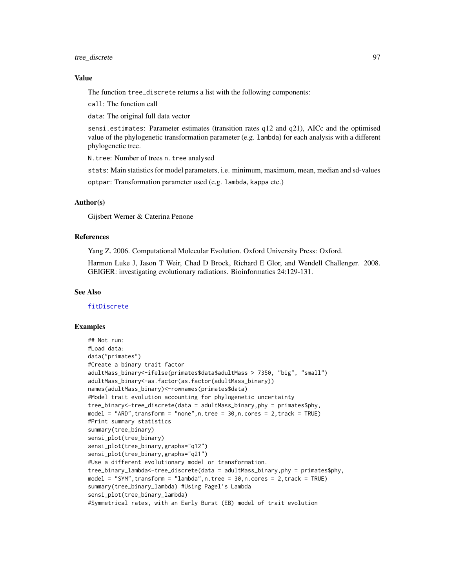tree\_discrete 97

#### Value

The function tree\_discrete returns a list with the following components:

call: The function call

data: The original full data vector

sensi.estimates: Parameter estimates (transition rates q12 and q21), AICc and the optimised value of the phylogenetic transformation parameter (e.g. lambda) for each analysis with a different phylogenetic tree.

N.tree: Number of trees n.tree analysed

stats: Main statistics for model parameters, i.e. minimum, maximum, mean, median and sd-values

optpar: Transformation parameter used (e.g. lambda, kappa etc.)

## Author(s)

Gijsbert Werner & Caterina Penone

## References

Yang Z. 2006. Computational Molecular Evolution. Oxford University Press: Oxford.

Harmon Luke J, Jason T Weir, Chad D Brock, Richard E Glor, and Wendell Challenger. 2008. GEIGER: investigating evolutionary radiations. Bioinformatics 24:129-131.

# See Also

[fitDiscrete](#page-0-0)

#### Examples

```
## Not run:
#Load data:
data("primates")
#Create a binary trait factor
adultMass_binary<-ifelse(primates$data$adultMass > 7350, "big", "small")
adultMass_binary<-as.factor(as.factor(adultMass_binary))
names(adultMass_binary)<-rownames(primates$data)
#Model trait evolution accounting for phylogenetic uncertainty
tree_binary<-tree_discrete(data = adultMass_binary,phy = primates$phy,
model = "ARD", transform = "none", n.tree = 30, n.cores = 2, track = TRUE)
#Print summary statistics
summary(tree_binary)
sensi_plot(tree_binary)
sensi_plot(tree_binary,graphs="q12")
sensi_plot(tree_binary,graphs="q21")
#Use a different evolutionary model or transformation.
tree_binary_lambda<-tree_discrete(data = adultMass_binary,phy = primates$phy,
model = "SYM",transform = "lambda",n.tree = 30,n.cores = 2,track = TRUE)
summary(tree_binary_lambda) #Using Pagel's Lambda
sensi_plot(tree_binary_lambda)
#Symmetrical rates, with an Early Burst (EB) model of trait evolution
```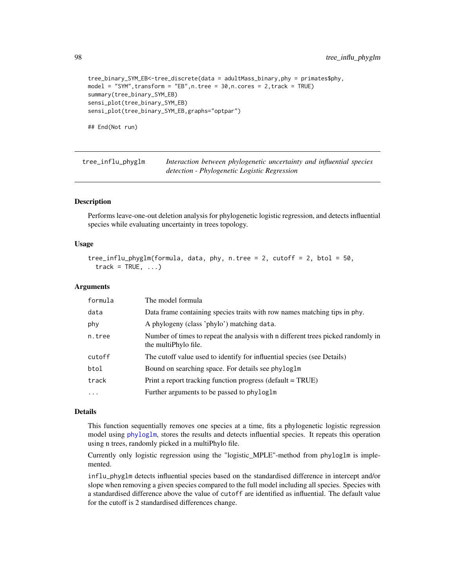```
tree_binary_SYM_EB<-tree_discrete(data = adultMass_binary,phy = primates$phy,
model = "SYM", transform = "EB", n.tree = 30, n.cores = 2, track = TRUE)summary(tree_binary_SYM_EB)
sensi_plot(tree_binary_SYM_EB)
sensi_plot(tree_binary_SYM_EB,graphs="optpar")
```
## End(Not run)

<span id="page-97-0"></span>tree\_influ\_phyglm *Interaction between phylogenetic uncertainty and influential species detection - Phylogenetic Logistic Regression*

## Description

Performs leave-one-out deletion analysis for phylogenetic logistic regression, and detects influential species while evaluating uncertainty in trees topology.

#### Usage

```
tree_influ_phyglm(formula, data, phy, n.tree = 2, cutoff = 2, btol = 50,
 track = TRUE, ...)
```
### Arguments

| formula  | The model formula                                                                                        |
|----------|----------------------------------------------------------------------------------------------------------|
| data     | Data frame containing species traits with row names matching tips in phy.                                |
| phy      | A phylogeny (class 'phylo') matching data.                                                               |
| n.tree   | Number of times to repeat the analysis with n different trees picked randomly in<br>the multiPhylo file. |
| cutoff   | The cutoff value used to identify for influential species (see Details)                                  |
| btol     | Bound on searching space. For details see phyloglm                                                       |
| track    | Print a report tracking function progress (default = TRUE)                                               |
| $\cdots$ | Further arguments to be passed to phyloglm                                                               |

## Details

This function sequentially removes one species at a time, fits a phylogenetic logistic regression model using [phyloglm](#page-0-0), stores the results and detects influential species. It repeats this operation using n trees, randomly picked in a multiPhylo file.

Currently only logistic regression using the "logistic\_MPLE"-method from phyloglm is implemented.

influ\_phyglm detects influential species based on the standardised difference in intercept and/or slope when removing a given species compared to the full model including all species. Species with a standardised difference above the value of cutoff are identified as influential. The default value for the cutoff is 2 standardised differences change.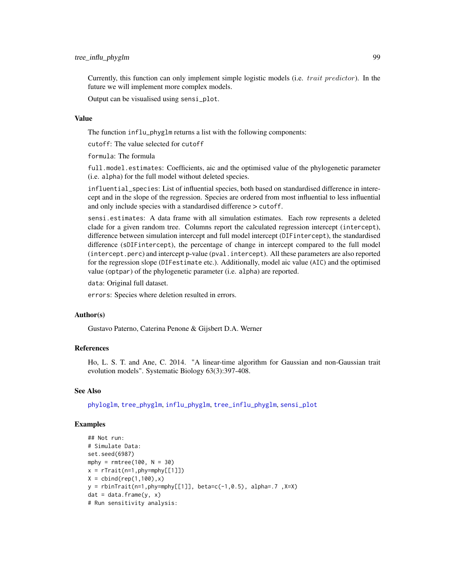Currently, this function can only implement simple logistic models (i.e. *trait predictor*). In the future we will implement more complex models.

Output can be visualised using sensi\_plot.

# Value

The function influ\_phyglm returns a list with the following components:

cutoff: The value selected for cutoff

formula: The formula

full.model.estimates: Coefficients, aic and the optimised value of the phylogenetic parameter (i.e. alpha) for the full model without deleted species.

influential\_species: List of influential species, both based on standardised difference in interecept and in the slope of the regression. Species are ordered from most influential to less influential and only include species with a standardised difference > cutoff.

sensi.estimates: A data frame with all simulation estimates. Each row represents a deleted clade for a given random tree. Columns report the calculated regression intercept (intercept), difference between simulation intercept and full model intercept (DIFintercept), the standardised difference (sDIFintercept), the percentage of change in intercept compared to the full model (intercept.perc) and intercept p-value (pval.intercept). All these parameters are also reported for the regression slope (DIFestimate etc.). Additionally, model aic value (AIC) and the optimised value (optpar) of the phylogenetic parameter (i.e. alpha) are reported.

data: Original full dataset.

errors: Species where deletion resulted in errors.

#### Author(s)

Gustavo Paterno, Caterina Penone & Gijsbert D.A. Werner

#### References

Ho, L. S. T. and Ane, C. 2014. "A linear-time algorithm for Gaussian and non-Gaussian trait evolution models". Systematic Biology 63(3):397-408.

## See Also

[phyloglm](#page-0-0), [tree\\_phyglm](#page-106-0), [influ\\_phyglm](#page-20-0), [tree\\_influ\\_phyglm](#page-97-0), [sensi\\_plot](#page-65-0)

### Examples

```
## Not run:
# Simulate Data:
set.seed(6987)
mphy = rm tree(100, N = 30)x = rTrain(n=1, phy=mphy[[1]])X = \text{cbind}(\text{rep}(1, 100), x)y = rbinTrait(n=1,phy=mphy[[1]], beta=c(-1,0.5), alpha=.7, X=X)
dat = data.frame(y, x)# Run sensitivity analysis:
```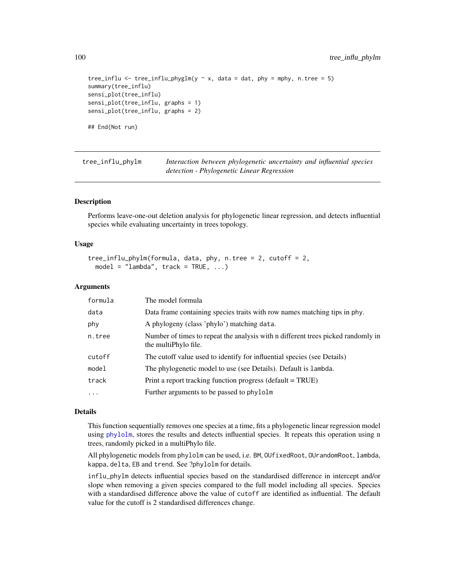```
tree_influ <- tree_influ_phyglm(y \sim x, data = dat, phy = mphy, n.tree = 5)
summary(tree_influ)
sensi_plot(tree_influ)
sensi_plot(tree_influ, graphs = 1)
sensi_plot(tree_influ, graphs = 2)
## End(Not run)
```

| tree_influ_phylm | Interaction between phylogenetic uncertainty and influential species |
|------------------|----------------------------------------------------------------------|
|                  | detection - Phylogenetic Linear Regression                           |

## Description

Performs leave-one-out deletion analysis for phylogenetic linear regression, and detects influential species while evaluating uncertainty in trees topology.

# Usage

```
tree_influ_phylm(formula, data, phy, n.tree = 2, cutoff = 2,
 model = "lambda", track = TRUE, ...)
```
# Arguments

| formula  | The model formula                                                                                        |
|----------|----------------------------------------------------------------------------------------------------------|
| data     | Data frame containing species traits with row names matching tips in phy.                                |
| phy      | A phylogeny (class 'phylo') matching data.                                                               |
| n.tree   | Number of times to repeat the analysis with n different trees picked randomly in<br>the multiPhylo file. |
| cutoff   | The cutoff value used to identify for influential species (see Details)                                  |
| model    | The phylogenetic model to use (see Details). Default is lambda.                                          |
| track    | Print a report tracking function progress (default = TRUE)                                               |
| $\cdots$ | Further arguments to be passed to phylolm                                                                |
|          |                                                                                                          |

## Details

This function sequentially removes one species at a time, fits a phylogenetic linear regression model using [phylolm](#page-0-0), stores the results and detects influential species. It repeats this operation using n trees, randomly picked in a multiPhylo file.

All phylogenetic models from phylolm can be used, i.e. BM, OUfixedRoot, OUrandomRoot, lambda, kappa, delta, EB and trend. See ?phylolm for details.

influ\_phylm detects influential species based on the standardised difference in intercept and/or slope when removing a given species compared to the full model including all species. Species with a standardised difference above the value of cutoff are identified as influential. The default value for the cutoff is 2 standardised differences change.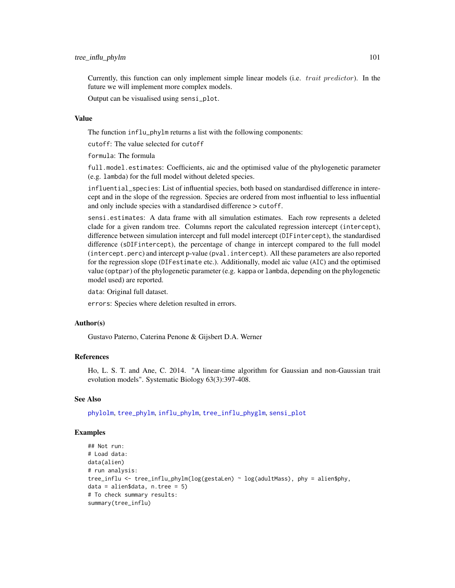Currently, this function can only implement simple linear models (i.e. trait predictor). In the future we will implement more complex models.

Output can be visualised using sensi\_plot.

# Value

The function influ\_phylm returns a list with the following components:

cutoff: The value selected for cutoff

formula: The formula

full.model.estimates: Coefficients, aic and the optimised value of the phylogenetic parameter (e.g. lambda) for the full model without deleted species.

influential\_species: List of influential species, both based on standardised difference in interecept and in the slope of the regression. Species are ordered from most influential to less influential and only include species with a standardised difference > cutoff.

sensi.estimates: A data frame with all simulation estimates. Each row represents a deleted clade for a given random tree. Columns report the calculated regression intercept (intercept), difference between simulation intercept and full model intercept (DIFintercept), the standardised difference (sDIFintercept), the percentage of change in intercept compared to the full model (intercept.perc) and intercept p-value (pval.intercept). All these parameters are also reported for the regression slope (DIFestimate etc.). Additionally, model aic value (AIC) and the optimised value (optpar) of the phylogenetic parameter (e.g. kappa or lambda, depending on the phylogenetic model used) are reported.

data: Original full dataset.

errors: Species where deletion resulted in errors.

#### Author(s)

Gustavo Paterno, Caterina Penone & Gijsbert D.A. Werner

#### References

Ho, L. S. T. and Ane, C. 2014. "A linear-time algorithm for Gaussian and non-Gaussian trait evolution models". Systematic Biology 63(3):397-408.

#### See Also

[phylolm](#page-0-0), [tree\\_phylm](#page-107-0), [influ\\_phylm](#page-22-0), [tree\\_influ\\_phyglm](#page-97-0), [sensi\\_plot](#page-65-0)

## Examples

```
## Not run:
# Load data:
data(alien)
# run analysis:
tree_influ <- tree_influ_phylm(log(gestaLen) ~ log(adultMass), phy = alien$phy,
data = alien$data, n.tree = 5)
# To check summary results:
summary(tree_influ)
```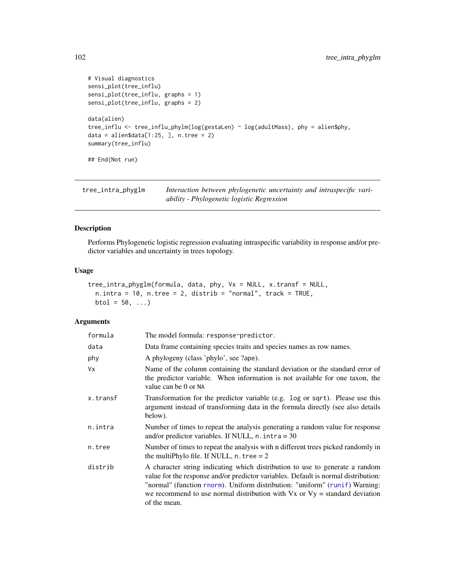```
# Visual diagnostics
sensi_plot(tree_influ)
sensi_plot(tree_influ, graphs = 1)
sensi_plot(tree_influ, graphs = 2)
data(alien)
tree_influ <- tree_influ_phylm(log(gestaLen) ~ log(adultMass), phy = alien$phy,
data = alien$data[1:25, ], n.tree = 2)
summary(tree_influ)
## End(Not run)
```
<span id="page-101-0"></span>tree\_intra\_phyglm *Interaction between phylogenetic uncertainty and intraspecific variability - Phylogenetic logistic Regression*

# Description

Performs Phylogenetic logistic regression evaluating intraspecific variability in response and/or predictor variables and uncertainty in trees topology.

### Usage

```
tree_intra_phyglm(formula, data, phy, Vx = NULL, x.transf = NULL,
 n.intra = 10, n.tree = 2, distrib = "normal", track = TRUE,
 btol = 50, ...
```
## Arguments

| formula  | The model formula: response~predictor.                                                                                                                                                                                                                                                                                                              |
|----------|-----------------------------------------------------------------------------------------------------------------------------------------------------------------------------------------------------------------------------------------------------------------------------------------------------------------------------------------------------|
| data     | Data frame containing species traits and species names as row names.                                                                                                                                                                                                                                                                                |
| phy      | A phylogeny (class 'phylo', see ?ape).                                                                                                                                                                                                                                                                                                              |
| Vx       | Name of the column containing the standard deviation or the standard error of<br>the predictor variable. When information is not available for one taxon, the<br>value can be 0 or NA                                                                                                                                                               |
| x.transf | Transformation for the predictor variable (e.g. log or sqrt). Please use this<br>argument instead of transforming data in the formula directly (see also details<br>below).                                                                                                                                                                         |
| n.intra  | Number of times to repeat the analysis generating a random value for response<br>and/or predictor variables. If NULL, $n$ . intra = 30                                                                                                                                                                                                              |
| n.tree   | Number of times to repeat the analysis with n different trees picked randomly in<br>the multiPhylo file. If NULL, $n$ . tree = 2                                                                                                                                                                                                                    |
| distrib  | A character string indicating which distribution to use to generate a random<br>value for the response and/or predictor variables. Default is normal distribution:<br>"normal" (function rnorm). Uniform distribution: "uniform" (runif) Warning:<br>we recommend to use normal distribution with $Vx$ or $Vy =$ standard deviation<br>of the mean. |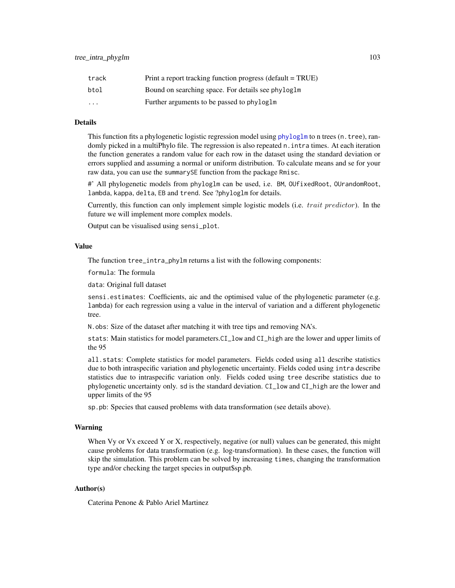| track                   | Print a report tracking function progress (default = TRUE) |
|-------------------------|------------------------------------------------------------|
| btol                    | Bound on searching space. For details see phyloglm         |
| $\cdot$ $\cdot$ $\cdot$ | Further arguments to be passed to phyloglm                 |

# Details

This function fits a phylogenetic logistic regression model using [phyloglm](#page-0-0) to n trees (n.tree), randomly picked in a multiPhylo file. The regression is also repeated n.intra times. At each iteration the function generates a random value for each row in the dataset using the standard deviation or errors supplied and assuming a normal or uniform distribution. To calculate means and se for your raw data, you can use the summarySE function from the package Rmisc.

#' All phylogenetic models from phyloglm can be used, i.e. BM, OUfixedRoot, OUrandomRoot, lambda, kappa, delta, EB and trend. See ?phyloglm for details.

Currently, this function can only implement simple logistic models (i.e. trait predictor). In the future we will implement more complex models.

Output can be visualised using sensi\_plot.

#### Value

The function tree\_intra\_phylm returns a list with the following components:

formula: The formula

data: Original full dataset

sensi.estimates: Coefficients, aic and the optimised value of the phylogenetic parameter (e.g. lambda) for each regression using a value in the interval of variation and a different phylogenetic tree.

N.obs: Size of the dataset after matching it with tree tips and removing NA's.

stats: Main statistics for model parameters.CI\_low and CI\_high are the lower and upper limits of the 95

all.stats: Complete statistics for model parameters. Fields coded using all describe statistics due to both intraspecific variation and phylogenetic uncertainty. Fields coded using intra describe statistics due to intraspecific variation only. Fields coded using tree describe statistics due to phylogenetic uncertainty only. sd is the standard deviation. CI\_low and CI\_high are the lower and upper limits of the 95

sp.pb: Species that caused problems with data transformation (see details above).

## Warning

When Vy or Vx exceed Y or X, respectively, negative (or null) values can be generated, this might cause problems for data transformation (e.g. log-transformation). In these cases, the function will skip the simulation. This problem can be solved by increasing times, changing the transformation type and/or checking the target species in output\$sp.pb.

# Author(s)

Caterina Penone & Pablo Ariel Martinez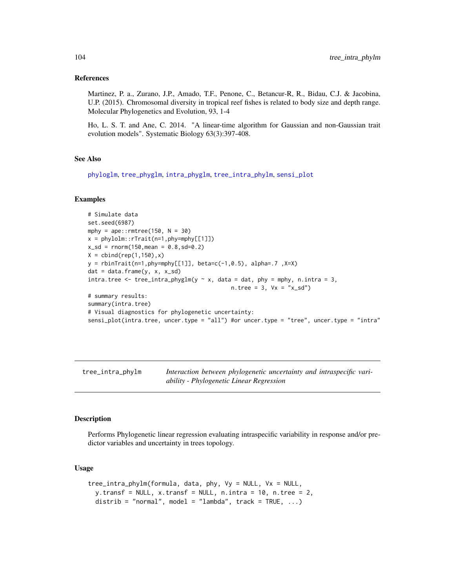#### References

Martinez, P. a., Zurano, J.P., Amado, T.F., Penone, C., Betancur-R, R., Bidau, C.J. & Jacobina, U.P. (2015). Chromosomal diversity in tropical reef fishes is related to body size and depth range. Molecular Phylogenetics and Evolution, 93, 1-4

Ho, L. S. T. and Ane, C. 2014. "A linear-time algorithm for Gaussian and non-Gaussian trait evolution models". Systematic Biology 63(3):397-408.

# See Also

[phyloglm](#page-0-0), [tree\\_phyglm](#page-106-0), [intra\\_phyglm](#page-36-0), [tree\\_intra\\_phylm](#page-103-0), [sensi\\_plot](#page-65-0)

### Examples

```
# Simulate data
set.seed(6987)
mphy = ape::rmtree(150, N = 30)x = phy1olm::rTrait(n=1, phy=mphy[[1]])x_s = rnorm(150, mean = 0.8, sd = 0.2)X = \text{cbind}(\text{rep}(1, 150), x)y = \text{rbinTrain}(n=1, phy=mphy[[1]], \text{beta=}c(-1, 0.5), \text{alpha=}.7, X=X)dat = data-frame(y, x, x_s)dintra.tree <- tree_intra_phyglm(y \sim x, data = dat, phy = mphy, n.intra = 3,
                                              n. tree = 3, Vx = "x_sdd")# summary results:
summary(intra.tree)
# Visual diagnostics for phylogenetic uncertainty:
sensi_plot(intra.tree, uncer.type = "all") #or uncer.type = "tree", uncer.type = "intra"
```
<span id="page-103-0"></span>tree\_intra\_phylm *Interaction between phylogenetic uncertainty and intraspecific variability - Phylogenetic Linear Regression*

## Description

Performs Phylogenetic linear regression evaluating intraspecific variability in response and/or predictor variables and uncertainty in trees topology.

#### Usage

```
tree_intra_phylm(formula, data, phy, Vy = NULL, Vx = NULL,
 y.transf = NULL, x.transf = NULL, n.intra = 10, n.tree = 2,
 distrib = "normal", model = "lambda", track = TRUE, ...)
```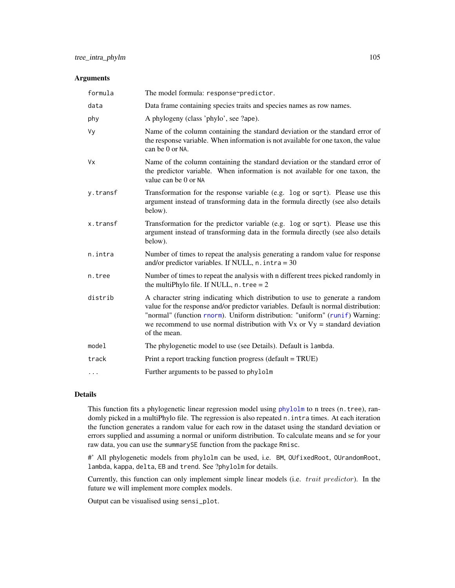## Arguments

| formula   | The model formula: response~predictor.                                                                                                                                                                                                                                                                                                              |
|-----------|-----------------------------------------------------------------------------------------------------------------------------------------------------------------------------------------------------------------------------------------------------------------------------------------------------------------------------------------------------|
| data      | Data frame containing species traits and species names as row names.                                                                                                                                                                                                                                                                                |
| phy       | A phylogeny (class 'phylo', see ?ape).                                                                                                                                                                                                                                                                                                              |
| Vy        | Name of the column containing the standard deviation or the standard error of<br>the response variable. When information is not available for one taxon, the value<br>can be 0 or NA.                                                                                                                                                               |
| <b>Vx</b> | Name of the column containing the standard deviation or the standard error of<br>the predictor variable. When information is not available for one taxon, the<br>value can be 0 or NA                                                                                                                                                               |
| y.transf  | Transformation for the response variable (e.g. log or sqrt). Please use this<br>argument instead of transforming data in the formula directly (see also details<br>below).                                                                                                                                                                          |
| x.transf  | Transformation for the predictor variable (e.g. log or sqrt). Please use this<br>argument instead of transforming data in the formula directly (see also details<br>below).                                                                                                                                                                         |
| n.intra   | Number of times to repeat the analysis generating a random value for response<br>and/or predictor variables. If NULL, $n$ . intra = 30                                                                                                                                                                                                              |
| n.tree    | Number of times to repeat the analysis with n different trees picked randomly in<br>the multiPhylo file. If NULL, $n$ . tree = 2                                                                                                                                                                                                                    |
| distrib   | A character string indicating which distribution to use to generate a random<br>value for the response and/or predictor variables. Default is normal distribution:<br>"normal" (function rnorm). Uniform distribution: "uniform" (runif) Warning:<br>we recommend to use normal distribution with $Vx$ or $Vy =$ standard deviation<br>of the mean. |
| model     | The phylogenetic model to use (see Details). Default is lambda.                                                                                                                                                                                                                                                                                     |
| track     | Print a report tracking function progress (default = TRUE)                                                                                                                                                                                                                                                                                          |
| $\cdots$  | Further arguments to be passed to phylolm                                                                                                                                                                                                                                                                                                           |

# Details

This function fits a phylogenetic linear regression model using  $phy1olm$  to n trees (n.tree), randomly picked in a multiPhylo file. The regression is also repeated n. intra times. At each iteration the function generates a random value for each row in the dataset using the standard deviation or errors supplied and assuming a normal or uniform distribution. To calculate means and se for your raw data, you can use the summarySE function from the package Rmisc.

#' All phylogenetic models from phylolm can be used, i.e. BM, OUfixedRoot, OUrandomRoot, lambda, kappa, delta, EB and trend. See ?phylolm for details.

Currently, this function can only implement simple linear models (i.e. trait predictor). In the future we will implement more complex models.

Output can be visualised using sensi\_plot.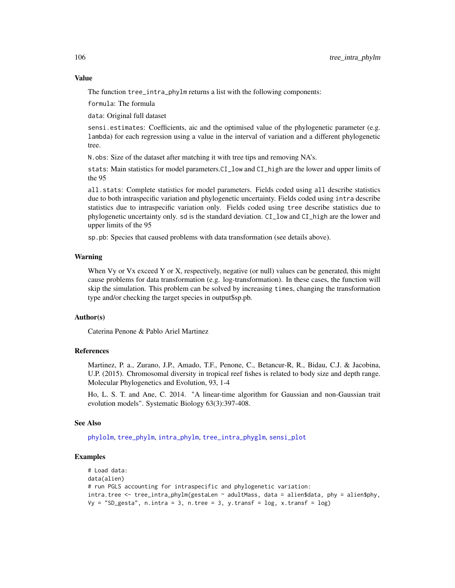### Value

The function tree\_intra\_phylm returns a list with the following components:

formula: The formula

data: Original full dataset

sensi.estimates: Coefficients, aic and the optimised value of the phylogenetic parameter (e.g. lambda) for each regression using a value in the interval of variation and a different phylogenetic tree.

N.obs: Size of the dataset after matching it with tree tips and removing NA's.

stats: Main statistics for model parameters.CI\_low and CI\_high are the lower and upper limits of the 95

all.stats: Complete statistics for model parameters. Fields coded using all describe statistics due to both intraspecific variation and phylogenetic uncertainty. Fields coded using intra describe statistics due to intraspecific variation only. Fields coded using tree describe statistics due to phylogenetic uncertainty only. sd is the standard deviation. CI\_low and CI\_high are the lower and upper limits of the 95

sp.pb: Species that caused problems with data transformation (see details above).

# Warning

When Vy or Vx exceed Y or X, respectively, negative (or null) values can be generated, this might cause problems for data transformation (e.g. log-transformation). In these cases, the function will skip the simulation. This problem can be solved by increasing times, changing the transformation type and/or checking the target species in output\$sp.pb.

# Author(s)

Caterina Penone & Pablo Ariel Martinez

# References

Martinez, P. a., Zurano, J.P., Amado, T.F., Penone, C., Betancur-R, R., Bidau, C.J. & Jacobina, U.P. (2015). Chromosomal diversity in tropical reef fishes is related to body size and depth range. Molecular Phylogenetics and Evolution, 93, 1-4

Ho, L. S. T. and Ane, C. 2014. "A linear-time algorithm for Gaussian and non-Gaussian trait evolution models". Systematic Biology 63(3):397-408.

#### See Also

[phylolm](#page-0-0), [tree\\_phylm](#page-107-0), [intra\\_phylm](#page-38-0), [tree\\_intra\\_phyglm](#page-101-0), [sensi\\_plot](#page-65-0)

# **Examples**

```
# Load data:
data(alien)
# run PGLS accounting for intraspecific and phylogenetic variation:
intra.tree <- tree_intra_phylm(gestaLen ~ adultMass, data = alien$data, phy = alien$phy,
Vy = "SD_gesta", n.intra = 3, n.tree = 3, y.transf = log, x.transf = log)
```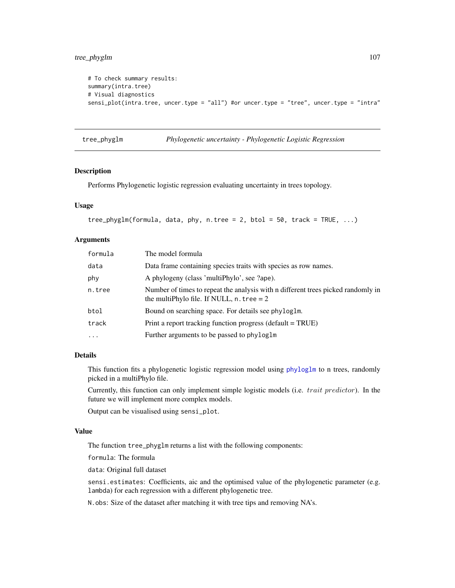```
# To check summary results:
summary(intra.tree)
# Visual diagnostics
sensi_plot(intra.tree, uncer.type = "all") #or uncer.type = "tree", uncer.type = "intra"
```
<span id="page-106-0"></span>tree\_phyglm *Phylogenetic uncertainty - Phylogenetic Logistic Regression*

# Description

Performs Phylogenetic logistic regression evaluating uncertainty in trees topology.

## Usage

```
tree_phyglm(formula, data, phy, n.tree = 2, btol = 50, track = TRUE, \ldots)
```
## Arguments

| formula   | The model formula                                                                                                                |
|-----------|----------------------------------------------------------------------------------------------------------------------------------|
| data      | Data frame containing species traits with species as row names.                                                                  |
| phy       | A phylogeny (class 'multiPhylo', see ?ape).                                                                                      |
| n.tree    | Number of times to repeat the analysis with n different trees picked randomly in<br>the multiPhylo file. If NULL, $n$ . tree = 2 |
| btol      | Bound on searching space. For details see phyloglm.                                                                              |
| track     | Print a report tracking function progress (default = TRUE)                                                                       |
| $\ddotsc$ | Further arguments to be passed to phyloglm                                                                                       |

# Details

This function fits a phylogenetic logistic regression model using [phyloglm](#page-0-0) to n trees, randomly picked in a multiPhylo file.

Currently, this function can only implement simple logistic models (i.e. trait predictor). In the future we will implement more complex models.

Output can be visualised using sensi\_plot.

#### Value

The function tree\_phyglm returns a list with the following components:

formula: The formula

data: Original full dataset

sensi.estimates: Coefficients, aic and the optimised value of the phylogenetic parameter (e.g. lambda) for each regression with a different phylogenetic tree.

N.obs: Size of the dataset after matching it with tree tips and removing NA's.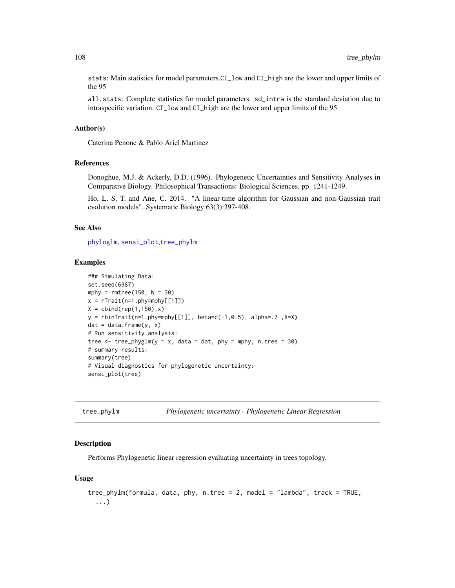stats: Main statistics for model parameters.CI\_low and CI\_high are the lower and upper limits of the 95

all.stats: Complete statistics for model parameters. sd\_intra is the standard deviation due to intraspecific variation. CI\_low and CI\_high are the lower and upper limits of the 95

#### Author(s)

Caterina Penone & Pablo Ariel Martinez

# References

Donoghue, M.J. & Ackerly, D.D. (1996). Phylogenetic Uncertainties and Sensitivity Analyses in Comparative Biology. Philosophical Transactions: Biological Sciences, pp. 1241-1249.

Ho, L. S. T. and Ane, C. 2014. "A linear-time algorithm for Gaussian and non-Gaussian trait evolution models". Systematic Biology 63(3):397-408.

# See Also

[phyloglm](#page-0-0), [sensi\\_plot](#page-65-0),[tree\\_phylm](#page-107-0)

#### Examples

```
### Simulating Data:
set.seed(6987)
mphy = rm tree(150, N = 30)x = rTrain(n=1, phy=mphy[[1]])X = \text{cbind}(\text{rep}(1, 150), x)y =rbinTrait(n=1,phy=mphy[[1]], beta=c(-1,0.5), alpha=.7,X=X)
dat = data.frame(y, x)# Run sensitivity analysis:
tree \leq tree_phyglm(y \sim x, data = dat, phy = mphy, n.tree = 30)
# summary results:
summary(tree)
# Visual diagnostics for phylogenetic uncertainty:
sensi_plot(tree)
```
<span id="page-107-0"></span>tree\_phylm *Phylogenetic uncertainty - Phylogenetic Linear Regression*

### **Description**

Performs Phylogenetic linear regression evaluating uncertainty in trees topology.

## Usage

```
tree_phylm(formula, data, phy, n.tree = 2, model = "lambda", track = TRUE,
  ...)
```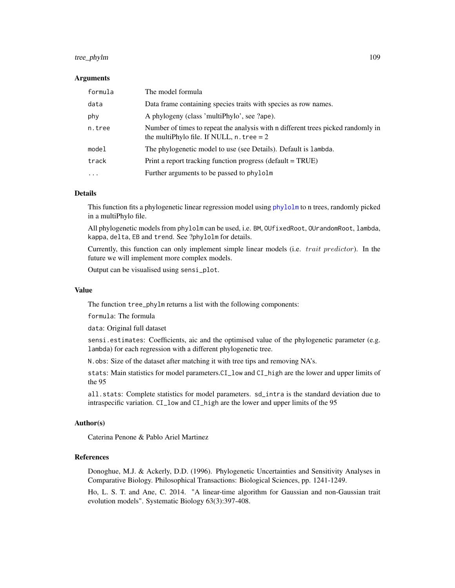# <span id="page-108-0"></span>tree\_phylm 109

#### Arguments

| formula   | The model formula                                                                                                                |
|-----------|----------------------------------------------------------------------------------------------------------------------------------|
| data      | Data frame containing species traits with species as row names.                                                                  |
| phy       | A phylogeny (class 'multiPhylo', see ?ape).                                                                                      |
| n.tree    | Number of times to repeat the analysis with n different trees picked randomly in<br>the multiPhylo file. If NULL, $n$ . tree = 2 |
| model     | The phylogenetic model to use (see Details). Default is lambda.                                                                  |
| track     | Print a report tracking function progress (default = TRUE)                                                                       |
| $\ddotsc$ | Further arguments to be passed to phylolm                                                                                        |

# Details

This function fits a phylogenetic linear regression model using [phylolm](#page-0-0) to n trees, randomly picked in a multiPhylo file.

All phylogenetic models from phylolm can be used, i.e. BM, OUfixedRoot, OUrandomRoot, lambda, kappa, delta, EB and trend. See ?phylolm for details.

Currently, this function can only implement simple linear models (i.e. *trait predictor*). In the future we will implement more complex models.

Output can be visualised using sensi\_plot.

#### Value

The function tree\_phylm returns a list with the following components:

formula: The formula

data: Original full dataset

sensi.estimates: Coefficients, aic and the optimised value of the phylogenetic parameter (e.g. lambda) for each regression with a different phylogenetic tree.

N.obs: Size of the dataset after matching it with tree tips and removing NA's.

stats: Main statistics for model parameters.CI\_low and CI\_high are the lower and upper limits of the 95

all.stats: Complete statistics for model parameters. sd\_intra is the standard deviation due to intraspecific variation. CI\_low and CI\_high are the lower and upper limits of the 95

#### Author(s)

Caterina Penone & Pablo Ariel Martinez

# References

Donoghue, M.J. & Ackerly, D.D. (1996). Phylogenetic Uncertainties and Sensitivity Analyses in Comparative Biology. Philosophical Transactions: Biological Sciences, pp. 1241-1249.

Ho, L. S. T. and Ane, C. 2014. "A linear-time algorithm for Gaussian and non-Gaussian trait evolution models". Systematic Biology 63(3):397-408.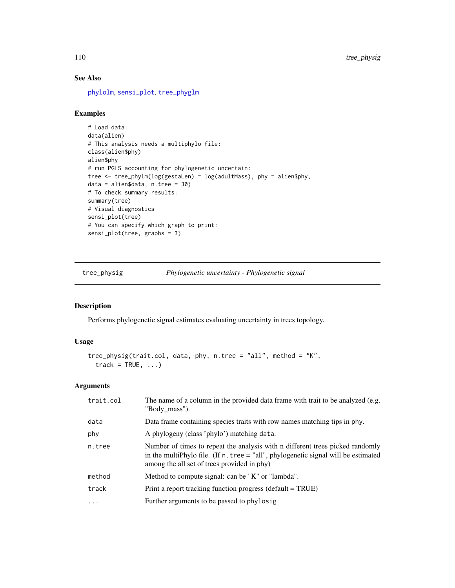# See Also

[phylolm](#page-0-0), [sensi\\_plot](#page-65-0), [tree\\_phyglm](#page-106-0)

### Examples

```
# Load data:
data(alien)
# This analysis needs a multiphylo file:
class(alien$phy)
alien$phy
# run PGLS accounting for phylogenetic uncertain:
tree <- tree_phylm(log(gestaLen) ~ log(adultMass), phy = alien$phy,
data = alien$data, n.tree = 30)
# To check summary results:
summary(tree)
# Visual diagnostics
sensi_plot(tree)
# You can specify which graph to print:
sensi_plot(tree, graphs = 3)
```
tree\_physig *Phylogenetic uncertainty - Phylogenetic signal*

# Description

Performs phylogenetic signal estimates evaluating uncertainty in trees topology.

#### Usage

```
tree_physig(trait.col, data, phy, n.tree = "all", method = "K",
  track = TRUE, ...)
```
### Arguments

| trait.col | The name of a column in the provided data frame with trait to be analyzed (e.g.<br>"Body_mass").                                                                                                                      |
|-----------|-----------------------------------------------------------------------------------------------------------------------------------------------------------------------------------------------------------------------|
| data      | Data frame containing species traits with row names matching tips in phy.                                                                                                                                             |
| phy       | A phylogeny (class 'phylo') matching data.                                                                                                                                                                            |
| n.tree    | Number of times to repeat the analysis with n different trees picked randomly<br>in the multiPhylo file. (If $n$ . tree = "all", phylogenetic signal will be estimated<br>among the all set of trees provided in phy) |
| method    | Method to compute signal: can be "K" or "lambda".                                                                                                                                                                     |
| track     | Print a report tracking function progress (default = TRUE)                                                                                                                                                            |
| $\ddots$  | Further arguments to be passed to phylosig.                                                                                                                                                                           |

<span id="page-109-0"></span>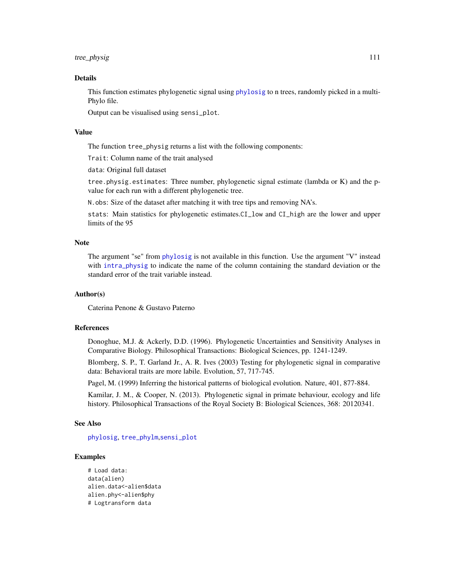### <span id="page-110-0"></span>tree\_physig 111

#### Details

This function estimates phylogenetic signal using [phylosig](#page-0-0) to n trees, randomly picked in a multi-Phylo file.

Output can be visualised using sensi\_plot.

### Value

The function tree\_physig returns a list with the following components:

Trait: Column name of the trait analysed

data: Original full dataset

tree.physig.estimates: Three number, phylogenetic signal estimate (lambda or K) and the pvalue for each run with a different phylogenetic tree.

N.obs: Size of the dataset after matching it with tree tips and removing NA's.

stats: Main statistics for phylogenetic estimates.CI\_low and CI\_high are the lower and upper limits of the 95

#### Note

The argument "se" from [phylosig](#page-0-0) is not available in this function. Use the argument "V" instead with [intra\\_physig](#page-40-0) to indicate the name of the column containing the standard deviation or the standard error of the trait variable instead.

### Author(s)

Caterina Penone & Gustavo Paterno

#### References

Donoghue, M.J. & Ackerly, D.D. (1996). Phylogenetic Uncertainties and Sensitivity Analyses in Comparative Biology. Philosophical Transactions: Biological Sciences, pp. 1241-1249.

Blomberg, S. P., T. Garland Jr., A. R. Ives (2003) Testing for phylogenetic signal in comparative data: Behavioral traits are more labile. Evolution, 57, 717-745.

Pagel, M. (1999) Inferring the historical patterns of biological evolution. Nature, 401, 877-884.

Kamilar, J. M., & Cooper, N. (2013). Phylogenetic signal in primate behaviour, ecology and life history. Philosophical Transactions of the Royal Society B: Biological Sciences, 368: 20120341.

#### See Also

[phylosig](#page-0-0), [tree\\_phylm](#page-107-0),[sensi\\_plot](#page-65-0)

# Examples

```
# Load data:
data(alien)
alien.data<-alien$data
alien.phy<-alien$phy
# Logtransform data
```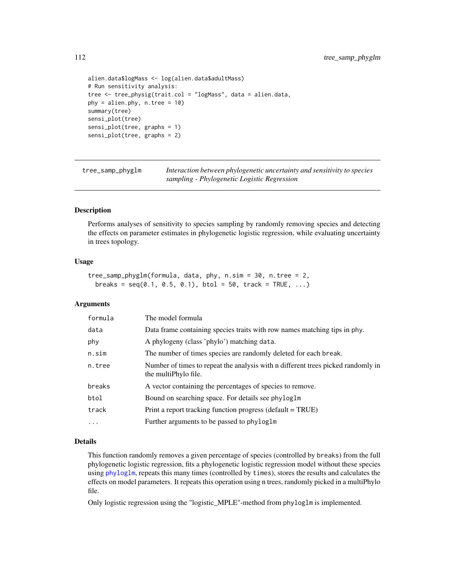```
alien.data$logMass <- log(alien.data$adultMass)
# Run sensitivity analysis:
tree <- tree_physig(trait.col = "logMass", data = alien.data,
phy = alien.php, n.tree = 10)summary(tree)
sensi_plot(tree)
sensi_plot(tree, graphs = 1)
sensi_plot(tree, graphs = 2)
```
<span id="page-111-0"></span>tree\_samp\_phyglm *Interaction between phylogenetic uncertainty and sensitivity to species sampling - Phylogenetic Logistic Regression*

# Description

Performs analyses of sensitivity to species sampling by randomly removing species and detecting the effects on parameter estimates in phylogenetic logistic regression, while evaluating uncertainty in trees topology.

#### Usage

```
tree_samp_phyglm(formula, data, phy, n.sim = 30, n.tree = 2,
 breaks = seq(0.1, 0.5, 0.1), ptol = 50, track = TRUE, ...
```
#### Arguments

| formula  | The model formula                                                                                        |
|----------|----------------------------------------------------------------------------------------------------------|
| data     | Data frame containing species traits with row names matching tips in phy.                                |
| phy      | A phylogeny (class 'phylo') matching data.                                                               |
| n.sim    | The number of times species are randomly deleted for each break.                                         |
| n.tree   | Number of times to repeat the analysis with n different trees picked randomly in<br>the multiPhylo file. |
| breaks   | A vector containing the percentages of species to remove.                                                |
| btol     | Bound on searching space. For details see phyloglm                                                       |
| track    | Print a report tracking function progress (default = TRUE)                                               |
| $\cdots$ | Further arguments to be passed to phyloglm                                                               |

### Details

This function randomly removes a given percentage of species (controlled by breaks) from the full phylogenetic logistic regression, fits a phylogenetic logistic regression model without these species using [phyloglm](#page-0-0), repeats this many times (controlled by times), stores the results and calculates the effects on model parameters. It repeats this operation using n trees, randomly picked in a multiPhylo file.

Only logistic regression using the "logistic\_MPLE"-method from phyloglm is implemented.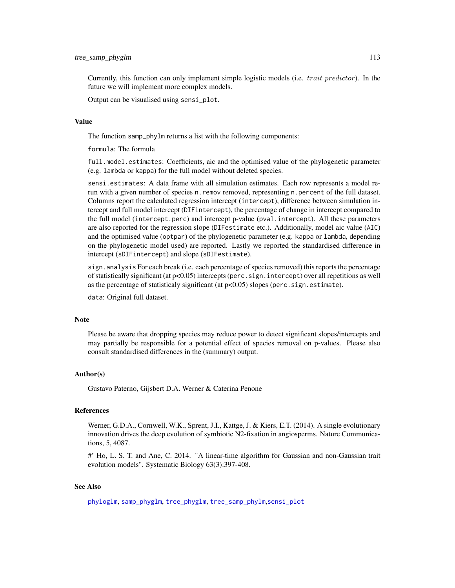<span id="page-112-0"></span>Currently, this function can only implement simple logistic models (i.e. *trait predictor*). In the future we will implement more complex models.

Output can be visualised using sensi\_plot.

# Value

The function samp\_phylm returns a list with the following components:

formula: The formula

full.model.estimates: Coefficients, aic and the optimised value of the phylogenetic parameter (e.g. lambda or kappa) for the full model without deleted species.

sensi.estimates: A data frame with all simulation estimates. Each row represents a model rerun with a given number of species n.remov removed, representing n.percent of the full dataset. Columns report the calculated regression intercept (intercept), difference between simulation intercept and full model intercept (DIFintercept), the percentage of change in intercept compared to the full model (intercept.perc) and intercept p-value (pval.intercept). All these parameters are also reported for the regression slope (DIFestimate etc.). Additionally, model aic value (AIC) and the optimised value (optpar) of the phylogenetic parameter (e.g. kappa or lambda, depending on the phylogenetic model used) are reported. Lastly we reported the standardised difference in intercept (sDIFintercept) and slope (sDIFestimate).

sign.analysis For each break (i.e. each percentage of species removed) this reports the percentage of statistically significant (at  $p<0.05$ ) intercepts (perc. sign. intercept) over all repetitions as well as the percentage of statisticaly significant (at  $p<0.05$ ) slopes (perc.sign.estimate).

data: Original full dataset.

#### Note

Please be aware that dropping species may reduce power to detect significant slopes/intercepts and may partially be responsible for a potential effect of species removal on p-values. Please also consult standardised differences in the (summary) output.

#### Author(s)

Gustavo Paterno, Gijsbert D.A. Werner & Caterina Penone

#### References

Werner, G.D.A., Cornwell, W.K., Sprent, J.I., Kattge, J. & Kiers, E.T. (2014). A single evolutionary innovation drives the deep evolution of symbiotic N2-fixation in angiosperms. Nature Communications, 5, 4087.

#' Ho, L. S. T. and Ane, C. 2014. "A linear-time algorithm for Gaussian and non-Gaussian trait evolution models". Systematic Biology 63(3):397-408.

### See Also

[phyloglm](#page-0-0), [samp\\_phyglm](#page-58-0), [tree\\_phyglm](#page-106-0), [tree\\_samp\\_phylm](#page-113-0),[sensi\\_plot](#page-65-0)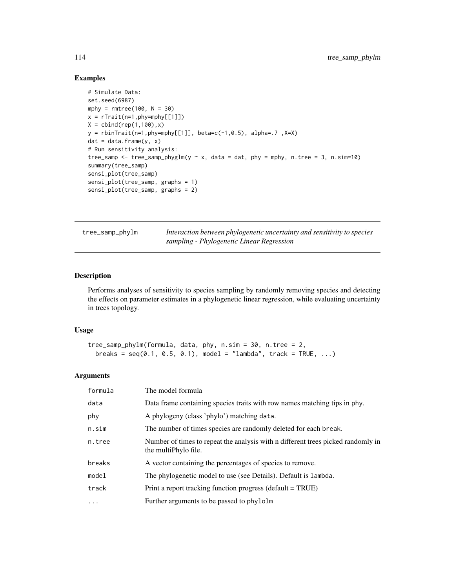### <span id="page-113-1"></span>Examples

```
# Simulate Data:
set.seed(6987)
mphy = rmree(100, N = 30)x = rTrain(n=1, phy=mphy[[1]])X = \text{cbind}(\text{rep}(1, 100), x)y =rbinTrait(n=1,phy=mphy[[1]], beta=c(-1,0.5), alpha=.7,X=X)
dat = data.frame(y, x)# Run sensitivity analysis:
tree_samp <- tree_samp_phyglm(y \sim x, data = dat, phy = mphy, n.tree = 3, n.sim=10)
summary(tree_samp)
sensi_plot(tree_samp)
sensi_plot(tree_samp, graphs = 1)
sensi_plot(tree_samp, graphs = 2)
```
<span id="page-113-0"></span>tree\_samp\_phylm *Interaction between phylogenetic uncertainty and sensitivity to species sampling - Phylogenetic Linear Regression*

### Description

Performs analyses of sensitivity to species sampling by randomly removing species and detecting the effects on parameter estimates in a phylogenetic linear regression, while evaluating uncertainty in trees topology.

# Usage

```
tree_samp_phylm(formula, data, phy, n.sim = 30, n.tree = 2,
 breaks = seq(0.1, 0.5, 0.1), model = "lambda", track = TRUE, ...)
```
### Arguments

| formula  | The model formula                                                                                        |
|----------|----------------------------------------------------------------------------------------------------------|
| data     | Data frame containing species traits with row names matching tips in phy.                                |
| phy      | A phylogeny (class 'phylo') matching data.                                                               |
| n.sim    | The number of times species are randomly deleted for each break.                                         |
| n.tree   | Number of times to repeat the analysis with n different trees picked randomly in<br>the multiPhylo file. |
| breaks   | A vector containing the percentages of species to remove.                                                |
| model    | The phylogenetic model to use (see Details). Default is lambda.                                          |
| track    | Print a report tracking function progress (default = TRUE)                                               |
| $\cdots$ | Further arguments to be passed to phylolm                                                                |
|          |                                                                                                          |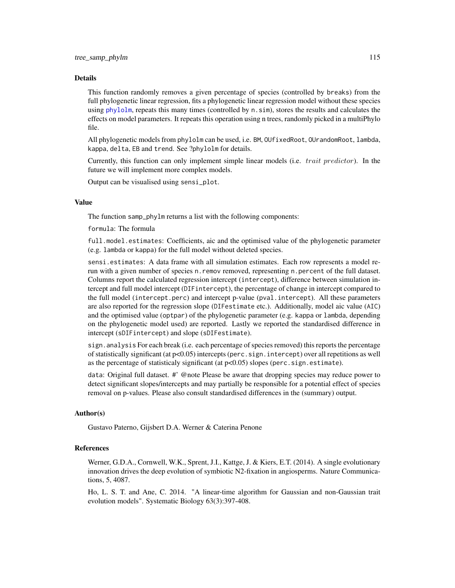#### <span id="page-114-0"></span>Details

This function randomly removes a given percentage of species (controlled by breaks) from the full phylogenetic linear regression, fits a phylogenetic linear regression model without these species using [phylolm](#page-0-0), repeats this many times (controlled by n. sim), stores the results and calculates the effects on model parameters. It repeats this operation using n trees, randomly picked in a multiPhylo file.

All phylogenetic models from phylolm can be used, i.e. BM, OUfixedRoot, OUrandomRoot, lambda, kappa, delta, EB and trend. See ?phylolm for details.

Currently, this function can only implement simple linear models (i.e. trait predictor). In the future we will implement more complex models.

Output can be visualised using sensi\_plot.

#### Value

The function samp\_phylm returns a list with the following components:

formula: The formula

full.model.estimates: Coefficients, aic and the optimised value of the phylogenetic parameter (e.g. lambda or kappa) for the full model without deleted species.

sensi.estimates: A data frame with all simulation estimates. Each row represents a model rerun with a given number of species n. remov removed, representing n. percent of the full dataset. Columns report the calculated regression intercept (intercept), difference between simulation intercept and full model intercept (DIFintercept), the percentage of change in intercept compared to the full model (intercept.perc) and intercept p-value (pval.intercept). All these parameters are also reported for the regression slope (DIFestimate etc.). Additionally, model aic value (AIC) and the optimised value (optpar) of the phylogenetic parameter (e.g. kappa or lambda, depending on the phylogenetic model used) are reported. Lastly we reported the standardised difference in intercept (sDIFintercept) and slope (sDIFestimate).

sign.analysis For each break (i.e. each percentage of species removed) this reports the percentage of statistically significant (at p<0.05) intercepts (perc.sign.intercept) over all repetitions as well as the percentage of statisticaly significant (at  $p<0.05$ ) slopes (perc.sign.estimate).

data: Original full dataset. #' @note Please be aware that dropping species may reduce power to detect significant slopes/intercepts and may partially be responsible for a potential effect of species removal on p-values. Please also consult standardised differences in the (summary) output.

#### Author(s)

Gustavo Paterno, Gijsbert D.A. Werner & Caterina Penone

#### References

Werner, G.D.A., Cornwell, W.K., Sprent, J.I., Kattge, J. & Kiers, E.T. (2014). A single evolutionary innovation drives the deep evolution of symbiotic N2-fixation in angiosperms. Nature Communications, 5, 4087.

Ho, L. S. T. and Ane, C. 2014. "A linear-time algorithm for Gaussian and non-Gaussian trait evolution models". Systematic Biology 63(3):397-408.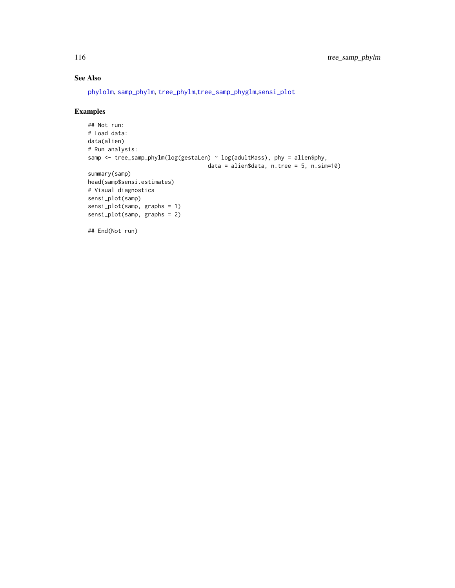# See Also

[phylolm](#page-0-0), [samp\\_phylm](#page-60-0), [tree\\_phylm](#page-107-0),[tree\\_samp\\_phyglm](#page-111-0),[sensi\\_plot](#page-65-0)

# Examples

```
## Not run:
# Load data:
data(alien)
# Run analysis:
samp <- tree_samp_phylm(log(gestaLen) ~ log(adultMass), phy = alien$phy,
                                    data = alien$data, n.tree = 5, n.sim=10)
summary(samp)
head(samp$sensi.estimates)
# Visual diagnostics
sensi_plot(samp)
sensi_plot(samp, graphs = 1)
sensi_plot(samp, graphs = 2)
## End(Not run)
```
<span id="page-115-0"></span>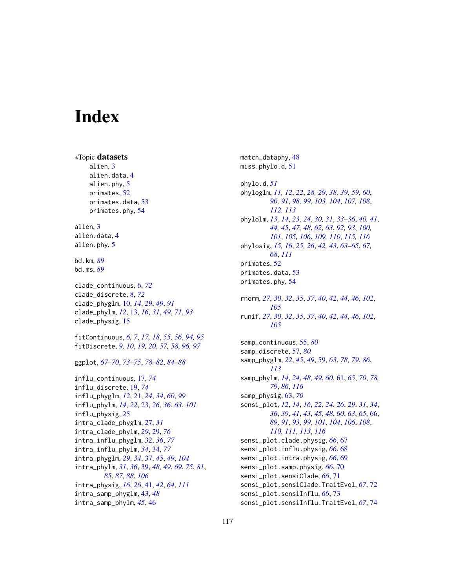# **Index**

```
∗Topic datasets
    alien, 3
    alien.data, 4
    alien.phy, 5
    primates, 52
    primates.data, 53
    primates.phy, 54
alien, 3
alien.data, 4
alien.phy, 5
bd.km, 89
bd.ms, 89
clade_continuous, 6, 72
clade_discrete, 8, 72
clade_phyglm, 10, 14, 29, 49, 91
clade_phylm, 12, 13, 16, 31, 49, 71, 93
clade_physig, 15
fitContinuous, 6, 7, 17, 18, 55, 56, 94, 95
fitDiscrete, 9, 10, 19, 20, 57, 58, 96, 97
ggplot, 67–70, 73–75, 78–82, 84–88
influ_continuous, 17, 74
influ_discrete, 19, 74
influ_phyglm, 12, 21, 24, 34, 60, 99
influ_phylm, 14, 22, 23, 26, 36, 63, 101
influ_physig, 25
intra_clade_phyglm, 27, 31
intra_clade_phylm, 29, 29, 76
intra_influ_phyglm, 32, 36, 77
intra_influ_phylm, 34, 34, 77
intra_phyglm, 29, 34, 37, 45, 49, 104
intra_phylm, 31, 36, 39, 48, 49, 69, 75, 81,
         85, 87, 88, 106
intra_physig, 16, 26, 41, 42, 64, 111
intra_samp_phyglm, 43, 48
intra_samp_phylm, 45, 46
```
match\_dataphy, [48](#page-47-0) miss.phylo.d, [51](#page-50-0) phylo.d, *[51](#page-50-0)* phyloglm, *[11,](#page-10-0) [12](#page-11-0)*, *[22](#page-21-0)*, *[28,](#page-27-0) [29](#page-28-0)*, *[38,](#page-37-0) [39](#page-38-0)*, *[59,](#page-58-1) [60](#page-59-0)*, *[90,](#page-89-0) [91](#page-90-0)*, *[98,](#page-97-0) [99](#page-98-0)*, *[103,](#page-102-0) [104](#page-103-0)*, *[107,](#page-106-1) [108](#page-107-1)*, *[112,](#page-111-1) [113](#page-112-0)* phylolm, *[13,](#page-12-0) [14](#page-13-0)*, *[23,](#page-22-0) [24](#page-23-0)*, *[30,](#page-29-0) [31](#page-30-0)*, *[33](#page-32-0)[–36](#page-35-0)*, *[40,](#page-39-0) [41](#page-40-1)*, *[44,](#page-43-0) [45](#page-44-0)*, *[47,](#page-46-0) [48](#page-47-0)*, *[62,](#page-61-0) [63](#page-62-0)*, *[92,](#page-91-0) [93](#page-92-0)*, *[100,](#page-99-0) [101](#page-100-0)*, *[105,](#page-104-0) [106](#page-105-0)*, *[109,](#page-108-0) [110](#page-109-0)*, *[115,](#page-114-0) [116](#page-115-0)* phylosig, *[15,](#page-14-0) [16](#page-15-0)*, *[25,](#page-24-0) [26](#page-25-0)*, *[42,](#page-41-0) [43](#page-42-0)*, *[63](#page-62-0)[–65](#page-64-0)*, *[67,](#page-66-0) [68](#page-67-0)*, *[111](#page-110-0)* primates, [52](#page-51-0) primates.data, [53](#page-52-0) primates.phy, [54](#page-53-0) rnorm, *[27](#page-26-0)*, *[30](#page-29-0)*, *[32](#page-31-0)*, *[35](#page-34-0)*, *[37](#page-36-0)*, *[40](#page-39-0)*, *[42](#page-41-0)*, *[44](#page-43-0)*, *[46](#page-45-0)*, *[102](#page-101-0)*, *[105](#page-104-0)* runif, *[27](#page-26-0)*, *[30](#page-29-0)*, *[32](#page-31-0)*, *[35](#page-34-0)*, *[37](#page-36-0)*, *[40](#page-39-0)*, *[42](#page-41-0)*, *[44](#page-43-0)*, *[46](#page-45-0)*, *[102](#page-101-0)*, *[105](#page-104-0)* samp\_continuous, [55,](#page-54-0) *[80](#page-79-0)* samp\_discrete, [57,](#page-56-0) *[80](#page-79-0)* samp\_phyglm, *[22](#page-21-0)*, *[45](#page-44-0)*, *[49](#page-48-0)*, [59,](#page-58-1) *[63](#page-62-0)*, *[78,](#page-77-0) [79](#page-78-0)*, *[86](#page-85-0)*, *[113](#page-112-0)* samp\_phylm, *[14](#page-13-0)*, *[24](#page-23-0)*, *[48,](#page-47-0) [49](#page-48-0)*, *[60](#page-59-0)*, [61,](#page-60-1) *[65](#page-64-0)*, *[70](#page-69-0)*, *[78,](#page-77-0) [79](#page-78-0)*, *[86](#page-85-0)*, *[116](#page-115-0)* samp\_physig, [63,](#page-62-0) *[70](#page-69-0)* sensi\_plot, *[12](#page-11-0)*, *[14](#page-13-0)*, *[16](#page-15-0)*, *[22](#page-21-0)*, *[24](#page-23-0)*, *[26](#page-25-0)*, *[29](#page-28-0)*, *[31](#page-30-0)*, *[34](#page-33-0)*, *[36](#page-35-0)*, *[39](#page-38-0)*, *[41](#page-40-1)*, *[43](#page-42-0)*, *[45](#page-44-0)*, *[48](#page-47-0)*, *[60](#page-59-0)*, *[63](#page-62-0)*, *[65](#page-64-0)*, [66,](#page-65-1) *[89](#page-88-0)*, *[91](#page-90-0)*, *[93](#page-92-0)*, *[99](#page-98-0)*, *[101](#page-100-0)*, *[104](#page-103-0)*, *[106](#page-105-0)*, *[108](#page-107-1)*, *[110,](#page-109-0) [111](#page-110-0)*, *[113](#page-112-0)*, *[116](#page-115-0)* sensi\_plot.clade.physig, *[66](#page-65-1)*, [67](#page-66-0) sensi\_plot.influ.physig, *[66](#page-65-1)*, [68](#page-67-0) sensi\_plot.intra.physig, *[66](#page-65-1)*, [69](#page-68-0) sensi\_plot.samp.physig, *[66](#page-65-1)*, [70](#page-69-0) sensi\_plot.sensiClade, *[66](#page-65-1)*, [71](#page-70-0) sensi\_plot.sensiClade.TraitEvol, *[67](#page-66-0)*, [72](#page-71-0) sensi\_plot.sensiInflu, *[66](#page-65-1)*, [73](#page-72-0) sensi\_plot.sensiInflu.TraitEvol, *[67](#page-66-0)*, [74](#page-73-0)